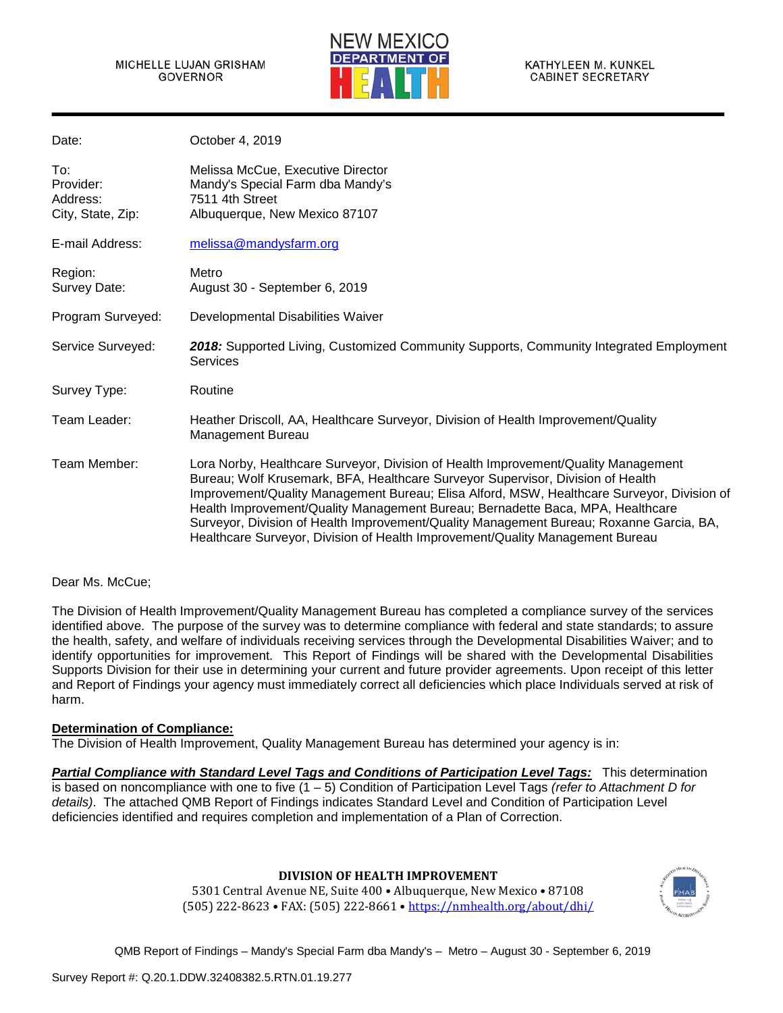

| Date:                                             | October 4, 2019                                                                                                                                                                                                                                                                                                                                                                                                                                                                                                                   |
|---------------------------------------------------|-----------------------------------------------------------------------------------------------------------------------------------------------------------------------------------------------------------------------------------------------------------------------------------------------------------------------------------------------------------------------------------------------------------------------------------------------------------------------------------------------------------------------------------|
| To:<br>Provider:<br>Address:<br>City, State, Zip: | Melissa McCue, Executive Director<br>Mandy's Special Farm dba Mandy's<br>7511 4th Street<br>Albuquerque, New Mexico 87107                                                                                                                                                                                                                                                                                                                                                                                                         |
| E-mail Address:                                   | melissa@mandysfarm.org                                                                                                                                                                                                                                                                                                                                                                                                                                                                                                            |
| Region:<br>Survey Date:                           | Metro<br>August 30 - September 6, 2019                                                                                                                                                                                                                                                                                                                                                                                                                                                                                            |
| Program Surveyed:                                 | Developmental Disabilities Waiver                                                                                                                                                                                                                                                                                                                                                                                                                                                                                                 |
| Service Surveyed:                                 | 2018: Supported Living, Customized Community Supports, Community Integrated Employment<br><b>Services</b>                                                                                                                                                                                                                                                                                                                                                                                                                         |
| Survey Type:                                      | Routine                                                                                                                                                                                                                                                                                                                                                                                                                                                                                                                           |
| Team Leader:                                      | Heather Driscoll, AA, Healthcare Surveyor, Division of Health Improvement/Quality<br>Management Bureau                                                                                                                                                                                                                                                                                                                                                                                                                            |
| Team Member:                                      | Lora Norby, Healthcare Surveyor, Division of Health Improvement/Quality Management<br>Bureau; Wolf Krusemark, BFA, Healthcare Surveyor Supervisor, Division of Health<br>Improvement/Quality Management Bureau; Elisa Alford, MSW, Healthcare Surveyor, Division of<br>Health Improvement/Quality Management Bureau; Bernadette Baca, MPA, Healthcare<br>Surveyor, Division of Health Improvement/Quality Management Bureau; Roxanne Garcia, BA,<br>Healthcare Surveyor, Division of Health Improvement/Quality Management Bureau |

### Dear Ms. McCue;

The Division of Health Improvement/Quality Management Bureau has completed a compliance survey of the services identified above. The purpose of the survey was to determine compliance with federal and state standards; to assure the health, safety, and welfare of individuals receiving services through the Developmental Disabilities Waiver; and to identify opportunities for improvement. This Report of Findings will be shared with the Developmental Disabilities Supports Division for their use in determining your current and future provider agreements. Upon receipt of this letter and Report of Findings your agency must immediately correct all deficiencies which place Individuals served at risk of harm.

### **Determination of Compliance:**

The Division of Health Improvement, Quality Management Bureau has determined your agency is in:

*Partial Compliance with Standard Level Tags and Conditions of Participation Level Tags:* This determination is based on noncompliance with one to five (1 – 5) Condition of Participation Level Tags *(refer to Attachment D for details)*. The attached QMB Report of Findings indicates Standard Level and Condition of Participation Level deficiencies identified and requires completion and implementation of a Plan of Correction.

### **DIVISION OF HEALTH IMPROVEMENT**

5301 Central Avenue NE, Suite 400 • Albuquerque, New Mexico • 87108 (505) 222-8623 • FAX: (505) 222-8661 [• https://nmhealth.org/about/dhi/](https://nmhealth.org/about/dhi/)

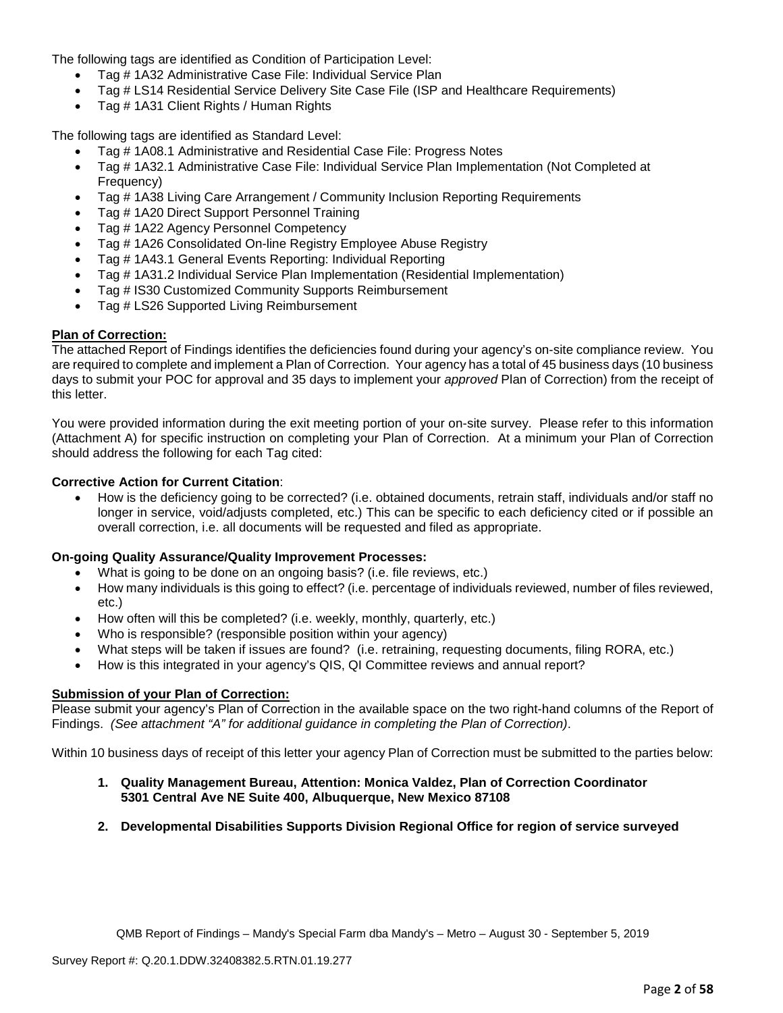The following tags are identified as Condition of Participation Level:

- Tag # 1A32 Administrative Case File: Individual Service Plan
- Tag # LS14 Residential Service Delivery Site Case File (ISP and Healthcare Requirements)
- Tag # 1A31 Client Rights / Human Rights

The following tags are identified as Standard Level:

- Tag # 1A08.1 Administrative and Residential Case File: Progress Notes
- Tag # 1A32.1 Administrative Case File: Individual Service Plan Implementation (Not Completed at Frequency)
- Tag # 1A38 Living Care Arrangement / Community Inclusion Reporting Requirements
- Tag # 1A20 Direct Support Personnel Training
- Tag # 1A22 Agency Personnel Competency
- Tag # 1A26 Consolidated On-line Registry Employee Abuse Registry
- Tag # 1A43.1 General Events Reporting: Individual Reporting
- Tag # 1A31.2 Individual Service Plan Implementation (Residential Implementation)
- Tag # IS30 Customized Community Supports Reimbursement
- Tag # LS26 Supported Living Reimbursement

## **Plan of Correction:**

The attached Report of Findings identifies the deficiencies found during your agency's on-site compliance review. You are required to complete and implement a Plan of Correction. Your agency has a total of 45 business days (10 business days to submit your POC for approval and 35 days to implement your *approved* Plan of Correction) from the receipt of this letter.

You were provided information during the exit meeting portion of your on-site survey. Please refer to this information (Attachment A) for specific instruction on completing your Plan of Correction. At a minimum your Plan of Correction should address the following for each Tag cited:

## **Corrective Action for Current Citation**:

• How is the deficiency going to be corrected? (i.e. obtained documents, retrain staff, individuals and/or staff no longer in service, void/adjusts completed, etc.) This can be specific to each deficiency cited or if possible an overall correction, i.e. all documents will be requested and filed as appropriate.

### **On-going Quality Assurance/Quality Improvement Processes:**

- What is going to be done on an ongoing basis? (i.e. file reviews, etc.)
- How many individuals is this going to effect? (i.e. percentage of individuals reviewed, number of files reviewed, etc.)
- How often will this be completed? (i.e. weekly, monthly, quarterly, etc.)
- Who is responsible? (responsible position within your agency)
- What steps will be taken if issues are found? (i.e. retraining, requesting documents, filing RORA, etc.)
- How is this integrated in your agency's QIS, QI Committee reviews and annual report?

### **Submission of your Plan of Correction:**

Please submit your agency's Plan of Correction in the available space on the two right-hand columns of the Report of Findings. *(See attachment "A" for additional guidance in completing the Plan of Correction)*.

Within 10 business days of receipt of this letter your agency Plan of Correction must be submitted to the parties below:

- **1. Quality Management Bureau, Attention: Monica Valdez, Plan of Correction Coordinator 5301 Central Ave NE Suite 400, Albuquerque, New Mexico 87108**
- **2. Developmental Disabilities Supports Division Regional Office for region of service surveyed**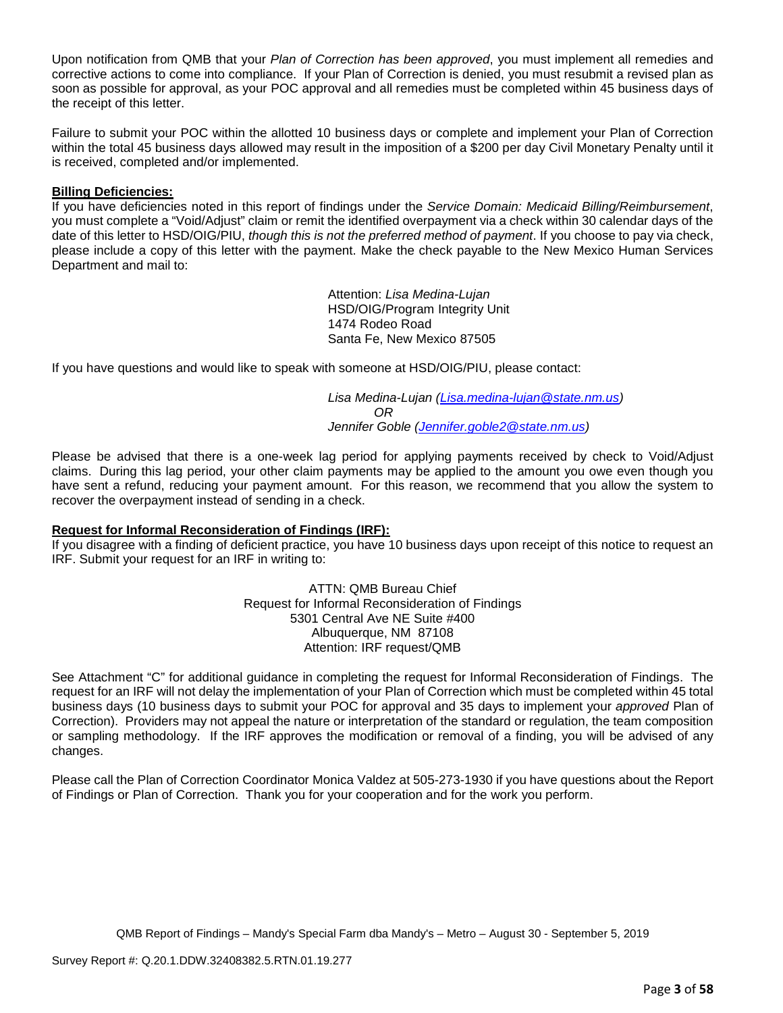Upon notification from QMB that your *Plan of Correction has been approved*, you must implement all remedies and corrective actions to come into compliance. If your Plan of Correction is denied, you must resubmit a revised plan as soon as possible for approval, as your POC approval and all remedies must be completed within 45 business days of the receipt of this letter.

Failure to submit your POC within the allotted 10 business days or complete and implement your Plan of Correction within the total 45 business days allowed may result in the imposition of a \$200 per day Civil Monetary Penalty until it is received, completed and/or implemented.

## **Billing Deficiencies:**

If you have deficiencies noted in this report of findings under the *Service Domain: Medicaid Billing/Reimbursement*, you must complete a "Void/Adjust" claim or remit the identified overpayment via a check within 30 calendar days of the date of this letter to HSD/OIG/PIU, *though this is not the preferred method of payment*. If you choose to pay via check, please include a copy of this letter with the payment. Make the check payable to the New Mexico Human Services Department and mail to:

> Attention: *Lisa Medina-Lujan* HSD/OIG/Program Integrity Unit 1474 Rodeo Road Santa Fe, New Mexico 87505

If you have questions and would like to speak with someone at HSD/OIG/PIU, please contact:

*Lisa Medina-Lujan [\(Lisa.medina-lujan@state.nm.us\)](mailto:Lisa.medina-lujan@state.nm.us) OR Jennifer Goble [\(Jennifer.goble2@state.nm.us\)](mailto:Jennifer.goble2@state.nm.us)*

Please be advised that there is a one-week lag period for applying payments received by check to Void/Adjust claims. During this lag period, your other claim payments may be applied to the amount you owe even though you have sent a refund, reducing your payment amount. For this reason, we recommend that you allow the system to recover the overpayment instead of sending in a check.

### **Request for Informal Reconsideration of Findings (IRF):**

If you disagree with a finding of deficient practice, you have 10 business days upon receipt of this notice to request an IRF. Submit your request for an IRF in writing to:

> ATTN: QMB Bureau Chief Request for Informal Reconsideration of Findings 5301 Central Ave NE Suite #400 Albuquerque, NM 87108 Attention: IRF request/QMB

See Attachment "C" for additional guidance in completing the request for Informal Reconsideration of Findings. The request for an IRF will not delay the implementation of your Plan of Correction which must be completed within 45 total business days (10 business days to submit your POC for approval and 35 days to implement your *approved* Plan of Correction). Providers may not appeal the nature or interpretation of the standard or regulation, the team composition or sampling methodology. If the IRF approves the modification or removal of a finding, you will be advised of any changes.

Please call the Plan of Correction Coordinator Monica Valdez at 505-273-1930 if you have questions about the Report of Findings or Plan of Correction. Thank you for your cooperation and for the work you perform.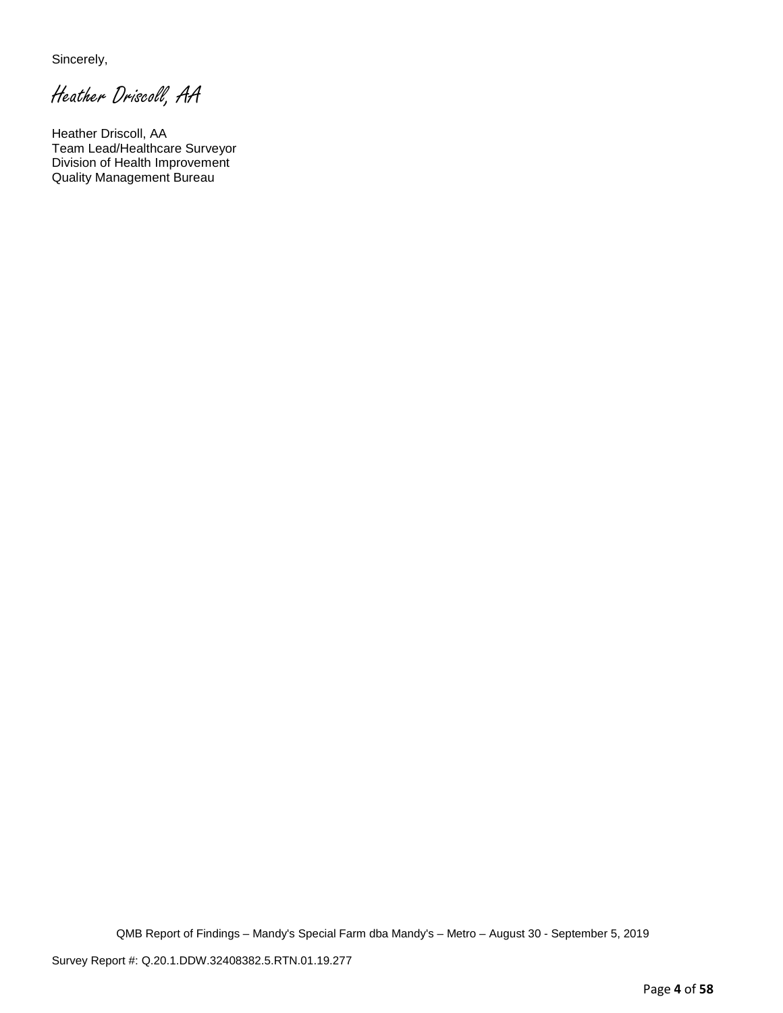Sincerely,

Heather Driscoll, AA

Heather Driscoll, AA Team Lead/Healthcare Surveyor Division of Health Improvement Quality Management Bureau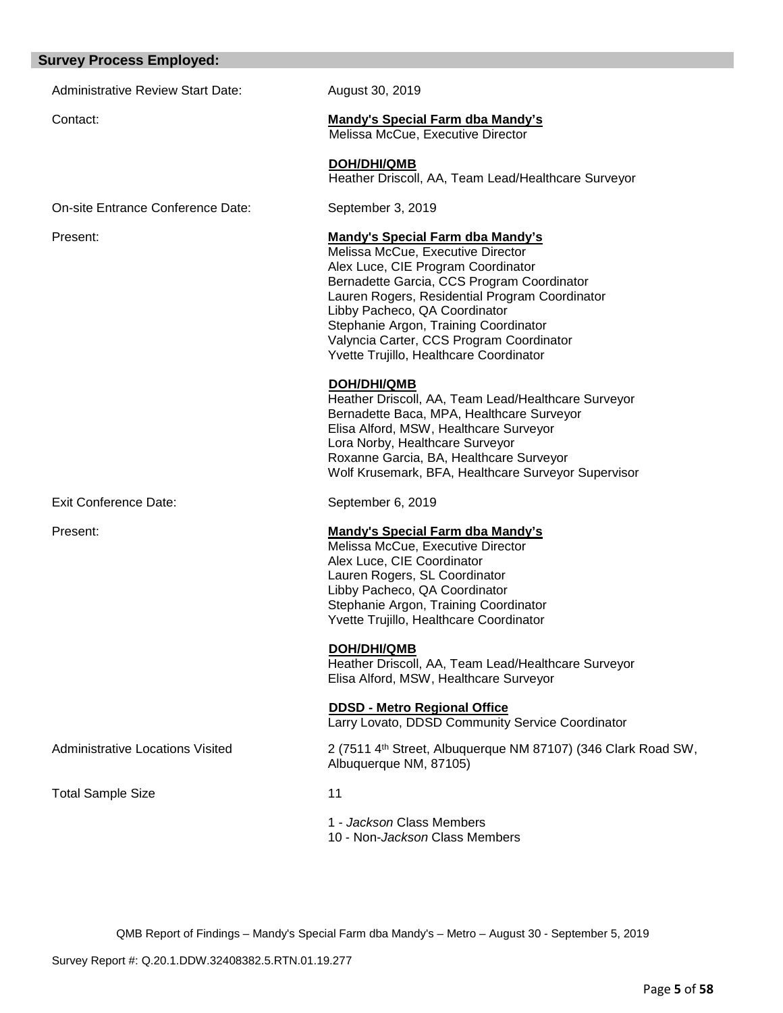#### **Survey Process Employed:**

Administrative Review Start Date: August 30, 2019

#### Contact: **Mandy's Special Farm dba Mandy's**

Melissa McCue, Executive Director

**DOH/DHI/QMB** Heather Driscoll, AA, Team Lead/Healthcare Surveyor

On-site Entrance Conference Date: September 3, 2019

#### Present: **Mandy's Special Farm dba Mandy's**

Melissa McCue, Executive Director Alex Luce, CIE Program Coordinator Bernadette Garcia, CCS Program Coordinator Lauren Rogers, Residential Program Coordinator Libby Pacheco, QA Coordinator Stephanie Argon, Training Coordinator Valyncia Carter, CCS Program Coordinator Yvette Trujillo, Healthcare Coordinator

### **DOH/DHI/QMB**

Heather Driscoll, AA, Team Lead/Healthcare Surveyor Bernadette Baca, MPA, Healthcare Surveyor Elisa Alford, MSW, Healthcare Surveyor Lora Norby, Healthcare Surveyor Roxanne Garcia, BA, Healthcare Surveyor Wolf Krusemark, BFA, Healthcare Surveyor Supervisor

Exit Conference Date: September 6, 2019

### Present: **Mandy's Special Farm dba Mandy's**

Melissa McCue, Executive Director Alex Luce, CIE Coordinator Lauren Rogers, SL Coordinator Libby Pacheco, QA Coordinator Stephanie Argon, Training Coordinator Yvette Trujillo, Healthcare Coordinator

 **DOH/DHI/QMB**

Heather Driscoll, AA, Team Lead/Healthcare Surveyor Elisa Alford, MSW, Healthcare Surveyor

 **DDSD - Metro Regional Office**

Larry Lovato, DDSD Community Service Coordinator

Administrative Locations Visited 2 (7511 4th Street, Albuquerque NM 87107) (346 Clark Road SW, Albuquerque NM, 87105)

Total Sample Size 11

1 - *Jackson* Class Members 10 - Non-*Jackson* Class Members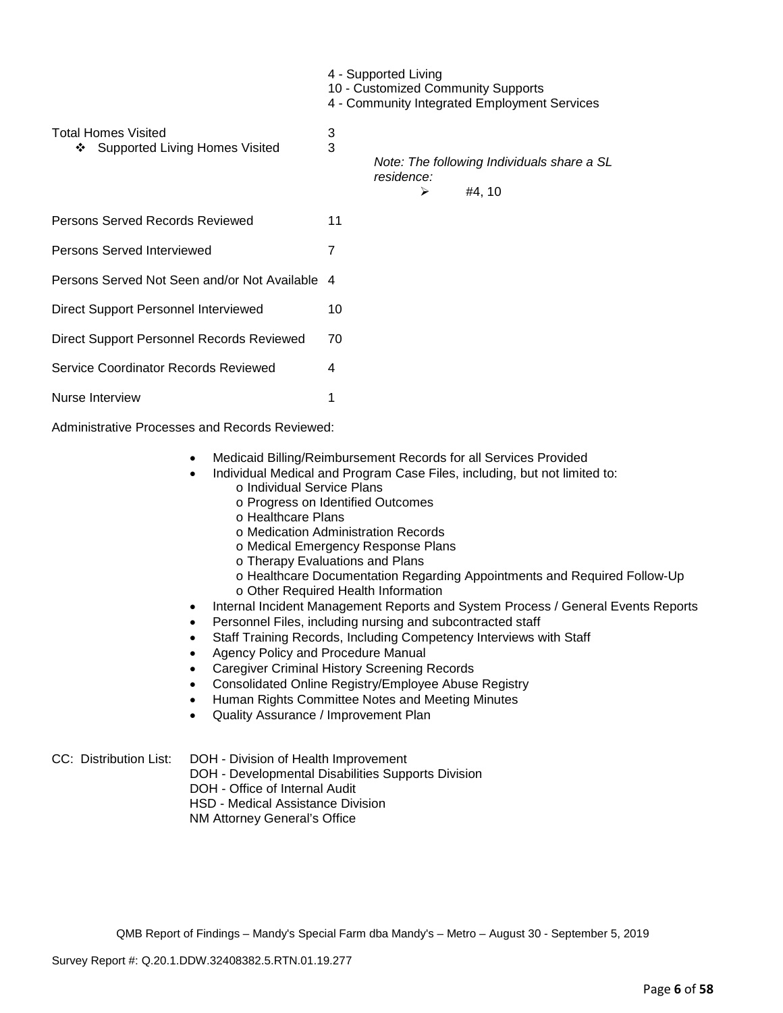|                                                                          | 4 - Supported Living<br>10 - Customized Community Supports<br>4 - Community Integrated Employment Services |                                                               |  |        |  |
|--------------------------------------------------------------------------|------------------------------------------------------------------------------------------------------------|---------------------------------------------------------------|--|--------|--|
| <b>Total Homes Visited</b><br><b>Supported Living Homes Visited</b><br>❖ | 3<br>3                                                                                                     | Note: The following Individuals share a SL<br>residence:<br>⋗ |  | #4, 10 |  |
| Persons Served Records Reviewed                                          | 11                                                                                                         |                                                               |  |        |  |
| Persons Served Interviewed                                               | 7                                                                                                          |                                                               |  |        |  |
| Persons Served Not Seen and/or Not Available                             | 4                                                                                                          |                                                               |  |        |  |
| Direct Support Personnel Interviewed                                     | 10                                                                                                         |                                                               |  |        |  |
| Direct Support Personnel Records Reviewed                                | 70                                                                                                         |                                                               |  |        |  |
| Service Coordinator Records Reviewed                                     | 4                                                                                                          |                                                               |  |        |  |
| Nurse Interview                                                          |                                                                                                            |                                                               |  |        |  |

Administrative Processes and Records Reviewed:

- Medicaid Billing/Reimbursement Records for all Services Provided
- Individual Medical and Program Case Files, including, but not limited to:
	- o Individual Service Plans
	- o Progress on Identified Outcomes
	- o Healthcare Plans
	- o Medication Administration Records
	- o Medical Emergency Response Plans
	- o Therapy Evaluations and Plans
	- o Healthcare Documentation Regarding Appointments and Required Follow-Up
	- o Other Required Health Information
- Internal Incident Management Reports and System Process / General Events Reports
- Personnel Files, including nursing and subcontracted staff
- Staff Training Records, Including Competency Interviews with Staff
- Agency Policy and Procedure Manual
- Caregiver Criminal History Screening Records
- Consolidated Online Registry/Employee Abuse Registry
- Human Rights Committee Notes and Meeting Minutes
- Quality Assurance / Improvement Plan
- CC: Distribution List: DOH Division of Health Improvement
	- DOH Developmental Disabilities Supports Division
	- DOH Office of Internal Audit

HSD - Medical Assistance Division

NM Attorney General's Office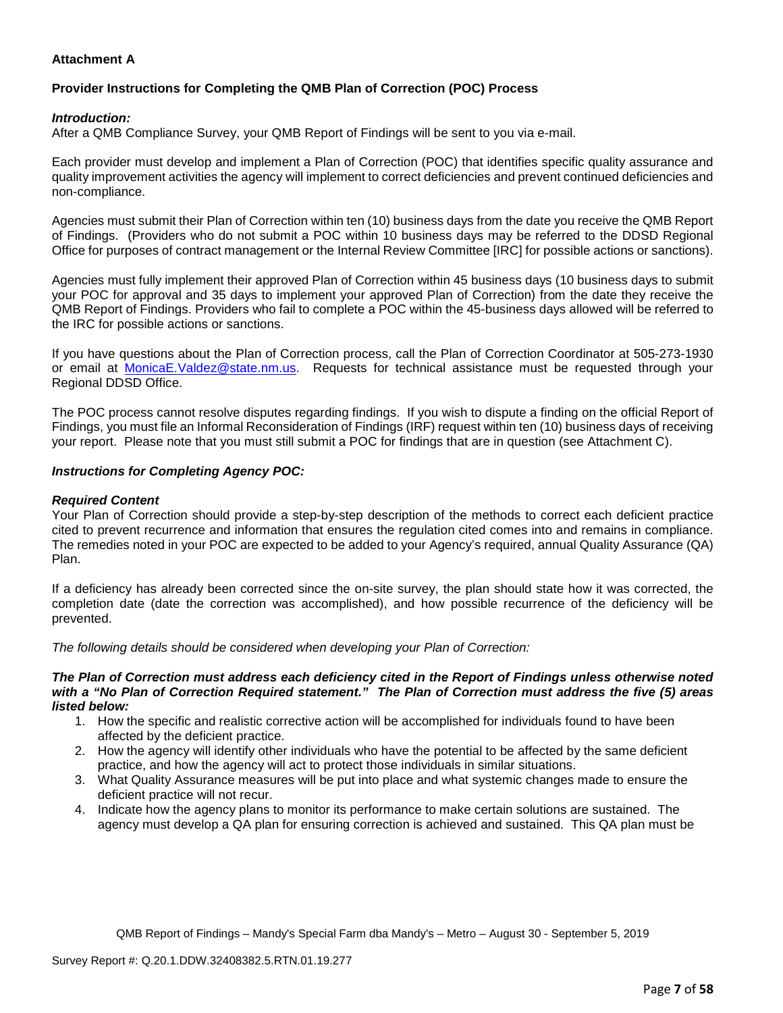## **Attachment A**

# **Provider Instructions for Completing the QMB Plan of Correction (POC) Process**

## *Introduction:*

After a QMB Compliance Survey, your QMB Report of Findings will be sent to you via e-mail.

Each provider must develop and implement a Plan of Correction (POC) that identifies specific quality assurance and quality improvement activities the agency will implement to correct deficiencies and prevent continued deficiencies and non-compliance.

Agencies must submit their Plan of Correction within ten (10) business days from the date you receive the QMB Report of Findings. (Providers who do not submit a POC within 10 business days may be referred to the DDSD Regional Office for purposes of contract management or the Internal Review Committee [IRC] for possible actions or sanctions).

Agencies must fully implement their approved Plan of Correction within 45 business days (10 business days to submit your POC for approval and 35 days to implement your approved Plan of Correction) from the date they receive the QMB Report of Findings. Providers who fail to complete a POC within the 45-business days allowed will be referred to the IRC for possible actions or sanctions.

If you have questions about the Plan of Correction process, call the Plan of Correction Coordinator at 505-273-1930 or email at [MonicaE.Valdez@state.nm.us.](mailto:MonicaE.Valdez@state.nm.us) Requests for technical assistance must be requested through your Regional DDSD Office.

The POC process cannot resolve disputes regarding findings. If you wish to dispute a finding on the official Report of Findings, you must file an Informal Reconsideration of Findings (IRF) request within ten (10) business days of receiving your report. Please note that you must still submit a POC for findings that are in question (see Attachment C).

## *Instructions for Completing Agency POC:*

## *Required Content*

Your Plan of Correction should provide a step-by-step description of the methods to correct each deficient practice cited to prevent recurrence and information that ensures the regulation cited comes into and remains in compliance. The remedies noted in your POC are expected to be added to your Agency's required, annual Quality Assurance (QA) Plan.

If a deficiency has already been corrected since the on-site survey, the plan should state how it was corrected, the completion date (date the correction was accomplished), and how possible recurrence of the deficiency will be prevented.

*The following details should be considered when developing your Plan of Correction:*

#### *The Plan of Correction must address each deficiency cited in the Report of Findings unless otherwise noted with a "No Plan of Correction Required statement." The Plan of Correction must address the five (5) areas listed below:*

- 1. How the specific and realistic corrective action will be accomplished for individuals found to have been affected by the deficient practice.
- 2. How the agency will identify other individuals who have the potential to be affected by the same deficient practice, and how the agency will act to protect those individuals in similar situations.
- 3. What Quality Assurance measures will be put into place and what systemic changes made to ensure the deficient practice will not recur.
- 4. Indicate how the agency plans to monitor its performance to make certain solutions are sustained. The agency must develop a QA plan for ensuring correction is achieved and sustained. This QA plan must be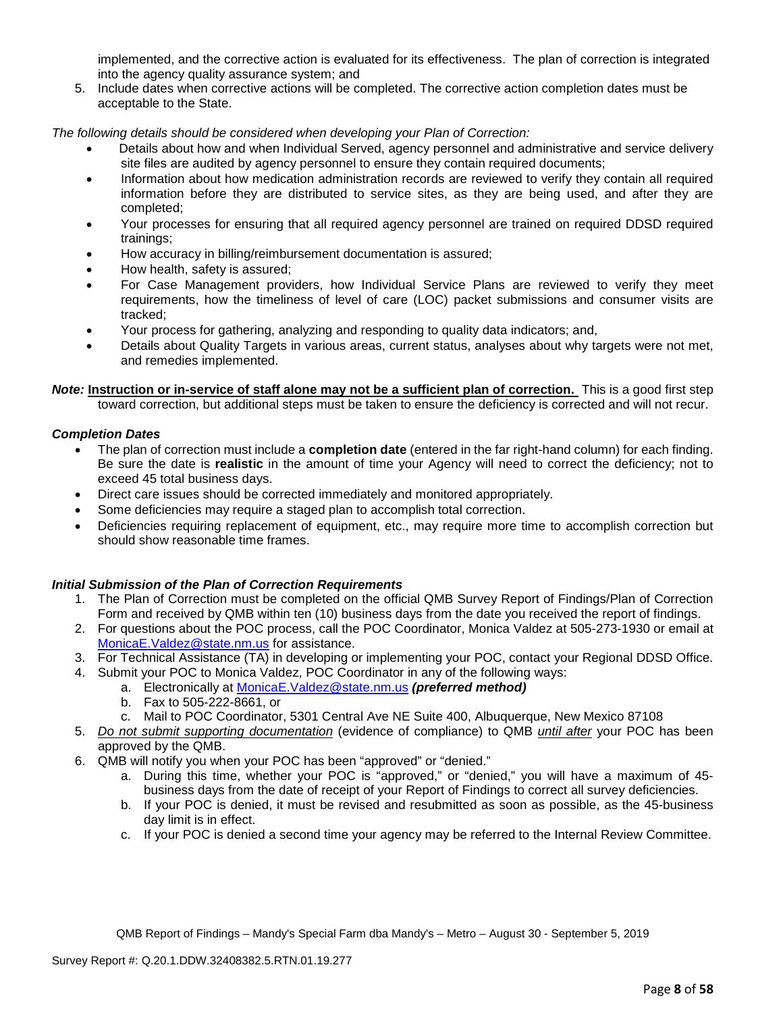implemented, and the corrective action is evaluated for its effectiveness. The plan of correction is integrated into the agency quality assurance system; and

5. Include dates when corrective actions will be completed. The corrective action completion dates must be acceptable to the State.

*The following details should be considered when developing your Plan of Correction:*

- Details about how and when Individual Served, agency personnel and administrative and service delivery site files are audited by agency personnel to ensure they contain required documents;
- Information about how medication administration records are reviewed to verify they contain all required information before they are distributed to service sites, as they are being used, and after they are completed;
- Your processes for ensuring that all required agency personnel are trained on required DDSD required trainings;
- How accuracy in billing/reimbursement documentation is assured;
- How health, safety is assured;
- For Case Management providers, how Individual Service Plans are reviewed to verify they meet requirements, how the timeliness of level of care (LOC) packet submissions and consumer visits are tracked;
- Your process for gathering, analyzing and responding to quality data indicators; and,
- Details about Quality Targets in various areas, current status, analyses about why targets were not met, and remedies implemented.

*Note:* **Instruction or in-service of staff alone may not be a sufficient plan of correction.** This is a good first step toward correction, but additional steps must be taken to ensure the deficiency is corrected and will not recur.

## *Completion Dates*

- The plan of correction must include a **completion date** (entered in the far right-hand column) for each finding. Be sure the date is **realistic** in the amount of time your Agency will need to correct the deficiency; not to exceed 45 total business days.
- Direct care issues should be corrected immediately and monitored appropriately.
- Some deficiencies may require a staged plan to accomplish total correction.
- Deficiencies requiring replacement of equipment, etc., may require more time to accomplish correction but should show reasonable time frames.

### *Initial Submission of the Plan of Correction Requirements*

- 1. The Plan of Correction must be completed on the official QMB Survey Report of Findings/Plan of Correction Form and received by QMB within ten (10) business days from the date you received the report of findings.
- 2. For questions about the POC process, call the POC Coordinator, Monica Valdez at 505-273-1930 or email at [MonicaE.Valdez@state.nm.us](mailto:MonicaE.Valdez@state.nm.us) for assistance.
- 3. For Technical Assistance (TA) in developing or implementing your POC, contact your Regional DDSD Office.
- 4. Submit your POC to Monica Valdez, POC Coordinator in any of the following ways:
	- a. Electronically at [MonicaE.Valdez@state.nm.us](mailto:MonicaE.Valdez@state.nm.us) *(preferred method)*
	- b. Fax to 505-222-8661, or
	- c. Mail to POC Coordinator, 5301 Central Ave NE Suite 400, Albuquerque, New Mexico 87108
- 5. *Do not submit supporting documentation* (evidence of compliance) to QMB *until after* your POC has been approved by the QMB.
- 6. QMB will notify you when your POC has been "approved" or "denied."
	- a. During this time, whether your POC is "approved," or "denied," you will have a maximum of 45 business days from the date of receipt of your Report of Findings to correct all survey deficiencies.
	- b. If your POC is denied, it must be revised and resubmitted as soon as possible, as the 45-business day limit is in effect.
	- c. If your POC is denied a second time your agency may be referred to the Internal Review Committee.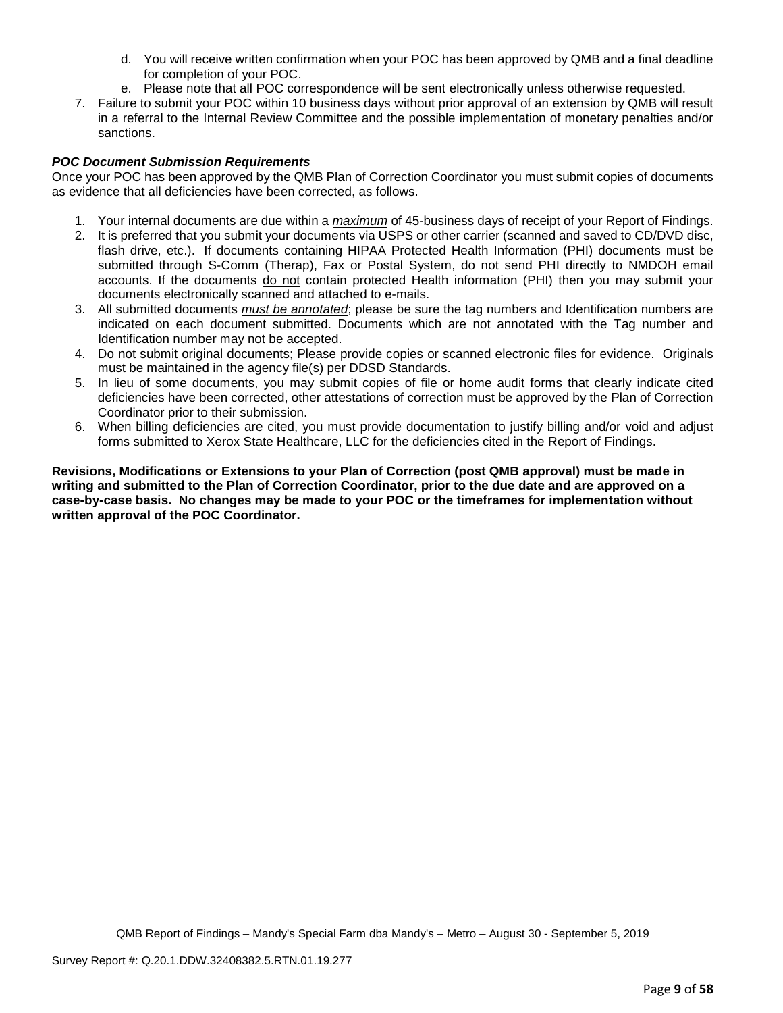- d. You will receive written confirmation when your POC has been approved by QMB and a final deadline for completion of your POC.
- e. Please note that all POC correspondence will be sent electronically unless otherwise requested.
- 7. Failure to submit your POC within 10 business days without prior approval of an extension by QMB will result in a referral to the Internal Review Committee and the possible implementation of monetary penalties and/or sanctions.

## *POC Document Submission Requirements*

Once your POC has been approved by the QMB Plan of Correction Coordinator you must submit copies of documents as evidence that all deficiencies have been corrected, as follows.

- 1. Your internal documents are due within a *maximum* of 45-business days of receipt of your Report of Findings.
- 2. It is preferred that you submit your documents via USPS or other carrier (scanned and saved to CD/DVD disc, flash drive, etc.). If documents containing HIPAA Protected Health Information (PHI) documents must be submitted through S-Comm (Therap), Fax or Postal System, do not send PHI directly to NMDOH email accounts. If the documents do not contain protected Health information (PHI) then you may submit your documents electronically scanned and attached to e-mails.
- 3. All submitted documents *must be annotated*; please be sure the tag numbers and Identification numbers are indicated on each document submitted. Documents which are not annotated with the Tag number and Identification number may not be accepted.
- 4. Do not submit original documents; Please provide copies or scanned electronic files for evidence. Originals must be maintained in the agency file(s) per DDSD Standards.
- 5. In lieu of some documents, you may submit copies of file or home audit forms that clearly indicate cited deficiencies have been corrected, other attestations of correction must be approved by the Plan of Correction Coordinator prior to their submission.
- 6. When billing deficiencies are cited, you must provide documentation to justify billing and/or void and adjust forms submitted to Xerox State Healthcare, LLC for the deficiencies cited in the Report of Findings.

**Revisions, Modifications or Extensions to your Plan of Correction (post QMB approval) must be made in writing and submitted to the Plan of Correction Coordinator, prior to the due date and are approved on a case-by-case basis. No changes may be made to your POC or the timeframes for implementation without written approval of the POC Coordinator.**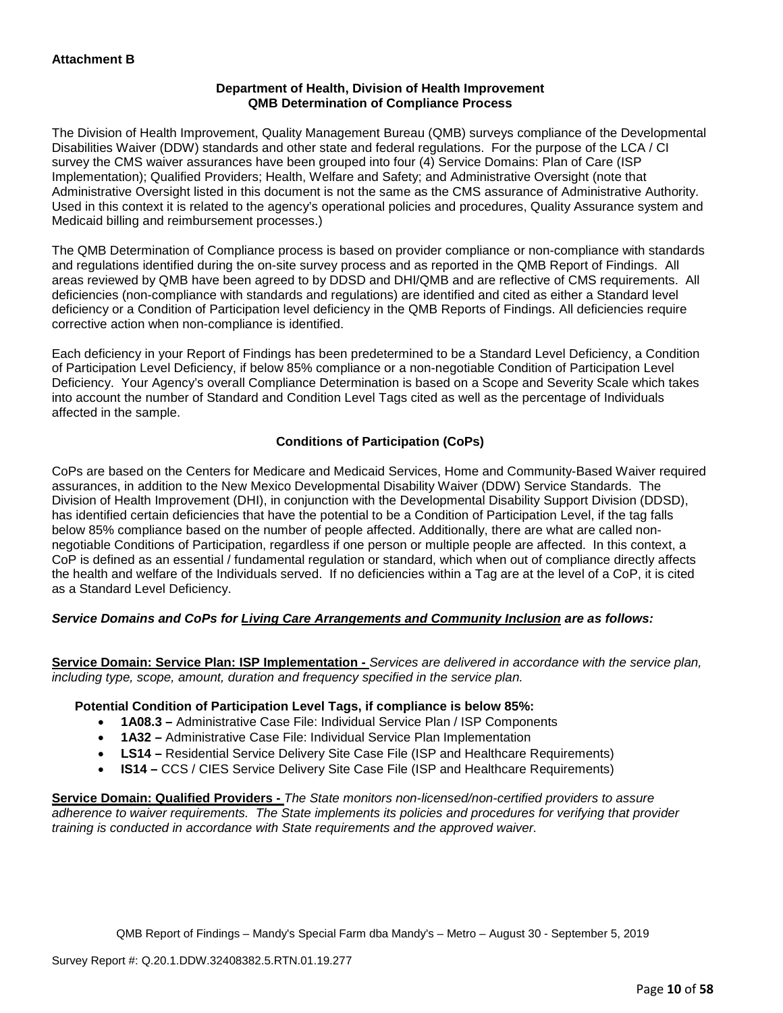## **Department of Health, Division of Health Improvement QMB Determination of Compliance Process**

The Division of Health Improvement, Quality Management Bureau (QMB) surveys compliance of the Developmental Disabilities Waiver (DDW) standards and other state and federal regulations. For the purpose of the LCA / CI survey the CMS waiver assurances have been grouped into four (4) Service Domains: Plan of Care (ISP Implementation); Qualified Providers; Health, Welfare and Safety; and Administrative Oversight (note that Administrative Oversight listed in this document is not the same as the CMS assurance of Administrative Authority. Used in this context it is related to the agency's operational policies and procedures, Quality Assurance system and Medicaid billing and reimbursement processes.)

The QMB Determination of Compliance process is based on provider compliance or non-compliance with standards and regulations identified during the on-site survey process and as reported in the QMB Report of Findings. All areas reviewed by QMB have been agreed to by DDSD and DHI/QMB and are reflective of CMS requirements. All deficiencies (non-compliance with standards and regulations) are identified and cited as either a Standard level deficiency or a Condition of Participation level deficiency in the QMB Reports of Findings. All deficiencies require corrective action when non-compliance is identified.

Each deficiency in your Report of Findings has been predetermined to be a Standard Level Deficiency, a Condition of Participation Level Deficiency, if below 85% compliance or a non-negotiable Condition of Participation Level Deficiency. Your Agency's overall Compliance Determination is based on a Scope and Severity Scale which takes into account the number of Standard and Condition Level Tags cited as well as the percentage of Individuals affected in the sample.

## **Conditions of Participation (CoPs)**

CoPs are based on the Centers for Medicare and Medicaid Services, Home and Community-Based Waiver required assurances, in addition to the New Mexico Developmental Disability Waiver (DDW) Service Standards. The Division of Health Improvement (DHI), in conjunction with the Developmental Disability Support Division (DDSD), has identified certain deficiencies that have the potential to be a Condition of Participation Level, if the tag falls below 85% compliance based on the number of people affected. Additionally, there are what are called nonnegotiable Conditions of Participation, regardless if one person or multiple people are affected. In this context, a CoP is defined as an essential / fundamental regulation or standard, which when out of compliance directly affects the health and welfare of the Individuals served. If no deficiencies within a Tag are at the level of a CoP, it is cited as a Standard Level Deficiency.

## *Service Domains and CoPs for Living Care Arrangements and Community Inclusion are as follows:*

**Service Domain: Service Plan: ISP Implementation -** *Services are delivered in accordance with the service plan, including type, scope, amount, duration and frequency specified in the service plan.*

## **Potential Condition of Participation Level Tags, if compliance is below 85%:**

- **1A08.3 –** Administrative Case File: Individual Service Plan / ISP Components
- **1A32 –** Administrative Case File: Individual Service Plan Implementation
- **LS14 –** Residential Service Delivery Site Case File (ISP and Healthcare Requirements)
- **IS14 –** CCS / CIES Service Delivery Site Case File (ISP and Healthcare Requirements)

**Service Domain: Qualified Providers -** *The State monitors non-licensed/non-certified providers to assure adherence to waiver requirements. The State implements its policies and procedures for verifying that provider training is conducted in accordance with State requirements and the approved waiver.*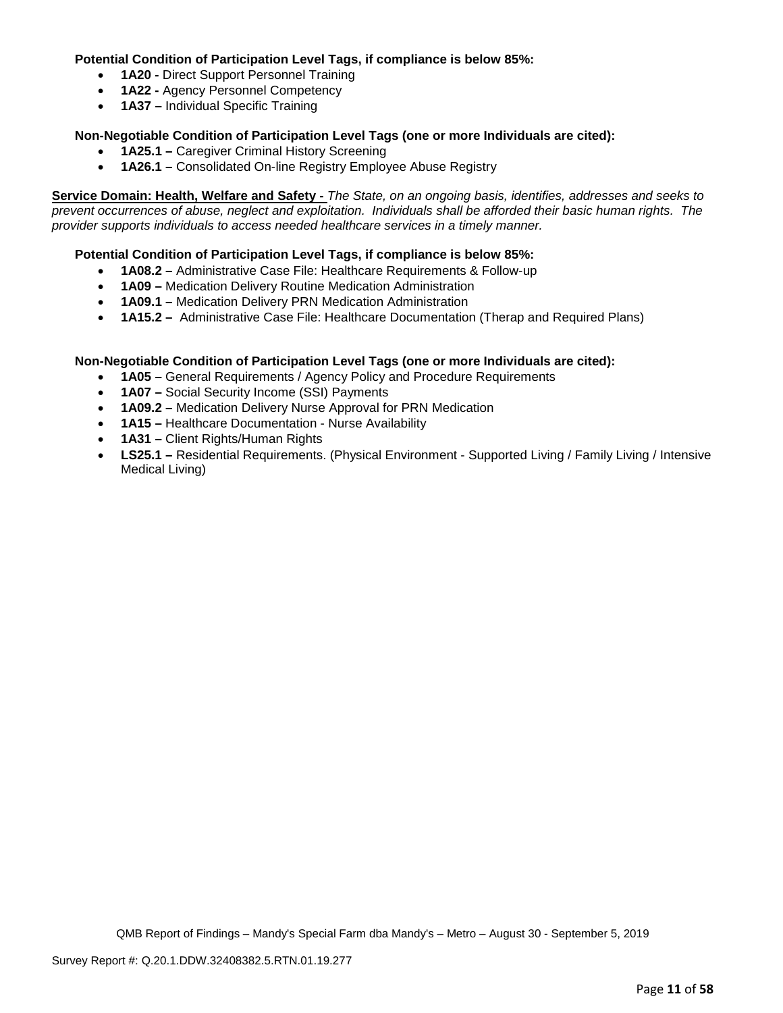## **Potential Condition of Participation Level Tags, if compliance is below 85%:**

- **1A20 -** Direct Support Personnel Training
- **1A22 -** Agency Personnel Competency
- **1A37 –** Individual Specific Training

## **Non-Negotiable Condition of Participation Level Tags (one or more Individuals are cited):**

- **1A25.1 –** Caregiver Criminal History Screening
- **1A26.1 –** Consolidated On-line Registry Employee Abuse Registry

**Service Domain: Health, Welfare and Safety -** *The State, on an ongoing basis, identifies, addresses and seeks to prevent occurrences of abuse, neglect and exploitation. Individuals shall be afforded their basic human rights. The provider supports individuals to access needed healthcare services in a timely manner.*

## **Potential Condition of Participation Level Tags, if compliance is below 85%:**

- **1A08.2 –** Administrative Case File: Healthcare Requirements & Follow-up
- **1A09 –** Medication Delivery Routine Medication Administration
- **1A09.1 –** Medication Delivery PRN Medication Administration
- **1A15.2 –** Administrative Case File: Healthcare Documentation (Therap and Required Plans)

### **Non-Negotiable Condition of Participation Level Tags (one or more Individuals are cited):**

- **1A05 –** General Requirements / Agency Policy and Procedure Requirements
- **1A07 –** Social Security Income (SSI) Payments
- **1A09.2 –** Medication Delivery Nurse Approval for PRN Medication
- **1A15 –** Healthcare Documentation Nurse Availability
- **1A31 –** Client Rights/Human Rights
- **LS25.1 –** Residential Requirements. (Physical Environment Supported Living / Family Living / Intensive Medical Living)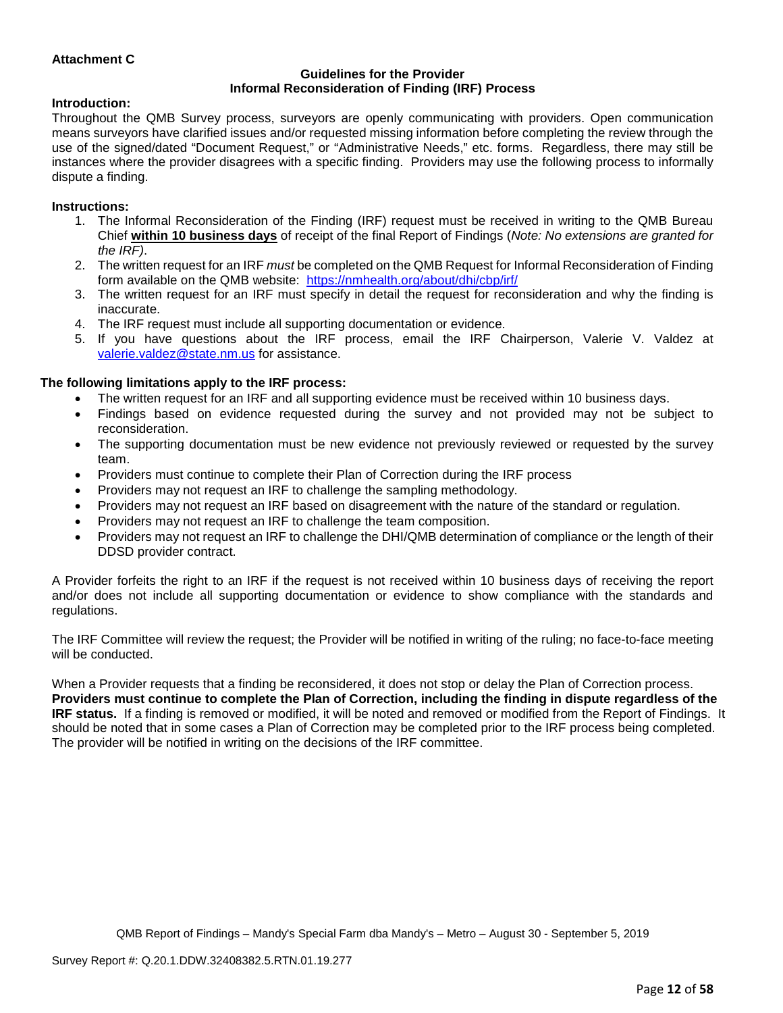## **Attachment C**

#### **Guidelines for the Provider Informal Reconsideration of Finding (IRF) Process**

### **Introduction:**

Throughout the QMB Survey process, surveyors are openly communicating with providers. Open communication means surveyors have clarified issues and/or requested missing information before completing the review through the use of the signed/dated "Document Request," or "Administrative Needs," etc. forms. Regardless, there may still be instances where the provider disagrees with a specific finding. Providers may use the following process to informally dispute a finding.

#### **Instructions:**

- 1. The Informal Reconsideration of the Finding (IRF) request must be received in writing to the QMB Bureau Chief **within 10 business days** of receipt of the final Report of Findings (*Note: No extensions are granted for the IRF)*.
- 2. The written request for an IRF *must* be completed on the QMB Request for Informal Reconsideration of Finding form available on the QMB website: <https://nmhealth.org/about/dhi/cbp/irf/>
- 3. The written request for an IRF must specify in detail the request for reconsideration and why the finding is inaccurate.
- 4. The IRF request must include all supporting documentation or evidence.
- 5. If you have questions about the IRF process, email the IRF Chairperson, Valerie V. Valdez at [valerie.valdez@state.nm.us](mailto:valerie.valdez@state.nm.us) for assistance.

### **The following limitations apply to the IRF process:**

- The written request for an IRF and all supporting evidence must be received within 10 business days.
- Findings based on evidence requested during the survey and not provided may not be subject to reconsideration.
- The supporting documentation must be new evidence not previously reviewed or requested by the survey team.
- Providers must continue to complete their Plan of Correction during the IRF process
- Providers may not request an IRF to challenge the sampling methodology.
- Providers may not request an IRF based on disagreement with the nature of the standard or regulation.
- Providers may not request an IRF to challenge the team composition.
- Providers may not request an IRF to challenge the DHI/QMB determination of compliance or the length of their DDSD provider contract.

A Provider forfeits the right to an IRF if the request is not received within 10 business days of receiving the report and/or does not include all supporting documentation or evidence to show compliance with the standards and regulations.

The IRF Committee will review the request; the Provider will be notified in writing of the ruling; no face-to-face meeting will be conducted.

When a Provider requests that a finding be reconsidered, it does not stop or delay the Plan of Correction process. **Providers must continue to complete the Plan of Correction, including the finding in dispute regardless of the IRF status.** If a finding is removed or modified, it will be noted and removed or modified from the Report of Findings. It should be noted that in some cases a Plan of Correction may be completed prior to the IRF process being completed. The provider will be notified in writing on the decisions of the IRF committee.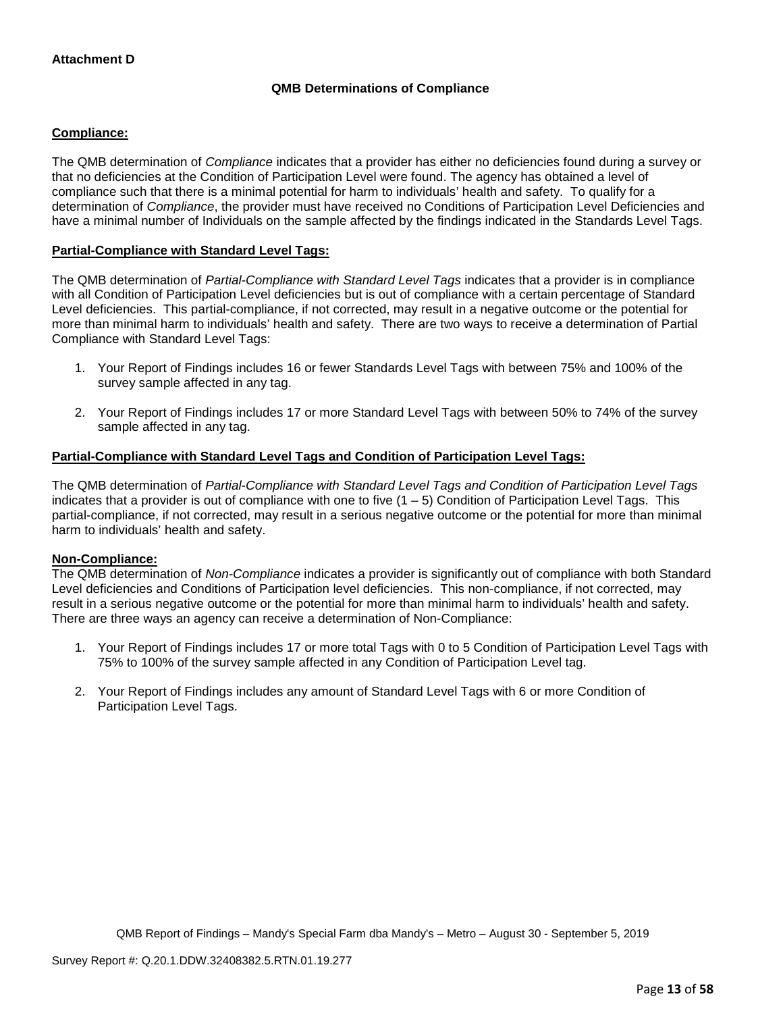## **QMB Determinations of Compliance**

## **Compliance:**

The QMB determination of *Compliance* indicates that a provider has either no deficiencies found during a survey or that no deficiencies at the Condition of Participation Level were found. The agency has obtained a level of compliance such that there is a minimal potential for harm to individuals' health and safety. To qualify for a determination of *Compliance*, the provider must have received no Conditions of Participation Level Deficiencies and have a minimal number of Individuals on the sample affected by the findings indicated in the Standards Level Tags.

## **Partial-Compliance with Standard Level Tags:**

The QMB determination of *Partial-Compliance with Standard Level Tags* indicates that a provider is in compliance with all Condition of Participation Level deficiencies but is out of compliance with a certain percentage of Standard Level deficiencies. This partial-compliance, if not corrected, may result in a negative outcome or the potential for more than minimal harm to individuals' health and safety. There are two ways to receive a determination of Partial Compliance with Standard Level Tags:

- 1. Your Report of Findings includes 16 or fewer Standards Level Tags with between 75% and 100% of the survey sample affected in any tag.
- 2. Your Report of Findings includes 17 or more Standard Level Tags with between 50% to 74% of the survey sample affected in any tag.

### **Partial-Compliance with Standard Level Tags and Condition of Participation Level Tags:**

The QMB determination of *Partial-Compliance with Standard Level Tags and Condition of Participation Level Tags*  indicates that a provider is out of compliance with one to five  $(1 - 5)$  Condition of Participation Level Tags. This partial-compliance, if not corrected, may result in a serious negative outcome or the potential for more than minimal harm to individuals' health and safety.

### **Non-Compliance:**

The QMB determination of *Non-Compliance* indicates a provider is significantly out of compliance with both Standard Level deficiencies and Conditions of Participation level deficiencies. This non-compliance, if not corrected, may result in a serious negative outcome or the potential for more than minimal harm to individuals' health and safety. There are three ways an agency can receive a determination of Non-Compliance:

- 1. Your Report of Findings includes 17 or more total Tags with 0 to 5 Condition of Participation Level Tags with 75% to 100% of the survey sample affected in any Condition of Participation Level tag.
- 2. Your Report of Findings includes any amount of Standard Level Tags with 6 or more Condition of Participation Level Tags.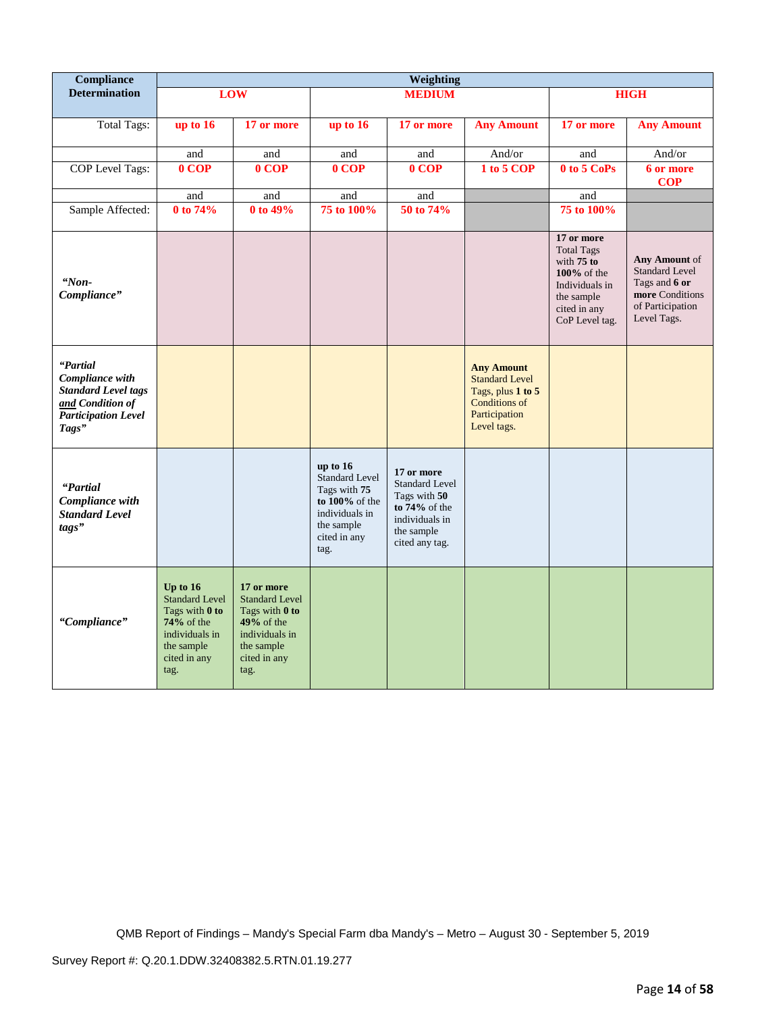| <b>Compliance</b>                                                                                                    |                                                                                                                             |                                                                                                                               |                                                                                                                                  | Weighting                                                                                                                 |                                                                                                                         |                                                                                                                                     |                                                                                                               |
|----------------------------------------------------------------------------------------------------------------------|-----------------------------------------------------------------------------------------------------------------------------|-------------------------------------------------------------------------------------------------------------------------------|----------------------------------------------------------------------------------------------------------------------------------|---------------------------------------------------------------------------------------------------------------------------|-------------------------------------------------------------------------------------------------------------------------|-------------------------------------------------------------------------------------------------------------------------------------|---------------------------------------------------------------------------------------------------------------|
| <b>Determination</b>                                                                                                 |                                                                                                                             | <b>LOW</b>                                                                                                                    |                                                                                                                                  | <b>MEDIUM</b>                                                                                                             |                                                                                                                         | <b>HIGH</b>                                                                                                                         |                                                                                                               |
| <b>Total Tags:</b>                                                                                                   | up to 16                                                                                                                    | 17 or more                                                                                                                    | up to $16$                                                                                                                       | 17 or more                                                                                                                | <b>Any Amount</b>                                                                                                       | 17 or more                                                                                                                          | <b>Any Amount</b>                                                                                             |
|                                                                                                                      | and                                                                                                                         | and                                                                                                                           | and                                                                                                                              | and                                                                                                                       | And/or                                                                                                                  | and                                                                                                                                 | And/or                                                                                                        |
| COP Level Tags:                                                                                                      | $0$ COP                                                                                                                     | $0$ COP                                                                                                                       | $0$ COP                                                                                                                          | $0$ COP                                                                                                                   | 1 to 5 COP                                                                                                              | $0$ to $5$ CoPs                                                                                                                     | 6 or more<br><b>COP</b>                                                                                       |
|                                                                                                                      | and                                                                                                                         | and                                                                                                                           | and                                                                                                                              | and                                                                                                                       |                                                                                                                         | and                                                                                                                                 |                                                                                                               |
| Sample Affected:                                                                                                     | 0 to 74%                                                                                                                    | 0 to 49%                                                                                                                      | 75 to 100%                                                                                                                       | 50 to 74%                                                                                                                 |                                                                                                                         | 75 to 100%                                                                                                                          |                                                                                                               |
| "Non-<br>Compliance"                                                                                                 |                                                                                                                             |                                                                                                                               |                                                                                                                                  |                                                                                                                           |                                                                                                                         | 17 or more<br><b>Total Tags</b><br>with $75$ to<br>$100\%$ of the<br>Individuals in<br>the sample<br>cited in any<br>CoP Level tag. | Any Amount of<br><b>Standard Level</b><br>Tags and 6 or<br>more Conditions<br>of Participation<br>Level Tags. |
| "Partial<br>Compliance with<br><b>Standard Level tags</b><br>and Condition of<br><b>Participation Level</b><br>Tags" |                                                                                                                             |                                                                                                                               |                                                                                                                                  |                                                                                                                           | <b>Any Amount</b><br><b>Standard Level</b><br>Tags, plus 1 to 5<br><b>Conditions of</b><br>Participation<br>Level tags. |                                                                                                                                     |                                                                                                               |
| "Partial<br>Compliance with<br><b>Standard Level</b><br>tags"                                                        |                                                                                                                             |                                                                                                                               | up to $16$<br><b>Standard Level</b><br>Tags with 75<br>to $100\%$ of the<br>individuals in<br>the sample<br>cited in any<br>tag. | 17 or more<br><b>Standard Level</b><br>Tags with 50<br>to $74\%$ of the<br>individuals in<br>the sample<br>cited any tag. |                                                                                                                         |                                                                                                                                     |                                                                                                               |
| "Compliance"                                                                                                         | Up to $16$<br><b>Standard Level</b><br>Tags with 0 to<br>74% of the<br>individuals in<br>the sample<br>cited in any<br>tag. | 17 or more<br><b>Standard Level</b><br>Tags with 0 to<br>$49%$ of the<br>individuals in<br>the sample<br>cited in any<br>tag. |                                                                                                                                  |                                                                                                                           |                                                                                                                         |                                                                                                                                     |                                                                                                               |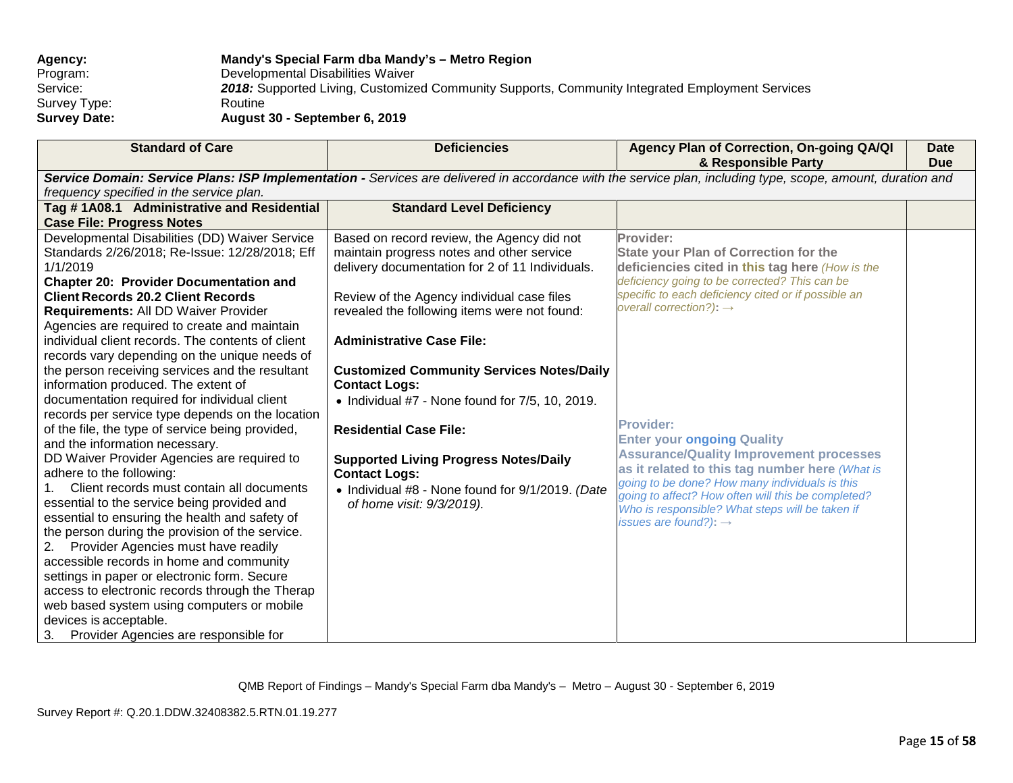| <b>Agency:</b>      | Mandy's Special Farm dba Mandy's - Metro Region                                                 |
|---------------------|-------------------------------------------------------------------------------------------------|
| Program:            | Developmental Disabilities Waiver                                                               |
| Service:            | 2018: Supported Living, Customized Community Supports, Community Integrated Employment Services |
| Survey Type:        | Routine                                                                                         |
| <b>Survey Date:</b> | August 30 - September 6, 2019                                                                   |

| <b>Standard of Care</b>                                                                                                                                     | <b>Deficiencies</b>                                     | Agency Plan of Correction, On-going QA/QI<br>& Responsible Party                                 | <b>Date</b><br><b>Due</b> |  |
|-------------------------------------------------------------------------------------------------------------------------------------------------------------|---------------------------------------------------------|--------------------------------------------------------------------------------------------------|---------------------------|--|
| Service Domain: Service Plans: ISP Implementation - Services are delivered in accordance with the service plan, including type, scope, amount, duration and |                                                         |                                                                                                  |                           |  |
| frequency specified in the service plan.                                                                                                                    |                                                         |                                                                                                  |                           |  |
| Tag #1A08.1 Administrative and Residential                                                                                                                  | <b>Standard Level Deficiency</b>                        |                                                                                                  |                           |  |
| <b>Case File: Progress Notes</b>                                                                                                                            |                                                         |                                                                                                  |                           |  |
| Developmental Disabilities (DD) Waiver Service                                                                                                              | Based on record review, the Agency did not              | Provider:                                                                                        |                           |  |
| Standards 2/26/2018; Re-Issue: 12/28/2018; Eff                                                                                                              | maintain progress notes and other service               | <b>State your Plan of Correction for the</b>                                                     |                           |  |
| 1/1/2019                                                                                                                                                    | delivery documentation for 2 of 11 Individuals.         | deficiencies cited in this tag here (How is the                                                  |                           |  |
| <b>Chapter 20: Provider Documentation and</b>                                                                                                               |                                                         | deficiency going to be corrected? This can be                                                    |                           |  |
| <b>Client Records 20.2 Client Records</b>                                                                                                                   | Review of the Agency individual case files              | specific to each deficiency cited or if possible an                                              |                           |  |
| Requirements: All DD Waiver Provider                                                                                                                        | revealed the following items were not found:            | overall correction?): $\rightarrow$                                                              |                           |  |
| Agencies are required to create and maintain                                                                                                                |                                                         |                                                                                                  |                           |  |
| individual client records. The contents of client                                                                                                           | <b>Administrative Case File:</b>                        |                                                                                                  |                           |  |
| records vary depending on the unique needs of                                                                                                               |                                                         |                                                                                                  |                           |  |
| the person receiving services and the resultant                                                                                                             | <b>Customized Community Services Notes/Daily</b>        |                                                                                                  |                           |  |
| information produced. The extent of                                                                                                                         | <b>Contact Logs:</b>                                    |                                                                                                  |                           |  |
| documentation required for individual client                                                                                                                | $\bullet$ Individual #7 - None found for 7/5, 10, 2019. |                                                                                                  |                           |  |
| records per service type depends on the location                                                                                                            |                                                         | <b>Provider:</b>                                                                                 |                           |  |
| of the file, the type of service being provided,                                                                                                            | <b>Residential Case File:</b>                           |                                                                                                  |                           |  |
| and the information necessary.                                                                                                                              |                                                         | <b>Enter your ongoing Quality</b>                                                                |                           |  |
| DD Waiver Provider Agencies are required to                                                                                                                 | <b>Supported Living Progress Notes/Daily</b>            | <b>Assurance/Quality Improvement processes</b><br>as it related to this tag number here (What is |                           |  |
| adhere to the following:                                                                                                                                    | <b>Contact Logs:</b>                                    | going to be done? How many individuals is this                                                   |                           |  |
| Client records must contain all documents<br>$1_{-}$                                                                                                        | • Individual #8 - None found for 9/1/2019. (Date        | going to affect? How often will this be completed?                                               |                           |  |
| essential to the service being provided and                                                                                                                 | of home visit: 9/3/2019).                               | Who is responsible? What steps will be taken if                                                  |                           |  |
| essential to ensuring the health and safety of                                                                                                              |                                                         | issues are found?): $\rightarrow$                                                                |                           |  |
| the person during the provision of the service.                                                                                                             |                                                         |                                                                                                  |                           |  |
| Provider Agencies must have readily<br>2.                                                                                                                   |                                                         |                                                                                                  |                           |  |
| accessible records in home and community                                                                                                                    |                                                         |                                                                                                  |                           |  |
| settings in paper or electronic form. Secure                                                                                                                |                                                         |                                                                                                  |                           |  |
| access to electronic records through the Therap                                                                                                             |                                                         |                                                                                                  |                           |  |
| web based system using computers or mobile                                                                                                                  |                                                         |                                                                                                  |                           |  |
| devices is acceptable.                                                                                                                                      |                                                         |                                                                                                  |                           |  |
| Provider Agencies are responsible for<br>3.                                                                                                                 |                                                         |                                                                                                  |                           |  |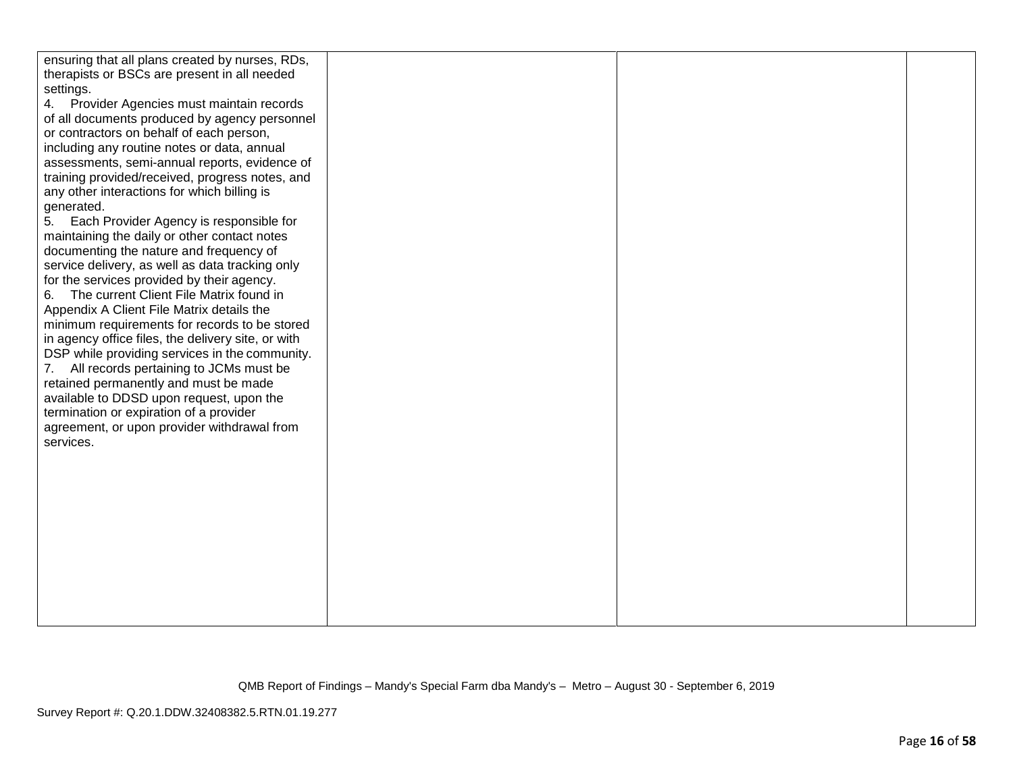| ensuring that all plans created by nurses, RDs,<br>therapists or BSCs are present in all needed<br>settings.<br>4. Provider Agencies must maintain records<br>of all documents produced by agency personnel<br>or contractors on behalf of each person,<br>including any routine notes or data, annual<br>assessments, semi-annual reports, evidence of<br>training provided/received, progress notes, and<br>any other interactions for which billing is<br>generated.<br>Each Provider Agency is responsible for<br>5.<br>maintaining the daily or other contact notes<br>documenting the nature and frequency of<br>service delivery, as well as data tracking only<br>for the services provided by their agency.<br>The current Client File Matrix found in<br>6.<br>Appendix A Client File Matrix details the<br>minimum requirements for records to be stored<br>in agency office files, the delivery site, or with<br>DSP while providing services in the community.<br>All records pertaining to JCMs must be<br>7.<br>retained permanently and must be made<br>available to DDSD upon request, upon the<br>termination or expiration of a provider<br>agreement, or upon provider withdrawal from<br>services. |  |  |
|-------------------------------------------------------------------------------------------------------------------------------------------------------------------------------------------------------------------------------------------------------------------------------------------------------------------------------------------------------------------------------------------------------------------------------------------------------------------------------------------------------------------------------------------------------------------------------------------------------------------------------------------------------------------------------------------------------------------------------------------------------------------------------------------------------------------------------------------------------------------------------------------------------------------------------------------------------------------------------------------------------------------------------------------------------------------------------------------------------------------------------------------------------------------------------------------------------------------------|--|--|
|                                                                                                                                                                                                                                                                                                                                                                                                                                                                                                                                                                                                                                                                                                                                                                                                                                                                                                                                                                                                                                                                                                                                                                                                                         |  |  |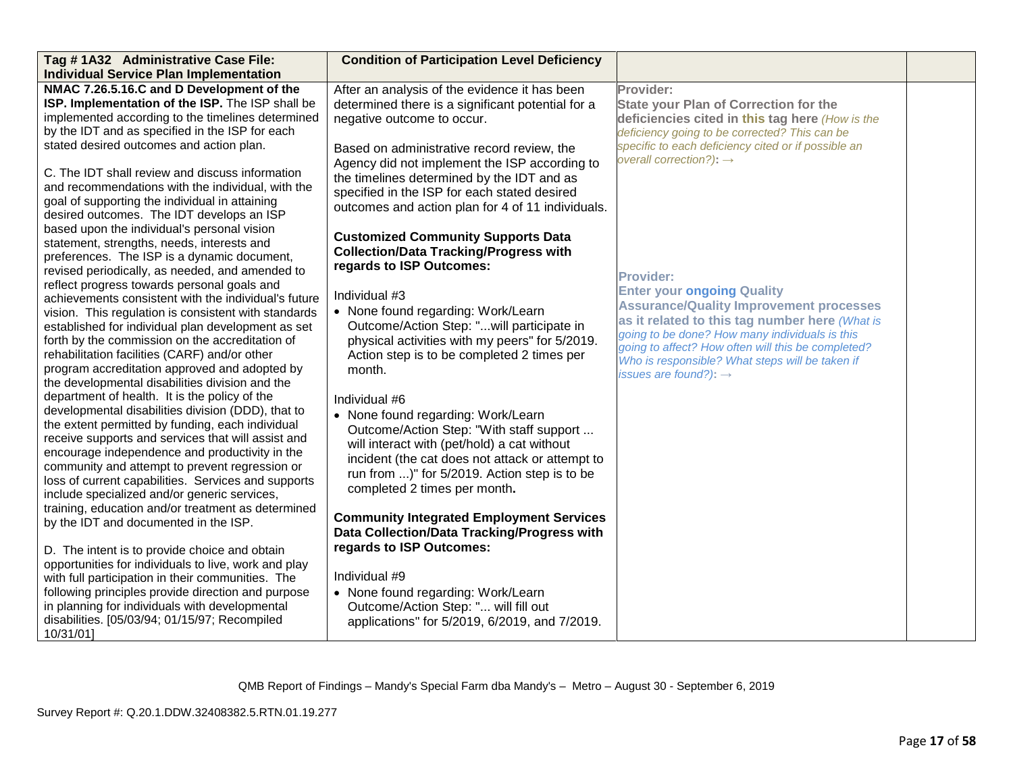| Tag #1A32 Administrative Case File:<br><b>Individual Service Plan Implementation</b>                  | <b>Condition of Participation Level Deficiency</b> |                                                     |  |
|-------------------------------------------------------------------------------------------------------|----------------------------------------------------|-----------------------------------------------------|--|
| NMAC 7.26.5.16.C and D Development of the                                                             | After an analysis of the evidence it has been      | Provider:                                           |  |
| ISP. Implementation of the ISP. The ISP shall be                                                      | determined there is a significant potential for a  | <b>State your Plan of Correction for the</b>        |  |
| implemented according to the timelines determined                                                     | negative outcome to occur.                         | deficiencies cited in this tag here (How is the     |  |
| by the IDT and as specified in the ISP for each                                                       |                                                    | deficiency going to be corrected? This can be       |  |
| stated desired outcomes and action plan.                                                              | Based on administrative record review, the         | specific to each deficiency cited or if possible an |  |
|                                                                                                       | Agency did not implement the ISP according to      | overall correction?): $\rightarrow$                 |  |
| C. The IDT shall review and discuss information                                                       | the timelines determined by the IDT and as         |                                                     |  |
| and recommendations with the individual, with the                                                     | specified in the ISP for each stated desired       |                                                     |  |
| goal of supporting the individual in attaining                                                        | outcomes and action plan for 4 of 11 individuals.  |                                                     |  |
| desired outcomes. The IDT develops an ISP                                                             |                                                    |                                                     |  |
| based upon the individual's personal vision                                                           | <b>Customized Community Supports Data</b>          |                                                     |  |
| statement, strengths, needs, interests and                                                            | <b>Collection/Data Tracking/Progress with</b>      |                                                     |  |
| preferences. The ISP is a dynamic document,                                                           | regards to ISP Outcomes:                           |                                                     |  |
| revised periodically, as needed, and amended to                                                       |                                                    | <b>Provider:</b>                                    |  |
| reflect progress towards personal goals and                                                           | Individual #3                                      | <b>Enter your ongoing Quality</b>                   |  |
| achievements consistent with the individual's future                                                  | • None found regarding: Work/Learn                 | <b>Assurance/Quality Improvement processes</b>      |  |
| vision. This regulation is consistent with standards                                                  | Outcome/Action Step: "will participate in          | as it related to this tag number here (What is      |  |
| established for individual plan development as set<br>forth by the commission on the accreditation of | physical activities with my peers" for 5/2019.     | going to be done? How many individuals is this      |  |
| rehabilitation facilities (CARF) and/or other                                                         | Action step is to be completed 2 times per         | going to affect? How often will this be completed?  |  |
| program accreditation approved and adopted by                                                         | month.                                             | Who is responsible? What steps will be taken if     |  |
| the developmental disabilities division and the                                                       |                                                    | issues are found?): $\rightarrow$                   |  |
| department of health. It is the policy of the                                                         | Individual #6                                      |                                                     |  |
| developmental disabilities division (DDD), that to                                                    |                                                    |                                                     |  |
| the extent permitted by funding, each individual                                                      | • None found regarding: Work/Learn                 |                                                     |  |
| receive supports and services that will assist and                                                    | Outcome/Action Step: "With staff support           |                                                     |  |
| encourage independence and productivity in the                                                        | will interact with (pet/hold) a cat without        |                                                     |  |
| community and attempt to prevent regression or                                                        | incident (the cat does not attack or attempt to    |                                                     |  |
| loss of current capabilities. Services and supports                                                   | run from )" for 5/2019. Action step is to be       |                                                     |  |
| include specialized and/or generic services,                                                          | completed 2 times per month.                       |                                                     |  |
| training, education and/or treatment as determined                                                    |                                                    |                                                     |  |
| by the IDT and documented in the ISP.                                                                 | <b>Community Integrated Employment Services</b>    |                                                     |  |
|                                                                                                       | Data Collection/Data Tracking/Progress with        |                                                     |  |
| D. The intent is to provide choice and obtain                                                         | regards to ISP Outcomes:                           |                                                     |  |
| opportunities for individuals to live, work and play                                                  |                                                    |                                                     |  |
| with full participation in their communities. The                                                     | Individual #9                                      |                                                     |  |
| following principles provide direction and purpose                                                    | • None found regarding: Work/Learn                 |                                                     |  |
| in planning for individuals with developmental                                                        | Outcome/Action Step: " will fill out               |                                                     |  |
| disabilities. [05/03/94; 01/15/97; Recompiled                                                         | applications" for 5/2019, 6/2019, and 7/2019.      |                                                     |  |
| 10/31/01]                                                                                             |                                                    |                                                     |  |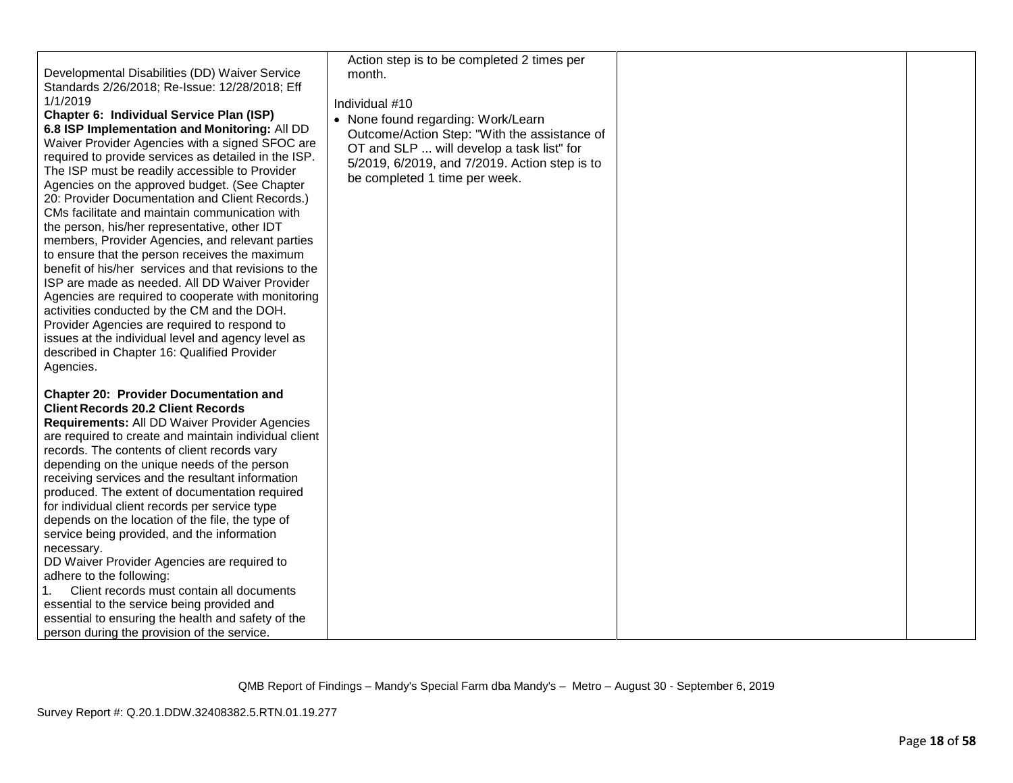| Developmental Disabilities (DD) Waiver Service<br>Standards 2/26/2018; Re-Issue: 12/28/2018; Eff<br>1/1/2019<br>Chapter 6: Individual Service Plan (ISP)<br>6.8 ISP Implementation and Monitoring: All DD<br>Waiver Provider Agencies with a signed SFOC are<br>required to provide services as detailed in the ISP.<br>The ISP must be readily accessible to Provider<br>Agencies on the approved budget. (See Chapter<br>20: Provider Documentation and Client Records.)<br>CMs facilitate and maintain communication with<br>the person, his/her representative, other IDT<br>members, Provider Agencies, and relevant parties<br>to ensure that the person receives the maximum<br>benefit of his/her services and that revisions to the<br>ISP are made as needed. All DD Waiver Provider<br>Agencies are required to cooperate with monitoring<br>activities conducted by the CM and the DOH.<br>Provider Agencies are required to respond to<br>issues at the individual level and agency level as<br>described in Chapter 16: Qualified Provider<br>Agencies. | Action step is to be completed 2 times per<br>month.<br>Individual #10<br>• None found regarding: Work/Learn<br>Outcome/Action Step: "With the assistance of<br>OT and SLP  will develop a task list" for<br>5/2019, 6/2019, and 7/2019. Action step is to<br>be completed 1 time per week. |  |
|-----------------------------------------------------------------------------------------------------------------------------------------------------------------------------------------------------------------------------------------------------------------------------------------------------------------------------------------------------------------------------------------------------------------------------------------------------------------------------------------------------------------------------------------------------------------------------------------------------------------------------------------------------------------------------------------------------------------------------------------------------------------------------------------------------------------------------------------------------------------------------------------------------------------------------------------------------------------------------------------------------------------------------------------------------------------------|---------------------------------------------------------------------------------------------------------------------------------------------------------------------------------------------------------------------------------------------------------------------------------------------|--|
| <b>Chapter 20: Provider Documentation and</b><br><b>Client Records 20.2 Client Records</b><br>Requirements: All DD Waiver Provider Agencies<br>are required to create and maintain individual client<br>records. The contents of client records vary<br>depending on the unique needs of the person<br>receiving services and the resultant information<br>produced. The extent of documentation required<br>for individual client records per service type<br>depends on the location of the file, the type of<br>service being provided, and the information<br>necessary.<br>DD Waiver Provider Agencies are required to<br>adhere to the following:<br>Client records must contain all documents<br>essential to the service being provided and<br>essential to ensuring the health and safety of the<br>person during the provision of the service.                                                                                                                                                                                                              |                                                                                                                                                                                                                                                                                             |  |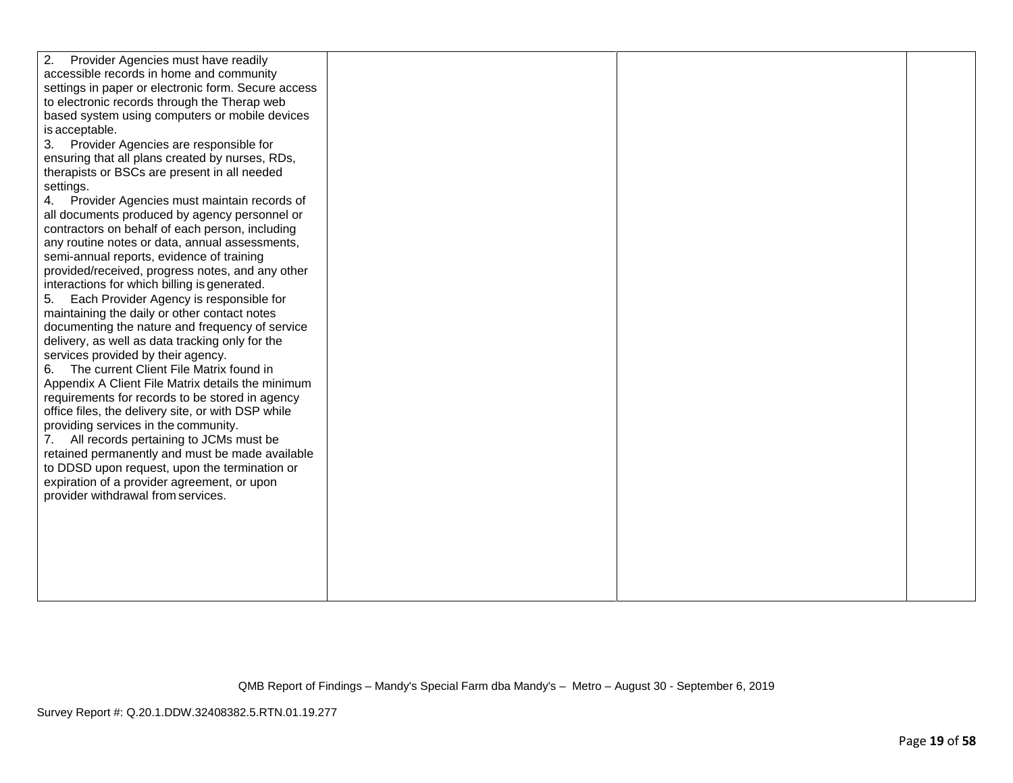| 2.<br>Provider Agencies must have readily<br>accessible records in home and community<br>settings in paper or electronic form. Secure access<br>to electronic records through the Therap web<br>based system using computers or mobile devices<br>is acceptable.<br>Provider Agencies are responsible for<br>3.<br>ensuring that all plans created by nurses, RDs,<br>therapists or BSCs are present in all needed<br>settings.<br>Provider Agencies must maintain records of<br>4.<br>all documents produced by agency personnel or<br>contractors on behalf of each person, including<br>any routine notes or data, annual assessments,<br>semi-annual reports, evidence of training<br>provided/received, progress notes, and any other<br>interactions for which billing is generated.<br>5.<br>Each Provider Agency is responsible for<br>maintaining the daily or other contact notes<br>documenting the nature and frequency of service<br>delivery, as well as data tracking only for the<br>services provided by their agency.<br>The current Client File Matrix found in<br>6.<br>Appendix A Client File Matrix details the minimum<br>requirements for records to be stored in agency<br>office files, the delivery site, or with DSP while<br>providing services in the community.<br>All records pertaining to JCMs must be<br>7.<br>retained permanently and must be made available<br>to DDSD upon request, upon the termination or<br>expiration of a provider agreement, or upon<br>provider withdrawal from services. |  |  |
|-----------------------------------------------------------------------------------------------------------------------------------------------------------------------------------------------------------------------------------------------------------------------------------------------------------------------------------------------------------------------------------------------------------------------------------------------------------------------------------------------------------------------------------------------------------------------------------------------------------------------------------------------------------------------------------------------------------------------------------------------------------------------------------------------------------------------------------------------------------------------------------------------------------------------------------------------------------------------------------------------------------------------------------------------------------------------------------------------------------------------------------------------------------------------------------------------------------------------------------------------------------------------------------------------------------------------------------------------------------------------------------------------------------------------------------------------------------------------------------------------------------------------------------------|--|--|
|                                                                                                                                                                                                                                                                                                                                                                                                                                                                                                                                                                                                                                                                                                                                                                                                                                                                                                                                                                                                                                                                                                                                                                                                                                                                                                                                                                                                                                                                                                                                         |  |  |
|                                                                                                                                                                                                                                                                                                                                                                                                                                                                                                                                                                                                                                                                                                                                                                                                                                                                                                                                                                                                                                                                                                                                                                                                                                                                                                                                                                                                                                                                                                                                         |  |  |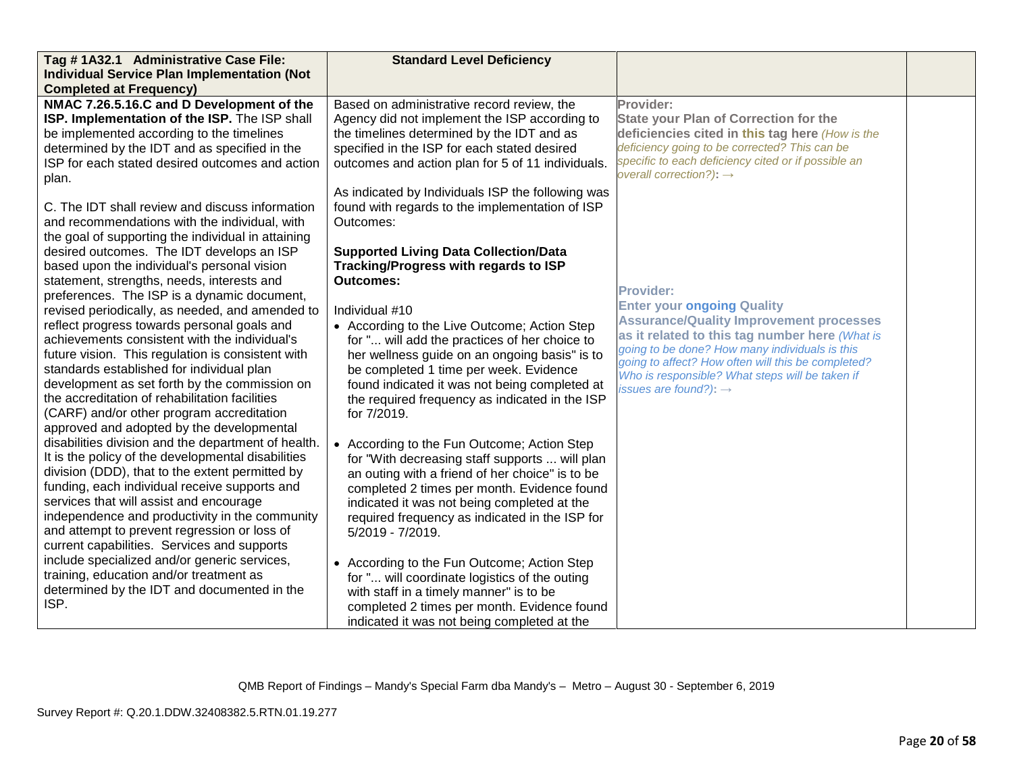| Tag #1A32.1 Administrative Case File:                                                                                                                                                                                                                                                                                                                                                                                                                                                                                                                                                                                                                                                                                                                                                                                                                                                                                                                                                                                                                                                                                                                                                                                                                                                                                                                             | <b>Standard Level Deficiency</b>                                                                                                                                                                                                                                                                                                                                                                                                                                                                                                                                                                                                                                                                                                                                                                                                                                                                                                                                                                                                  |                                                                                                                                                                                                                                                                                                                                                           |  |
|-------------------------------------------------------------------------------------------------------------------------------------------------------------------------------------------------------------------------------------------------------------------------------------------------------------------------------------------------------------------------------------------------------------------------------------------------------------------------------------------------------------------------------------------------------------------------------------------------------------------------------------------------------------------------------------------------------------------------------------------------------------------------------------------------------------------------------------------------------------------------------------------------------------------------------------------------------------------------------------------------------------------------------------------------------------------------------------------------------------------------------------------------------------------------------------------------------------------------------------------------------------------------------------------------------------------------------------------------------------------|-----------------------------------------------------------------------------------------------------------------------------------------------------------------------------------------------------------------------------------------------------------------------------------------------------------------------------------------------------------------------------------------------------------------------------------------------------------------------------------------------------------------------------------------------------------------------------------------------------------------------------------------------------------------------------------------------------------------------------------------------------------------------------------------------------------------------------------------------------------------------------------------------------------------------------------------------------------------------------------------------------------------------------------|-----------------------------------------------------------------------------------------------------------------------------------------------------------------------------------------------------------------------------------------------------------------------------------------------------------------------------------------------------------|--|
| <b>Individual Service Plan Implementation (Not</b>                                                                                                                                                                                                                                                                                                                                                                                                                                                                                                                                                                                                                                                                                                                                                                                                                                                                                                                                                                                                                                                                                                                                                                                                                                                                                                                |                                                                                                                                                                                                                                                                                                                                                                                                                                                                                                                                                                                                                                                                                                                                                                                                                                                                                                                                                                                                                                   |                                                                                                                                                                                                                                                                                                                                                           |  |
| <b>Completed at Frequency)</b>                                                                                                                                                                                                                                                                                                                                                                                                                                                                                                                                                                                                                                                                                                                                                                                                                                                                                                                                                                                                                                                                                                                                                                                                                                                                                                                                    |                                                                                                                                                                                                                                                                                                                                                                                                                                                                                                                                                                                                                                                                                                                                                                                                                                                                                                                                                                                                                                   |                                                                                                                                                                                                                                                                                                                                                           |  |
| NMAC 7.26.5.16.C and D Development of the<br>ISP. Implementation of the ISP. The ISP shall<br>be implemented according to the timelines<br>determined by the IDT and as specified in the<br>ISP for each stated desired outcomes and action                                                                                                                                                                                                                                                                                                                                                                                                                                                                                                                                                                                                                                                                                                                                                                                                                                                                                                                                                                                                                                                                                                                       | Based on administrative record review, the<br>Agency did not implement the ISP according to<br>the timelines determined by the IDT and as<br>specified in the ISP for each stated desired<br>outcomes and action plan for 5 of 11 individuals.                                                                                                                                                                                                                                                                                                                                                                                                                                                                                                                                                                                                                                                                                                                                                                                    | Provider:<br><b>State your Plan of Correction for the</b><br>deficiencies cited in this tag here (How is the<br>deficiency going to be corrected? This can be<br>specific to each deficiency cited or if possible an<br>overall correction?): $\rightarrow$                                                                                               |  |
| plan.<br>C. The IDT shall review and discuss information<br>and recommendations with the individual, with<br>the goal of supporting the individual in attaining<br>desired outcomes. The IDT develops an ISP<br>based upon the individual's personal vision<br>statement, strengths, needs, interests and<br>preferences. The ISP is a dynamic document,<br>revised periodically, as needed, and amended to<br>reflect progress towards personal goals and<br>achievements consistent with the individual's<br>future vision. This regulation is consistent with<br>standards established for individual plan<br>development as set forth by the commission on<br>the accreditation of rehabilitation facilities<br>(CARF) and/or other program accreditation<br>approved and adopted by the developmental<br>disabilities division and the department of health.<br>It is the policy of the developmental disabilities<br>division (DDD), that to the extent permitted by<br>funding, each individual receive supports and<br>services that will assist and encourage<br>independence and productivity in the community<br>and attempt to prevent regression or loss of<br>current capabilities. Services and supports<br>include specialized and/or generic services,<br>training, education and/or treatment as<br>determined by the IDT and documented in the | As indicated by Individuals ISP the following was<br>found with regards to the implementation of ISP<br>Outcomes:<br><b>Supported Living Data Collection/Data</b><br>Tracking/Progress with regards to ISP<br><b>Outcomes:</b><br>Individual #10<br>• According to the Live Outcome; Action Step<br>for " will add the practices of her choice to<br>her wellness guide on an ongoing basis" is to<br>be completed 1 time per week. Evidence<br>found indicated it was not being completed at<br>the required frequency as indicated in the ISP<br>for 7/2019.<br>• According to the Fun Outcome; Action Step<br>for "With decreasing staff supports  will plan<br>an outing with a friend of her choice" is to be<br>completed 2 times per month. Evidence found<br>indicated it was not being completed at the<br>required frequency as indicated in the ISP for<br>5/2019 - 7/2019.<br>• According to the Fun Outcome; Action Step<br>for " will coordinate logistics of the outing<br>with staff in a timely manner" is to be | <b>Provider:</b><br><b>Enter your ongoing Quality</b><br><b>Assurance/Quality Improvement processes</b><br>as it related to this tag number here (What is<br>going to be done? How many individuals is this<br>going to affect? How often will this be completed?<br>Who is responsible? What steps will be taken if<br>issues are found?): $\rightarrow$ |  |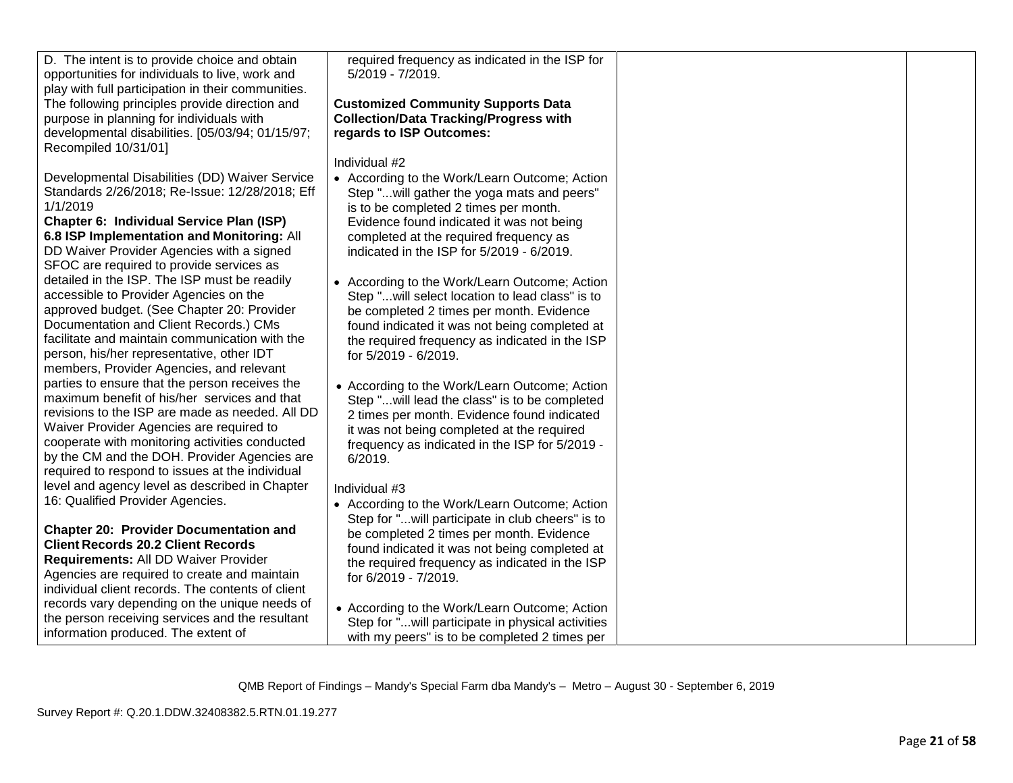| D. The intent is to provide choice and obtain<br>opportunities for individuals to live, work and<br>play with full participation in their communities. | required frequency as indicated in the ISP for<br>5/2019 - 7/2019. |  |
|--------------------------------------------------------------------------------------------------------------------------------------------------------|--------------------------------------------------------------------|--|
| The following principles provide direction and                                                                                                         | <b>Customized Community Supports Data</b>                          |  |
| purpose in planning for individuals with                                                                                                               | <b>Collection/Data Tracking/Progress with</b>                      |  |
| developmental disabilities. [05/03/94; 01/15/97;                                                                                                       | regards to ISP Outcomes:                                           |  |
| Recompiled 10/31/01]                                                                                                                                   |                                                                    |  |
|                                                                                                                                                        | Individual #2                                                      |  |
| Developmental Disabilities (DD) Waiver Service                                                                                                         | • According to the Work/Learn Outcome; Action                      |  |
| Standards 2/26/2018; Re-Issue: 12/28/2018; Eff                                                                                                         | Step " will gather the yoga mats and peers"                        |  |
| 1/1/2019                                                                                                                                               | is to be completed 2 times per month.                              |  |
| Chapter 6: Individual Service Plan (ISP)                                                                                                               | Evidence found indicated it was not being                          |  |
| 6.8 ISP Implementation and Monitoring: All                                                                                                             | completed at the required frequency as                             |  |
| DD Waiver Provider Agencies with a signed                                                                                                              | indicated in the ISP for 5/2019 - 6/2019.                          |  |
| SFOC are required to provide services as                                                                                                               |                                                                    |  |
| detailed in the ISP. The ISP must be readily                                                                                                           | • According to the Work/Learn Outcome; Action                      |  |
| accessible to Provider Agencies on the                                                                                                                 | Step "will select location to lead class" is to                    |  |
| approved budget. (See Chapter 20: Provider                                                                                                             | be completed 2 times per month. Evidence                           |  |
| Documentation and Client Records.) CMs                                                                                                                 | found indicated it was not being completed at                      |  |
| facilitate and maintain communication with the                                                                                                         | the required frequency as indicated in the ISP                     |  |
| person, his/her representative, other IDT                                                                                                              | for 5/2019 - 6/2019.                                               |  |
| members, Provider Agencies, and relevant                                                                                                               |                                                                    |  |
| parties to ensure that the person receives the                                                                                                         | • According to the Work/Learn Outcome; Action                      |  |
| maximum benefit of his/her services and that                                                                                                           | Step "will lead the class" is to be completed                      |  |
| revisions to the ISP are made as needed. All DD                                                                                                        | 2 times per month. Evidence found indicated                        |  |
| Waiver Provider Agencies are required to                                                                                                               | it was not being completed at the required                         |  |
| cooperate with monitoring activities conducted                                                                                                         | frequency as indicated in the ISP for 5/2019 -                     |  |
| by the CM and the DOH. Provider Agencies are                                                                                                           | 6/2019.                                                            |  |
| required to respond to issues at the individual                                                                                                        |                                                                    |  |
| level and agency level as described in Chapter                                                                                                         | Individual #3                                                      |  |
| 16: Qualified Provider Agencies.                                                                                                                       | • According to the Work/Learn Outcome; Action                      |  |
|                                                                                                                                                        | Step for "will participate in club cheers" is to                   |  |
| <b>Chapter 20: Provider Documentation and</b>                                                                                                          | be completed 2 times per month. Evidence                           |  |
| <b>Client Records 20.2 Client Records</b>                                                                                                              | found indicated it was not being completed at                      |  |
| Requirements: All DD Waiver Provider                                                                                                                   | the required frequency as indicated in the ISP                     |  |
| Agencies are required to create and maintain                                                                                                           | for 6/2019 - 7/2019.                                               |  |
| individual client records. The contents of client                                                                                                      |                                                                    |  |
| records vary depending on the unique needs of                                                                                                          | • According to the Work/Learn Outcome; Action                      |  |
| the person receiving services and the resultant                                                                                                        | Step for "will participate in physical activities                  |  |
| information produced. The extent of                                                                                                                    | with my peers" is to be completed 2 times per                      |  |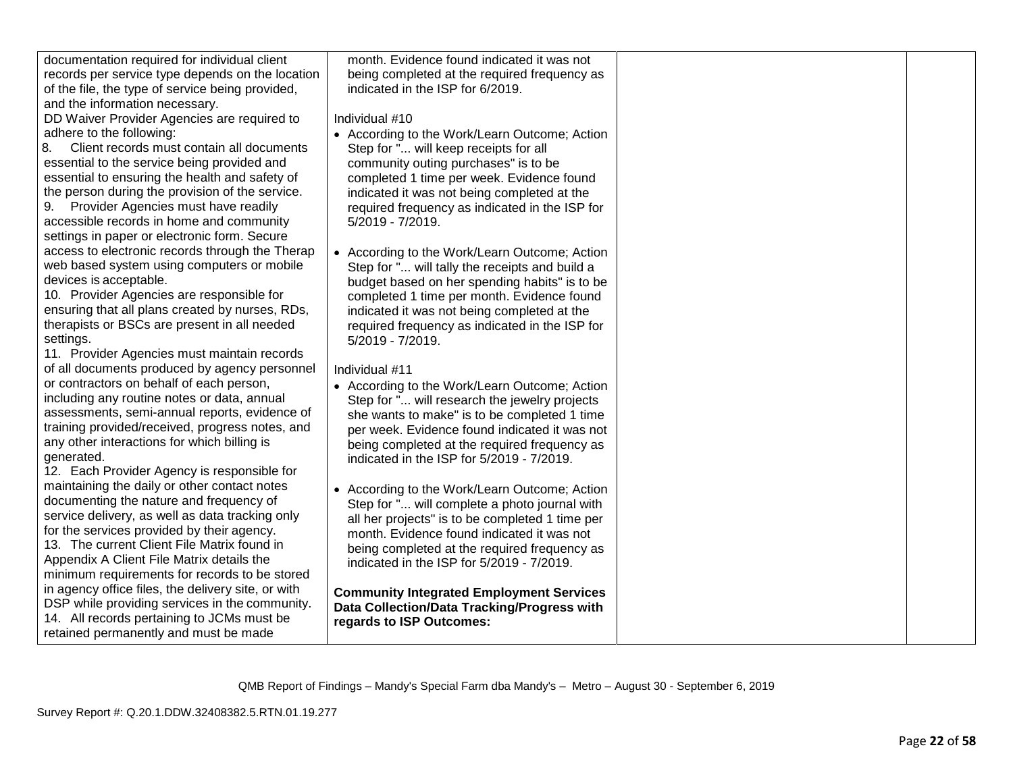| documentation required for individual client       | month. Evidence found indicated it was not      |  |
|----------------------------------------------------|-------------------------------------------------|--|
| records per service type depends on the location   | being completed at the required frequency as    |  |
| of the file, the type of service being provided,   | indicated in the ISP for 6/2019.                |  |
| and the information necessary.                     |                                                 |  |
| DD Waiver Provider Agencies are required to        | Individual #10                                  |  |
| adhere to the following:                           | • According to the Work/Learn Outcome; Action   |  |
| Client records must contain all documents<br>8.    | Step for " will keep receipts for all           |  |
| essential to the service being provided and        | community outing purchases" is to be            |  |
| essential to ensuring the health and safety of     | completed 1 time per week. Evidence found       |  |
| the person during the provision of the service.    | indicated it was not being completed at the     |  |
| 9. Provider Agencies must have readily             | required frequency as indicated in the ISP for  |  |
| accessible records in home and community           | 5/2019 - 7/2019.                                |  |
| settings in paper or electronic form. Secure       |                                                 |  |
| access to electronic records through the Therap    | • According to the Work/Learn Outcome; Action   |  |
| web based system using computers or mobile         | Step for " will tally the receipts and build a  |  |
| devices is acceptable.                             | budget based on her spending habits" is to be   |  |
| 10. Provider Agencies are responsible for          | completed 1 time per month. Evidence found      |  |
| ensuring that all plans created by nurses, RDs,    | indicated it was not being completed at the     |  |
| therapists or BSCs are present in all needed       | required frequency as indicated in the ISP for  |  |
| settings.                                          | 5/2019 - 7/2019.                                |  |
| 11. Provider Agencies must maintain records        |                                                 |  |
| of all documents produced by agency personnel      | Individual #11                                  |  |
| or contractors on behalf of each person,           | • According to the Work/Learn Outcome; Action   |  |
| including any routine notes or data, annual        | Step for " will research the jewelry projects   |  |
| assessments, semi-annual reports, evidence of      | she wants to make" is to be completed 1 time    |  |
| training provided/received, progress notes, and    | per week. Evidence found indicated it was not   |  |
| any other interactions for which billing is        | being completed at the required frequency as    |  |
| generated.                                         | indicated in the ISP for 5/2019 - 7/2019.       |  |
| 12. Each Provider Agency is responsible for        |                                                 |  |
| maintaining the daily or other contact notes       | • According to the Work/Learn Outcome; Action   |  |
| documenting the nature and frequency of            | Step for " will complete a photo journal with   |  |
| service delivery, as well as data tracking only    | all her projects" is to be completed 1 time per |  |
| for the services provided by their agency.         | month. Evidence found indicated it was not      |  |
| 13. The current Client File Matrix found in        | being completed at the required frequency as    |  |
| Appendix A Client File Matrix details the          | indicated in the ISP for 5/2019 - 7/2019.       |  |
| minimum requirements for records to be stored      |                                                 |  |
| in agency office files, the delivery site, or with | <b>Community Integrated Employment Services</b> |  |
| DSP while providing services in the community.     | Data Collection/Data Tracking/Progress with     |  |
| 14. All records pertaining to JCMs must be         | regards to ISP Outcomes:                        |  |
| retained permanently and must be made              |                                                 |  |
|                                                    |                                                 |  |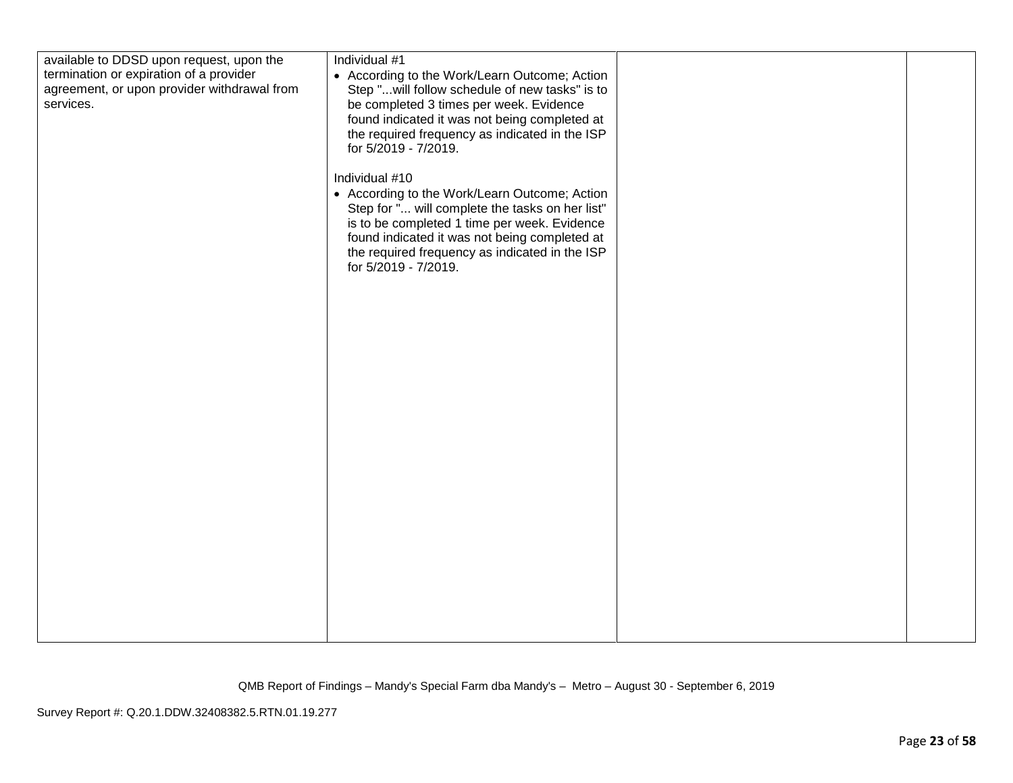| available to DDSD upon request, upon the<br>termination or expiration of a provider<br>agreement, or upon provider withdrawal from<br>services. | Individual #1<br>• According to the Work/Learn Outcome; Action<br>Step "will follow schedule of new tasks" is to<br>be completed 3 times per week. Evidence<br>found indicated it was not being completed at<br>the required frequency as indicated in the ISP<br>for 5/2019 - 7/2019.<br>Individual #10<br>• According to the Work/Learn Outcome; Action<br>Step for " will complete the tasks on her list"<br>is to be completed 1 time per week. Evidence<br>found indicated it was not being completed at<br>the required frequency as indicated in the ISP<br>for 5/2019 - 7/2019. |  |  |
|-------------------------------------------------------------------------------------------------------------------------------------------------|-----------------------------------------------------------------------------------------------------------------------------------------------------------------------------------------------------------------------------------------------------------------------------------------------------------------------------------------------------------------------------------------------------------------------------------------------------------------------------------------------------------------------------------------------------------------------------------------|--|--|
|-------------------------------------------------------------------------------------------------------------------------------------------------|-----------------------------------------------------------------------------------------------------------------------------------------------------------------------------------------------------------------------------------------------------------------------------------------------------------------------------------------------------------------------------------------------------------------------------------------------------------------------------------------------------------------------------------------------------------------------------------------|--|--|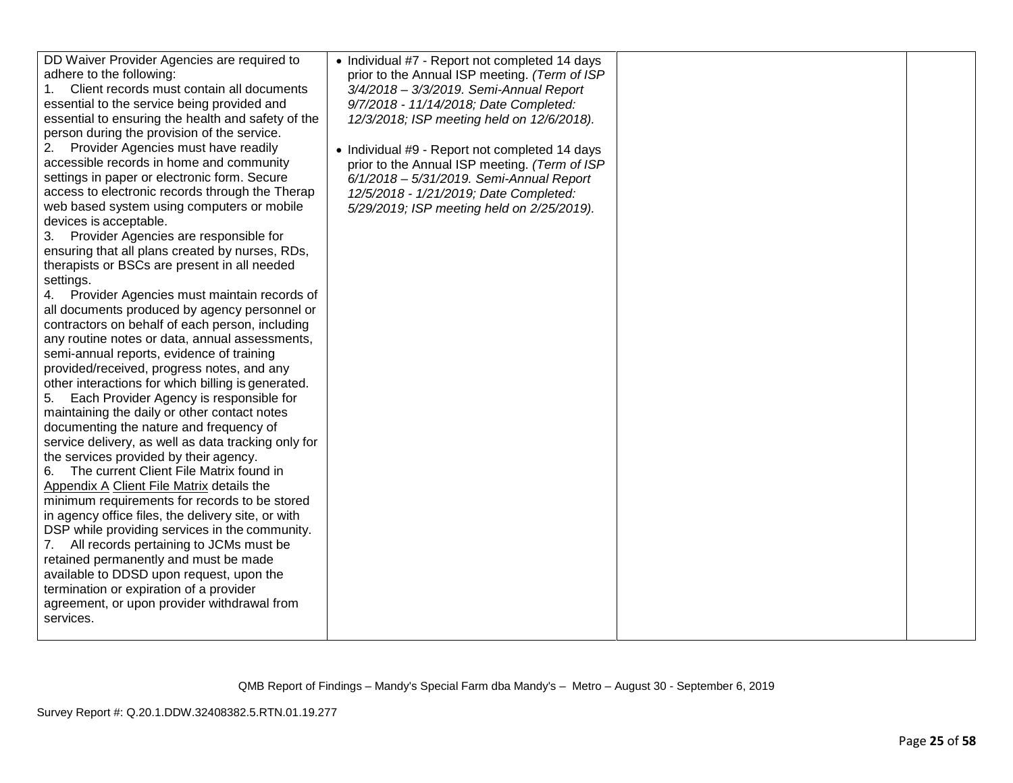| adhere to the following:<br>Client records must contain all documents<br>$1_{-}$<br>essential to the service being provided and<br>essential to ensuring the health and safety of the<br>person during the provision of the service.<br>Provider Agencies must have readily<br>accessible records in home and community<br>settings in paper or electronic form. Secure<br>access to electronic records through the Therap<br>web based system using computers or mobile<br>devices is acceptable.<br>Provider Agencies are responsible for<br>ensuring that all plans created by nurses, RDs,<br>therapists or BSCs are present in all needed<br>settings.<br>4. Provider Agencies must maintain records of<br>all documents produced by agency personnel or<br>contractors on behalf of each person, including<br>any routine notes or data, annual assessments,<br>semi-annual reports, evidence of training<br>provided/received, progress notes, and any<br>other interactions for which billing is generated.<br>Each Provider Agency is responsible for<br>maintaining the daily or other contact notes<br>documenting the nature and frequency of<br>service delivery, as well as data tracking only for<br>the services provided by their agency.<br>The current Client File Matrix found in<br>Appendix A Client File Matrix details the<br>minimum requirements for records to be stored<br>in agency office files, the delivery site, or with<br>DSP while providing services in the community.<br>All records pertaining to JCMs must be<br>7.<br>retained permanently and must be made<br>available to DDSD upon request, upon the<br>termination or expiration of a provider<br>agreement, or upon provider withdrawal from<br>services. | • Individual #7 - Report not completed 14 days<br>prior to the Annual ISP meeting. (Term of ISP<br>3/4/2018 - 3/3/2019. Semi-Annual Report<br>9/7/2018 - 11/14/2018; Date Completed:<br>12/3/2018; ISP meeting held on 12/6/2018).<br>• Individual #9 - Report not completed 14 days<br>prior to the Annual ISP meeting. (Term of ISP<br>6/1/2018 - 5/31/2019. Semi-Annual Report<br>12/5/2018 - 1/21/2019; Date Completed:<br>5/29/2019; ISP meeting held on 2/25/2019). |  |  |
|---------------------------------------------------------------------------------------------------------------------------------------------------------------------------------------------------------------------------------------------------------------------------------------------------------------------------------------------------------------------------------------------------------------------------------------------------------------------------------------------------------------------------------------------------------------------------------------------------------------------------------------------------------------------------------------------------------------------------------------------------------------------------------------------------------------------------------------------------------------------------------------------------------------------------------------------------------------------------------------------------------------------------------------------------------------------------------------------------------------------------------------------------------------------------------------------------------------------------------------------------------------------------------------------------------------------------------------------------------------------------------------------------------------------------------------------------------------------------------------------------------------------------------------------------------------------------------------------------------------------------------------------------------------------------------------------------------------------------------------------------------|---------------------------------------------------------------------------------------------------------------------------------------------------------------------------------------------------------------------------------------------------------------------------------------------------------------------------------------------------------------------------------------------------------------------------------------------------------------------------|--|--|
|---------------------------------------------------------------------------------------------------------------------------------------------------------------------------------------------------------------------------------------------------------------------------------------------------------------------------------------------------------------------------------------------------------------------------------------------------------------------------------------------------------------------------------------------------------------------------------------------------------------------------------------------------------------------------------------------------------------------------------------------------------------------------------------------------------------------------------------------------------------------------------------------------------------------------------------------------------------------------------------------------------------------------------------------------------------------------------------------------------------------------------------------------------------------------------------------------------------------------------------------------------------------------------------------------------------------------------------------------------------------------------------------------------------------------------------------------------------------------------------------------------------------------------------------------------------------------------------------------------------------------------------------------------------------------------------------------------------------------------------------------------|---------------------------------------------------------------------------------------------------------------------------------------------------------------------------------------------------------------------------------------------------------------------------------------------------------------------------------------------------------------------------------------------------------------------------------------------------------------------------|--|--|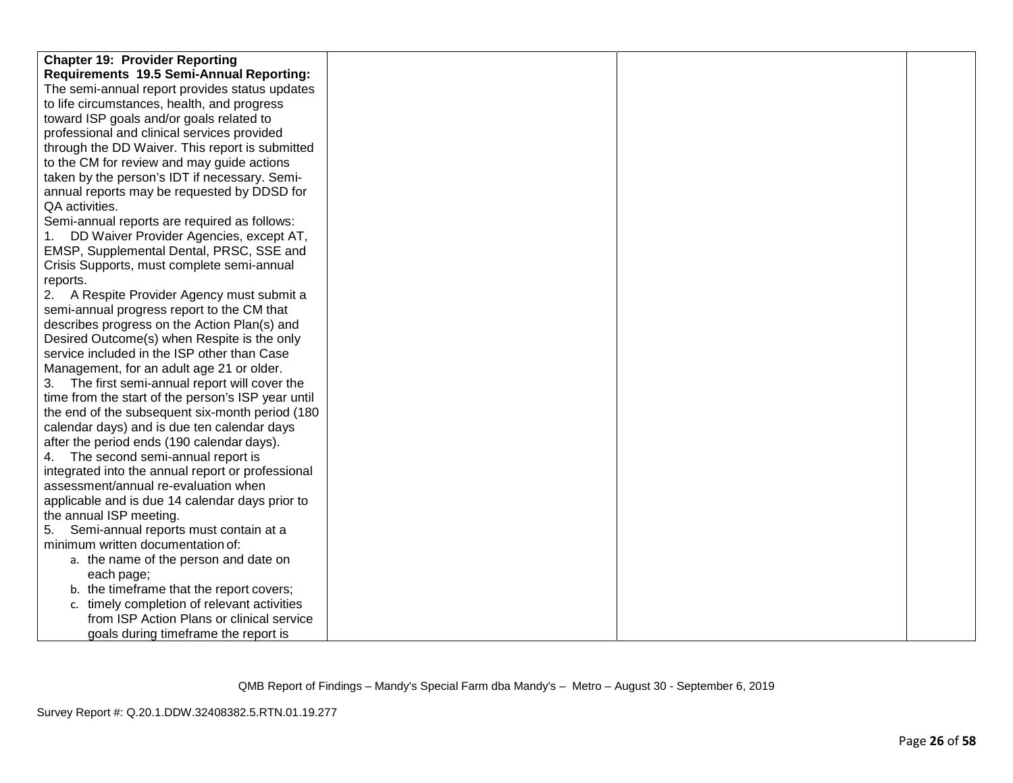| <b>Chapter 19: Provider Reporting</b>              |  |  |
|----------------------------------------------------|--|--|
| Requirements 19.5 Semi-Annual Reporting:           |  |  |
| The semi-annual report provides status updates     |  |  |
| to life circumstances, health, and progress        |  |  |
| toward ISP goals and/or goals related to           |  |  |
| professional and clinical services provided        |  |  |
| through the DD Waiver. This report is submitted    |  |  |
| to the CM for review and may guide actions         |  |  |
| taken by the person's IDT if necessary. Semi-      |  |  |
| annual reports may be requested by DDSD for        |  |  |
| QA activities.                                     |  |  |
| Semi-annual reports are required as follows:       |  |  |
| DD Waiver Provider Agencies, except AT,            |  |  |
| EMSP, Supplemental Dental, PRSC, SSE and           |  |  |
| Crisis Supports, must complete semi-annual         |  |  |
| reports.                                           |  |  |
| 2. A Respite Provider Agency must submit a         |  |  |
| semi-annual progress report to the CM that         |  |  |
| describes progress on the Action Plan(s) and       |  |  |
| Desired Outcome(s) when Respite is the only        |  |  |
| service included in the ISP other than Case        |  |  |
| Management, for an adult age 21 or older.          |  |  |
| 3. The first semi-annual report will cover the     |  |  |
| time from the start of the person's ISP year until |  |  |
| the end of the subsequent six-month period (180    |  |  |
| calendar days) and is due ten calendar days        |  |  |
| after the period ends (190 calendar days).         |  |  |
| 4. The second semi-annual report is                |  |  |
| integrated into the annual report or professional  |  |  |
| assessment/annual re-evaluation when               |  |  |
| applicable and is due 14 calendar days prior to    |  |  |
| the annual ISP meeting.                            |  |  |
| Semi-annual reports must contain at a<br>5.        |  |  |
| minimum written documentation of:                  |  |  |
| a. the name of the person and date on              |  |  |
| each page;                                         |  |  |
| b. the timeframe that the report covers;           |  |  |
| c. timely completion of relevant activities        |  |  |
| from ISP Action Plans or clinical service          |  |  |
| goals during timeframe the report is               |  |  |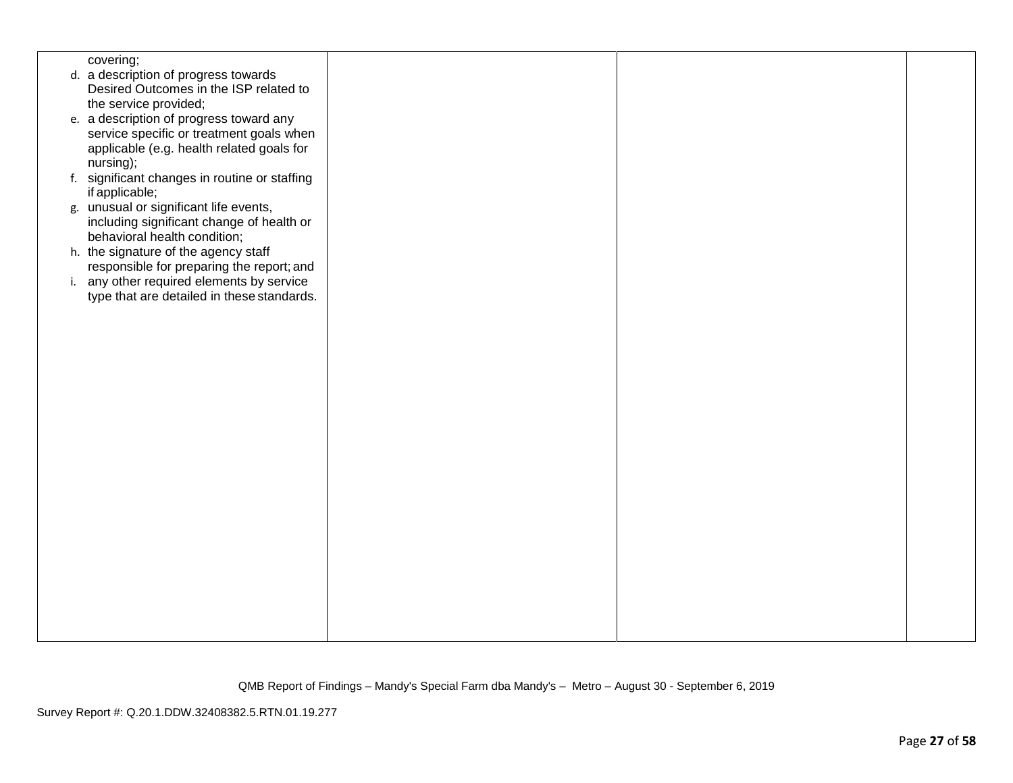| covering;                                     |  |  |
|-----------------------------------------------|--|--|
| d. a description of progress towards          |  |  |
| Desired Outcomes in the ISP related to        |  |  |
| the service provided;                         |  |  |
|                                               |  |  |
| e. a description of progress toward any       |  |  |
| service specific or treatment goals when      |  |  |
| applicable (e.g. health related goals for     |  |  |
| nursing);                                     |  |  |
| f. significant changes in routine or staffing |  |  |
| if applicable;                                |  |  |
| g. unusual or significant life events,        |  |  |
|                                               |  |  |
| including significant change of health or     |  |  |
| behavioral health condition;                  |  |  |
| h. the signature of the agency staff          |  |  |
| responsible for preparing the report; and     |  |  |
| i. any other required elements by service     |  |  |
| type that are detailed in these standards.    |  |  |
|                                               |  |  |
|                                               |  |  |
|                                               |  |  |
|                                               |  |  |
|                                               |  |  |
|                                               |  |  |
|                                               |  |  |
|                                               |  |  |
|                                               |  |  |
|                                               |  |  |
|                                               |  |  |
|                                               |  |  |
|                                               |  |  |
|                                               |  |  |
|                                               |  |  |
|                                               |  |  |
|                                               |  |  |
|                                               |  |  |
|                                               |  |  |
|                                               |  |  |
|                                               |  |  |
|                                               |  |  |
|                                               |  |  |
|                                               |  |  |
|                                               |  |  |
|                                               |  |  |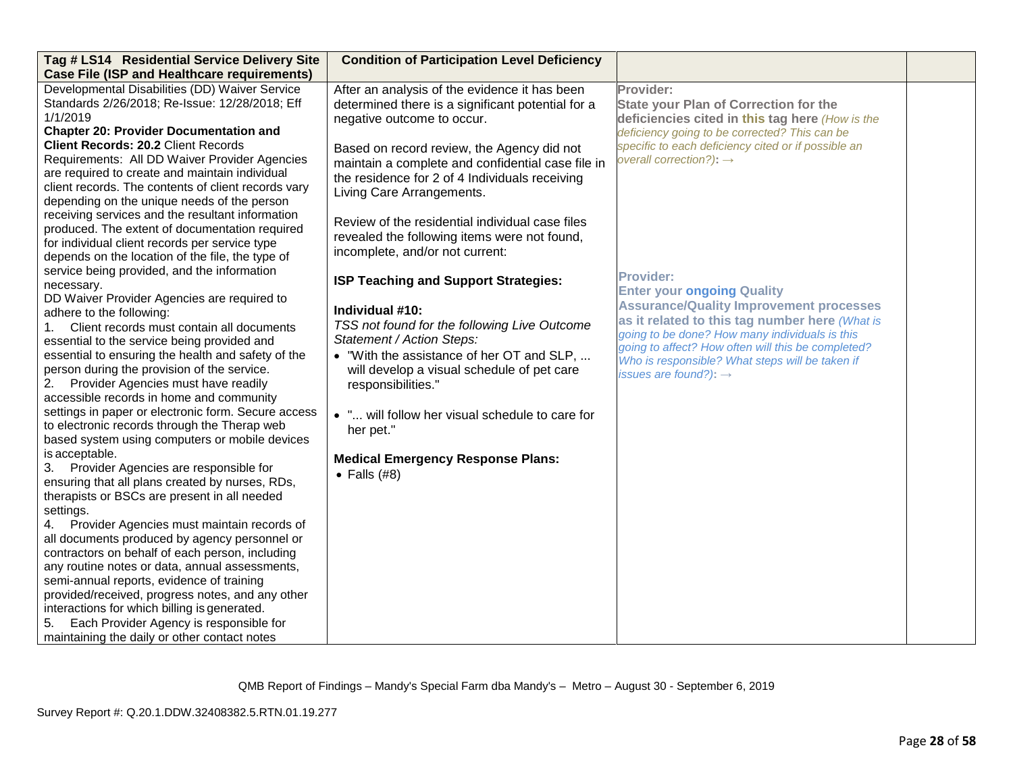| Tag # LS14 Residential Service Delivery Site                                                     | <b>Condition of Participation Level Deficiency</b>                              |                                                                                                       |  |
|--------------------------------------------------------------------------------------------------|---------------------------------------------------------------------------------|-------------------------------------------------------------------------------------------------------|--|
| <b>Case File (ISP and Healthcare requirements)</b>                                               |                                                                                 |                                                                                                       |  |
| Developmental Disabilities (DD) Waiver Service<br>Standards 2/26/2018; Re-Issue: 12/28/2018; Eff | After an analysis of the evidence it has been                                   | Provider:<br><b>State your Plan of Correction for the</b>                                             |  |
| 1/1/2019                                                                                         | determined there is a significant potential for a<br>negative outcome to occur. | deficiencies cited in this tag here (How is the                                                       |  |
| <b>Chapter 20: Provider Documentation and</b>                                                    |                                                                                 | deficiency going to be corrected? This can be                                                         |  |
| <b>Client Records: 20.2 Client Records</b>                                                       | Based on record review, the Agency did not                                      | specific to each deficiency cited or if possible an                                                   |  |
| Requirements: All DD Waiver Provider Agencies                                                    | maintain a complete and confidential case file in                               | overall correction?): $\rightarrow$                                                                   |  |
| are required to create and maintain individual                                                   | the residence for 2 of 4 Individuals receiving                                  |                                                                                                       |  |
| client records. The contents of client records vary                                              | Living Care Arrangements.                                                       |                                                                                                       |  |
| depending on the unique needs of the person                                                      |                                                                                 |                                                                                                       |  |
| receiving services and the resultant information                                                 | Review of the residential individual case files                                 |                                                                                                       |  |
| produced. The extent of documentation required                                                   | revealed the following items were not found,                                    |                                                                                                       |  |
| for individual client records per service type                                                   | incomplete, and/or not current:                                                 |                                                                                                       |  |
| depends on the location of the file, the type of                                                 |                                                                                 |                                                                                                       |  |
| service being provided, and the information<br>necessary.                                        | ISP Teaching and Support Strategies:                                            | <b>Provider:</b>                                                                                      |  |
| DD Waiver Provider Agencies are required to                                                      |                                                                                 | <b>Enter your ongoing Quality</b>                                                                     |  |
| adhere to the following:                                                                         | Individual #10:                                                                 | <b>Assurance/Quality Improvement processes</b>                                                        |  |
| 1. Client records must contain all documents                                                     | TSS not found for the following Live Outcome                                    | as it related to this tag number here (What is                                                        |  |
| essential to the service being provided and                                                      | Statement / Action Steps:                                                       | going to be done? How many individuals is this                                                        |  |
| essential to ensuring the health and safety of the                                               | • "With the assistance of her OT and SLP,                                       | going to affect? How often will this be completed?<br>Who is responsible? What steps will be taken if |  |
| person during the provision of the service.                                                      | will develop a visual schedule of pet care                                      | issues are found?): $\rightarrow$                                                                     |  |
| Provider Agencies must have readily<br>2.                                                        | responsibilities."                                                              |                                                                                                       |  |
| accessible records in home and community                                                         |                                                                                 |                                                                                                       |  |
| settings in paper or electronic form. Secure access                                              | . " will follow her visual schedule to care for                                 |                                                                                                       |  |
| to electronic records through the Therap web                                                     | her pet."                                                                       |                                                                                                       |  |
| based system using computers or mobile devices                                                   |                                                                                 |                                                                                                       |  |
| is acceptable.                                                                                   | <b>Medical Emergency Response Plans:</b>                                        |                                                                                                       |  |
| 3. Provider Agencies are responsible for<br>ensuring that all plans created by nurses, RDs,      | $\bullet$ Falls (#8)                                                            |                                                                                                       |  |
| therapists or BSCs are present in all needed                                                     |                                                                                 |                                                                                                       |  |
| settings.                                                                                        |                                                                                 |                                                                                                       |  |
| 4.<br>Provider Agencies must maintain records of                                                 |                                                                                 |                                                                                                       |  |
| all documents produced by agency personnel or                                                    |                                                                                 |                                                                                                       |  |
| contractors on behalf of each person, including                                                  |                                                                                 |                                                                                                       |  |
| any routine notes or data, annual assessments,                                                   |                                                                                 |                                                                                                       |  |
| semi-annual reports, evidence of training                                                        |                                                                                 |                                                                                                       |  |
| provided/received, progress notes, and any other                                                 |                                                                                 |                                                                                                       |  |
| interactions for which billing is generated.                                                     |                                                                                 |                                                                                                       |  |
| Each Provider Agency is responsible for<br>5.                                                    |                                                                                 |                                                                                                       |  |
| maintaining the daily or other contact notes                                                     |                                                                                 |                                                                                                       |  |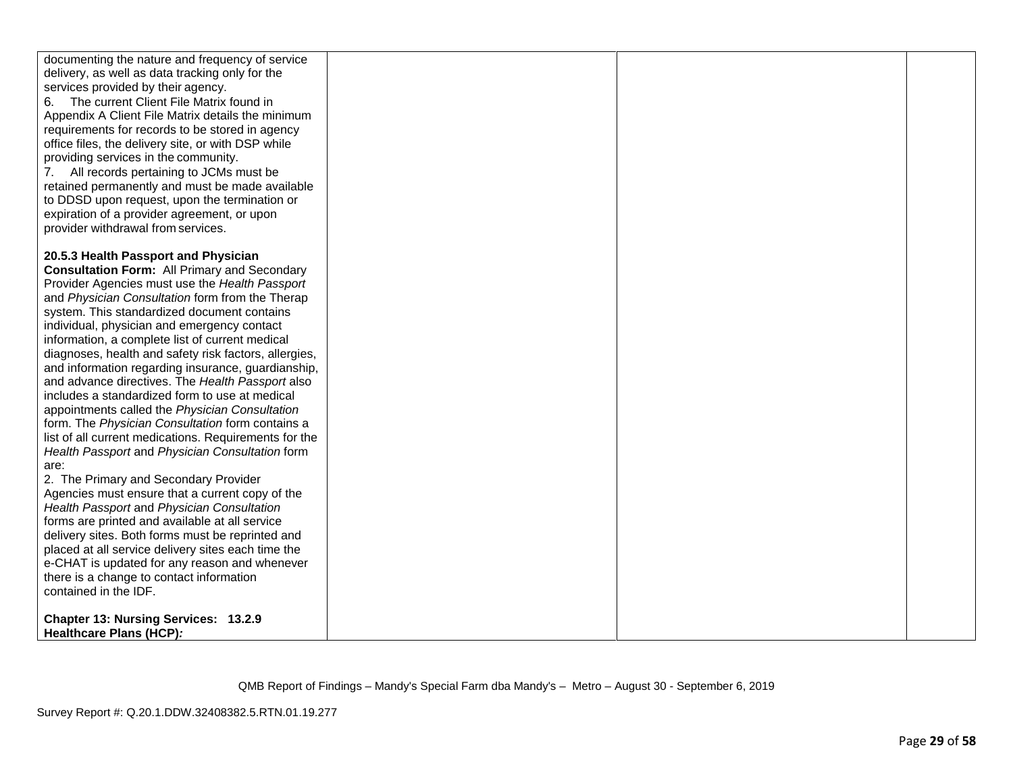| documenting the nature and frequency of service<br>delivery, as well as data tracking only for the<br>services provided by their agency.<br>The current Client File Matrix found in<br>6.<br>Appendix A Client File Matrix details the minimum<br>requirements for records to be stored in agency<br>office files, the delivery site, or with DSP while<br>providing services in the community.<br>7. All records pertaining to JCMs must be<br>retained permanently and must be made available<br>to DDSD upon request, upon the termination or |  |  |
|--------------------------------------------------------------------------------------------------------------------------------------------------------------------------------------------------------------------------------------------------------------------------------------------------------------------------------------------------------------------------------------------------------------------------------------------------------------------------------------------------------------------------------------------------|--|--|
| expiration of a provider agreement, or upon                                                                                                                                                                                                                                                                                                                                                                                                                                                                                                      |  |  |
| provider withdrawal from services.                                                                                                                                                                                                                                                                                                                                                                                                                                                                                                               |  |  |
|                                                                                                                                                                                                                                                                                                                                                                                                                                                                                                                                                  |  |  |
| 20.5.3 Health Passport and Physician                                                                                                                                                                                                                                                                                                                                                                                                                                                                                                             |  |  |
| <b>Consultation Form: All Primary and Secondary</b>                                                                                                                                                                                                                                                                                                                                                                                                                                                                                              |  |  |
| Provider Agencies must use the Health Passport                                                                                                                                                                                                                                                                                                                                                                                                                                                                                                   |  |  |
| and Physician Consultation form from the Therap                                                                                                                                                                                                                                                                                                                                                                                                                                                                                                  |  |  |
| system. This standardized document contains                                                                                                                                                                                                                                                                                                                                                                                                                                                                                                      |  |  |
| individual, physician and emergency contact                                                                                                                                                                                                                                                                                                                                                                                                                                                                                                      |  |  |
| information, a complete list of current medical                                                                                                                                                                                                                                                                                                                                                                                                                                                                                                  |  |  |
| diagnoses, health and safety risk factors, allergies,                                                                                                                                                                                                                                                                                                                                                                                                                                                                                            |  |  |
| and information regarding insurance, guardianship,                                                                                                                                                                                                                                                                                                                                                                                                                                                                                               |  |  |
| and advance directives. The Health Passport also                                                                                                                                                                                                                                                                                                                                                                                                                                                                                                 |  |  |
| includes a standardized form to use at medical                                                                                                                                                                                                                                                                                                                                                                                                                                                                                                   |  |  |
| appointments called the Physician Consultation<br>form. The Physician Consultation form contains a                                                                                                                                                                                                                                                                                                                                                                                                                                               |  |  |
| list of all current medications. Requirements for the                                                                                                                                                                                                                                                                                                                                                                                                                                                                                            |  |  |
| Health Passport and Physician Consultation form                                                                                                                                                                                                                                                                                                                                                                                                                                                                                                  |  |  |
| are:                                                                                                                                                                                                                                                                                                                                                                                                                                                                                                                                             |  |  |
| 2. The Primary and Secondary Provider                                                                                                                                                                                                                                                                                                                                                                                                                                                                                                            |  |  |
| Agencies must ensure that a current copy of the                                                                                                                                                                                                                                                                                                                                                                                                                                                                                                  |  |  |
| Health Passport and Physician Consultation                                                                                                                                                                                                                                                                                                                                                                                                                                                                                                       |  |  |
| forms are printed and available at all service                                                                                                                                                                                                                                                                                                                                                                                                                                                                                                   |  |  |
| delivery sites. Both forms must be reprinted and                                                                                                                                                                                                                                                                                                                                                                                                                                                                                                 |  |  |
| placed at all service delivery sites each time the                                                                                                                                                                                                                                                                                                                                                                                                                                                                                               |  |  |
| e-CHAT is updated for any reason and whenever                                                                                                                                                                                                                                                                                                                                                                                                                                                                                                    |  |  |
| there is a change to contact information                                                                                                                                                                                                                                                                                                                                                                                                                                                                                                         |  |  |
| contained in the IDF.                                                                                                                                                                                                                                                                                                                                                                                                                                                                                                                            |  |  |
| Chapter 13: Nursing Services: 13.2.9                                                                                                                                                                                                                                                                                                                                                                                                                                                                                                             |  |  |
| Healthcare Plans (HCP):                                                                                                                                                                                                                                                                                                                                                                                                                                                                                                                          |  |  |
|                                                                                                                                                                                                                                                                                                                                                                                                                                                                                                                                                  |  |  |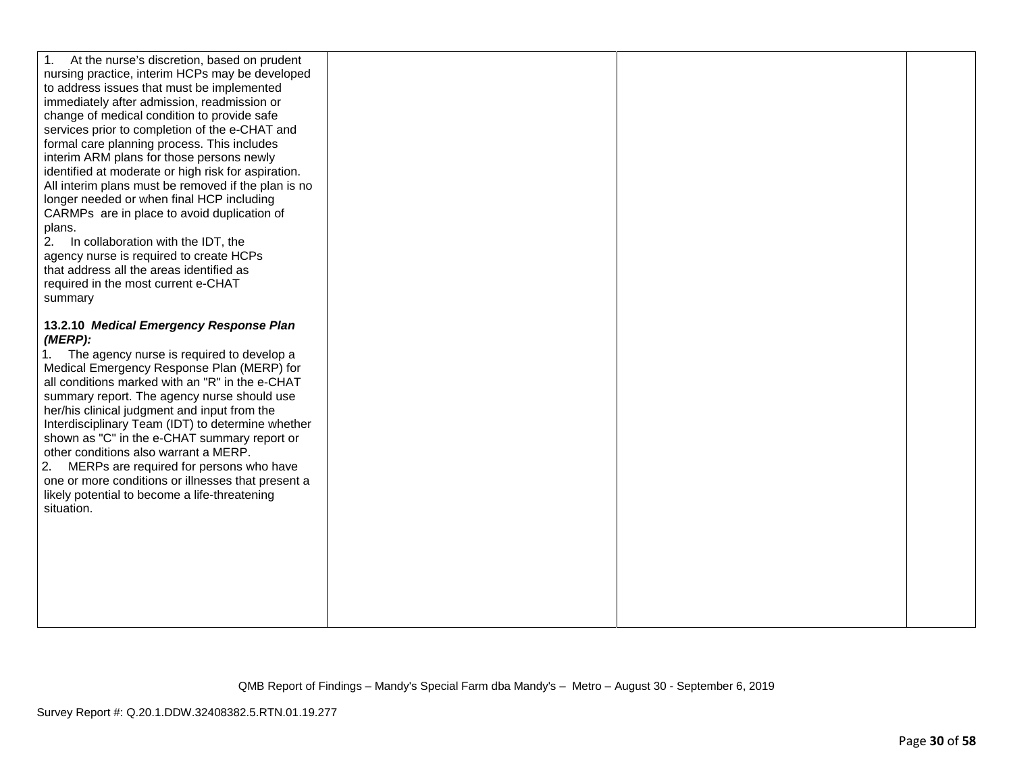| At the nurse's discretion, based on prudent<br>1.<br>nursing practice, interim HCPs may be developed<br>to address issues that must be implemented<br>immediately after admission, readmission or<br>change of medical condition to provide safe<br>services prior to completion of the e-CHAT and<br>formal care planning process. This includes<br>interim ARM plans for those persons newly<br>identified at moderate or high risk for aspiration.<br>All interim plans must be removed if the plan is no<br>longer needed or when final HCP including<br>CARMPs are in place to avoid duplication of<br>plans.<br>2. In collaboration with the IDT, the<br>agency nurse is required to create HCPs<br>that address all the areas identified as<br>required in the most current e-CHAT<br>summary |  |  |
|------------------------------------------------------------------------------------------------------------------------------------------------------------------------------------------------------------------------------------------------------------------------------------------------------------------------------------------------------------------------------------------------------------------------------------------------------------------------------------------------------------------------------------------------------------------------------------------------------------------------------------------------------------------------------------------------------------------------------------------------------------------------------------------------------|--|--|
| 13.2.10 Medical Emergency Response Plan<br>(MERP):<br>1. The agency nurse is required to develop a<br>Medical Emergency Response Plan (MERP) for<br>all conditions marked with an "R" in the e-CHAT<br>summary report. The agency nurse should use<br>her/his clinical judgment and input from the<br>Interdisciplinary Team (IDT) to determine whether<br>shown as "C" in the e-CHAT summary report or<br>other conditions also warrant a MERP.<br>MERPs are required for persons who have<br>2.<br>one or more conditions or illnesses that present a<br>likely potential to become a life-threatening<br>situation.                                                                                                                                                                               |  |  |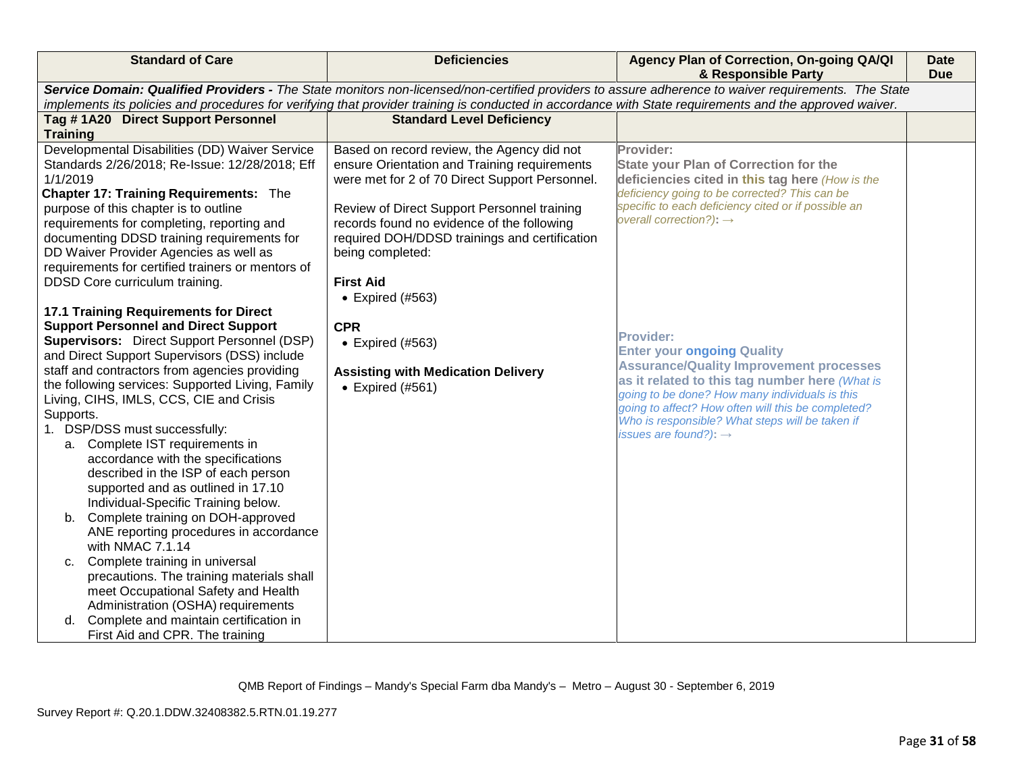| <b>Standard of Care</b>                                                                                                                                                                                                                                                                                                                                                                                                                                                                                                                                                                                                                                                                                                                                                                                                                                                                                                                                                             | <b>Deficiencies</b>                                                                                                                                                                                                                                                                                            | Agency Plan of Correction, On-going QA/QI<br>& Responsible Party                                                                                                                                                                                                                                                                                          | <b>Date</b><br><b>Due</b> |
|-------------------------------------------------------------------------------------------------------------------------------------------------------------------------------------------------------------------------------------------------------------------------------------------------------------------------------------------------------------------------------------------------------------------------------------------------------------------------------------------------------------------------------------------------------------------------------------------------------------------------------------------------------------------------------------------------------------------------------------------------------------------------------------------------------------------------------------------------------------------------------------------------------------------------------------------------------------------------------------|----------------------------------------------------------------------------------------------------------------------------------------------------------------------------------------------------------------------------------------------------------------------------------------------------------------|-----------------------------------------------------------------------------------------------------------------------------------------------------------------------------------------------------------------------------------------------------------------------------------------------------------------------------------------------------------|---------------------------|
| Service Domain: Qualified Providers - The State monitors non-licensed/non-certified providers to assure adherence to waiver requirements. The State<br>implements its policies and procedures for verifying that provider training is conducted in accordance with State requirements and the approved waiver.                                                                                                                                                                                                                                                                                                                                                                                                                                                                                                                                                                                                                                                                      |                                                                                                                                                                                                                                                                                                                |                                                                                                                                                                                                                                                                                                                                                           |                           |
| Tag #1A20 Direct Support Personnel                                                                                                                                                                                                                                                                                                                                                                                                                                                                                                                                                                                                                                                                                                                                                                                                                                                                                                                                                  | <b>Standard Level Deficiency</b>                                                                                                                                                                                                                                                                               |                                                                                                                                                                                                                                                                                                                                                           |                           |
| <b>Training</b>                                                                                                                                                                                                                                                                                                                                                                                                                                                                                                                                                                                                                                                                                                                                                                                                                                                                                                                                                                     |                                                                                                                                                                                                                                                                                                                |                                                                                                                                                                                                                                                                                                                                                           |                           |
| Developmental Disabilities (DD) Waiver Service<br>Standards 2/26/2018; Re-Issue: 12/28/2018; Eff<br>1/1/2019<br><b>Chapter 17: Training Requirements: The</b><br>purpose of this chapter is to outline<br>requirements for completing, reporting and<br>documenting DDSD training requirements for<br>DD Waiver Provider Agencies as well as<br>requirements for certified trainers or mentors of                                                                                                                                                                                                                                                                                                                                                                                                                                                                                                                                                                                   | Based on record review, the Agency did not<br>ensure Orientation and Training requirements<br>were met for 2 of 70 Direct Support Personnel.<br>Review of Direct Support Personnel training<br>records found no evidence of the following<br>required DOH/DDSD trainings and certification<br>being completed: | Provider:<br><b>State your Plan of Correction for the</b><br>deficiencies cited in this tag here (How is the<br>deficiency going to be corrected? This can be<br>specific to each deficiency cited or if possible an<br>overall correction?): $\rightarrow$                                                                                               |                           |
| DDSD Core curriculum training.<br><b>17.1 Training Requirements for Direct</b><br><b>Support Personnel and Direct Support</b><br><b>Supervisors:</b> Direct Support Personnel (DSP)<br>and Direct Support Supervisors (DSS) include<br>staff and contractors from agencies providing<br>the following services: Supported Living, Family<br>Living, CIHS, IMLS, CCS, CIE and Crisis<br>Supports.<br>1. DSP/DSS must successfully:<br>a. Complete IST requirements in<br>accordance with the specifications<br>described in the ISP of each person<br>supported and as outlined in 17.10<br>Individual-Specific Training below.<br>b. Complete training on DOH-approved<br>ANE reporting procedures in accordance<br>with NMAC 7.1.14<br>c. Complete training in universal<br>precautions. The training materials shall<br>meet Occupational Safety and Health<br>Administration (OSHA) requirements<br>d. Complete and maintain certification in<br>First Aid and CPR. The training | <b>First Aid</b><br>$\bullet$ Expired (#563)<br><b>CPR</b><br>$\bullet$ Expired (#563)<br><b>Assisting with Medication Delivery</b><br>$\bullet$ Expired (#561)                                                                                                                                                | <b>Provider:</b><br><b>Enter your ongoing Quality</b><br><b>Assurance/Quality Improvement processes</b><br>as it related to this tag number here (What is<br>going to be done? How many individuals is this<br>going to affect? How often will this be completed?<br>Who is responsible? What steps will be taken if<br>issues are found?): $\rightarrow$ |                           |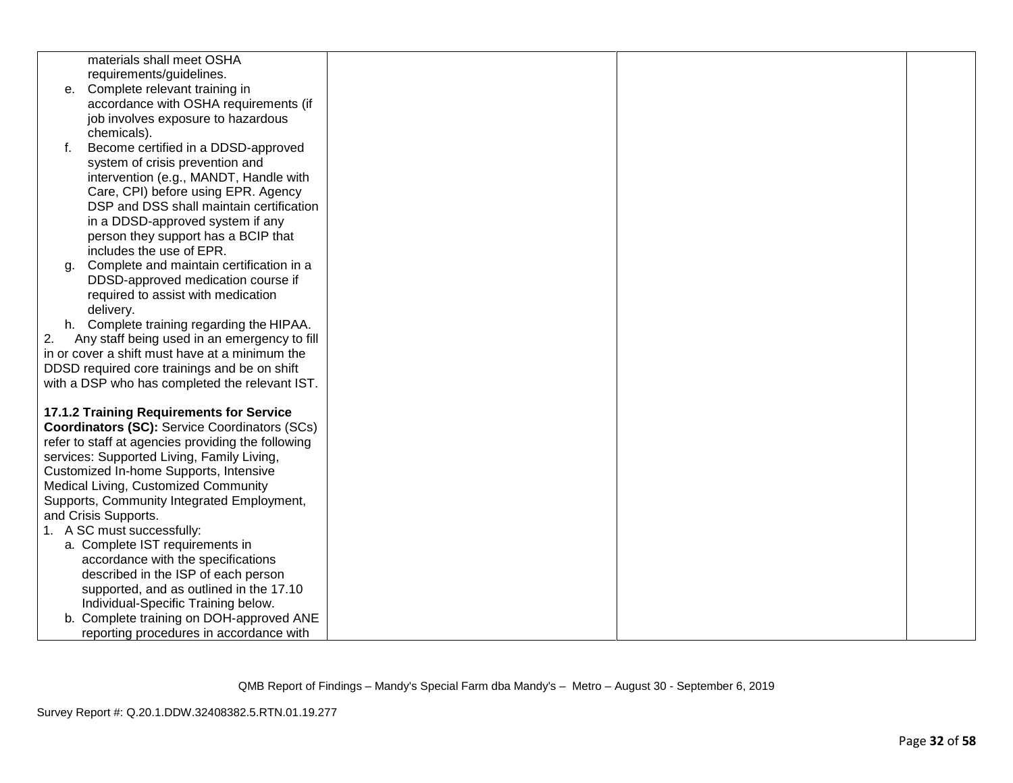|    | materials shall meet OSHA                            |  |  |
|----|------------------------------------------------------|--|--|
|    | requirements/guidelines.                             |  |  |
| е. | Complete relevant training in                        |  |  |
|    | accordance with OSHA requirements (if                |  |  |
|    | job involves exposure to hazardous                   |  |  |
|    | chemicals).                                          |  |  |
| f. | Become certified in a DDSD-approved                  |  |  |
|    | system of crisis prevention and                      |  |  |
|    | intervention (e.g., MANDT, Handle with               |  |  |
|    | Care, CPI) before using EPR. Agency                  |  |  |
|    | DSP and DSS shall maintain certification             |  |  |
|    | in a DDSD-approved system if any                     |  |  |
|    | person they support has a BCIP that                  |  |  |
|    | includes the use of EPR.                             |  |  |
| q. | Complete and maintain certification in a             |  |  |
|    | DDSD-approved medication course if                   |  |  |
|    | required to assist with medication                   |  |  |
|    | delivery.                                            |  |  |
| h. | Complete training regarding the HIPAA.               |  |  |
| 2. | Any staff being used in an emergency to fill         |  |  |
|    | in or cover a shift must have at a minimum the       |  |  |
|    | DDSD required core trainings and be on shift         |  |  |
|    | with a DSP who has completed the relevant IST.       |  |  |
|    | 17.1.2 Training Requirements for Service             |  |  |
|    | <b>Coordinators (SC):</b> Service Coordinators (SCs) |  |  |
|    | refer to staff at agencies providing the following   |  |  |
|    | services: Supported Living, Family Living,           |  |  |
|    | Customized In-home Supports, Intensive               |  |  |
|    | Medical Living, Customized Community                 |  |  |
|    | Supports, Community Integrated Employment,           |  |  |
|    | and Crisis Supports.                                 |  |  |
|    | 1. A SC must successfully:                           |  |  |
|    | a. Complete IST requirements in                      |  |  |
|    | accordance with the specifications                   |  |  |
|    | described in the ISP of each person                  |  |  |
|    | supported, and as outlined in the 17.10              |  |  |
|    | Individual-Specific Training below.                  |  |  |
|    | b. Complete training on DOH-approved ANE             |  |  |
|    | reporting procedures in accordance with              |  |  |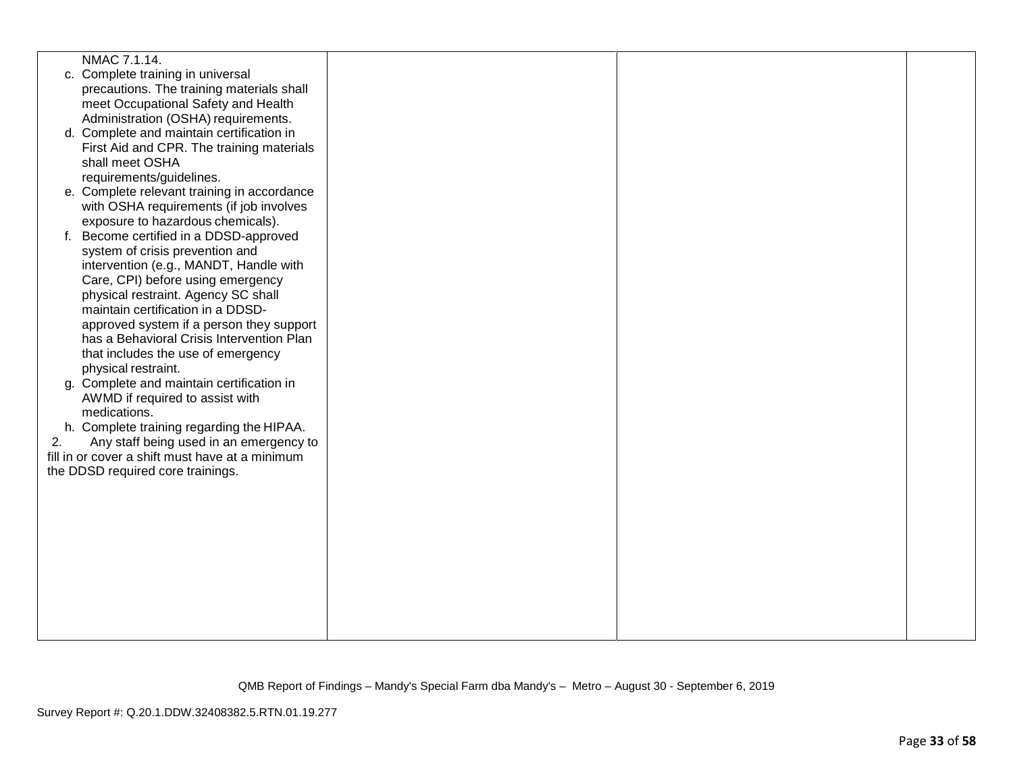|    | NMAC 7.1.14.                                                                               |  |  |
|----|--------------------------------------------------------------------------------------------|--|--|
|    | c. Complete training in universal                                                          |  |  |
|    | precautions. The training materials shall                                                  |  |  |
|    | meet Occupational Safety and Health                                                        |  |  |
|    | Administration (OSHA) requirements.                                                        |  |  |
|    | d. Complete and maintain certification in                                                  |  |  |
|    | First Aid and CPR. The training materials                                                  |  |  |
|    | shall meet OSHA                                                                            |  |  |
|    | requirements/guidelines.                                                                   |  |  |
|    | e. Complete relevant training in accordance                                                |  |  |
|    | with OSHA requirements (if job involves                                                    |  |  |
|    | exposure to hazardous chemicals).                                                          |  |  |
| f. | Become certified in a DDSD-approved                                                        |  |  |
|    | system of crisis prevention and                                                            |  |  |
|    | intervention (e.g., MANDT, Handle with                                                     |  |  |
|    | Care, CPI) before using emergency                                                          |  |  |
|    | physical restraint. Agency SC shall                                                        |  |  |
|    | maintain certification in a DDSD-                                                          |  |  |
|    | approved system if a person they support                                                   |  |  |
|    | has a Behavioral Crisis Intervention Plan                                                  |  |  |
|    | that includes the use of emergency                                                         |  |  |
|    | physical restraint.                                                                        |  |  |
|    | g. Complete and maintain certification in                                                  |  |  |
|    | AWMD if required to assist with                                                            |  |  |
|    | medications.                                                                               |  |  |
|    | h. Complete training regarding the HIPAA.                                                  |  |  |
|    |                                                                                            |  |  |
| 2. | Any staff being used in an emergency to<br>fill in or cover a shift must have at a minimum |  |  |
|    |                                                                                            |  |  |
|    | the DDSD required core trainings.                                                          |  |  |
|    |                                                                                            |  |  |
|    |                                                                                            |  |  |
|    |                                                                                            |  |  |
|    |                                                                                            |  |  |
|    |                                                                                            |  |  |
|    |                                                                                            |  |  |
|    |                                                                                            |  |  |
|    |                                                                                            |  |  |
|    |                                                                                            |  |  |
|    |                                                                                            |  |  |
|    |                                                                                            |  |  |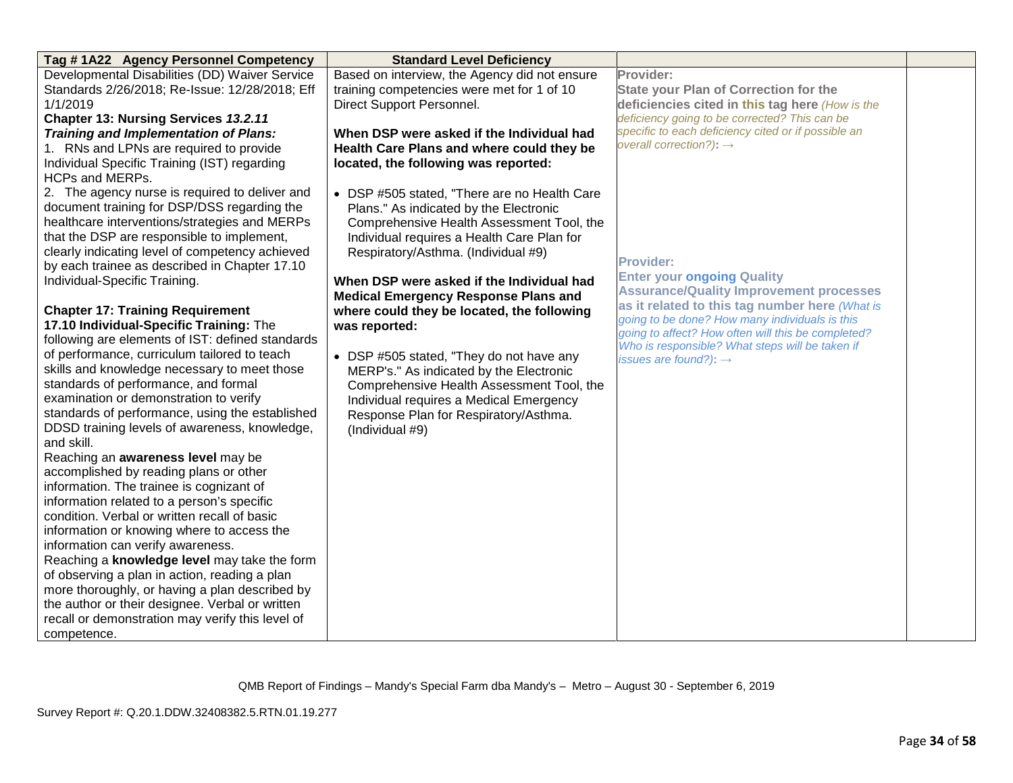| Tag #1A22 Agency Personnel Competency                                              | <b>Standard Level Deficiency</b>              |                                                     |  |
|------------------------------------------------------------------------------------|-----------------------------------------------|-----------------------------------------------------|--|
| Developmental Disabilities (DD) Waiver Service                                     | Based on interview, the Agency did not ensure | <b>Provider:</b>                                    |  |
| Standards 2/26/2018; Re-Issue: 12/28/2018; Eff                                     | training competencies were met for 1 of 10    | <b>State your Plan of Correction for the</b>        |  |
| 1/1/2019                                                                           | Direct Support Personnel.                     | deficiencies cited in this tag here (How is the     |  |
| <b>Chapter 13: Nursing Services 13.2.11</b>                                        |                                               | deficiency going to be corrected? This can be       |  |
| <b>Training and Implementation of Plans:</b>                                       | When DSP were asked if the Individual had     | specific to each deficiency cited or if possible an |  |
| 1. RNs and LPNs are required to provide                                            | Health Care Plans and where could they be     | overall correction?): $\rightarrow$                 |  |
| Individual Specific Training (IST) regarding                                       | located, the following was reported:          |                                                     |  |
| <b>HCPs and MERPs.</b>                                                             |                                               |                                                     |  |
| 2. The agency nurse is required to deliver and                                     | • DSP #505 stated, "There are no Health Care  |                                                     |  |
| document training for DSP/DSS regarding the                                        | Plans." As indicated by the Electronic        |                                                     |  |
| healthcare interventions/strategies and MERPs                                      | Comprehensive Health Assessment Tool, the     |                                                     |  |
| that the DSP are responsible to implement,                                         | Individual requires a Health Care Plan for    |                                                     |  |
| clearly indicating level of competency achieved                                    | Respiratory/Asthma. (Individual #9)           | <b>Provider:</b>                                    |  |
| by each trainee as described in Chapter 17.10                                      |                                               | <b>Enter your ongoing Quality</b>                   |  |
| Individual-Specific Training.                                                      | When DSP were asked if the Individual had     | <b>Assurance/Quality Improvement processes</b>      |  |
|                                                                                    | <b>Medical Emergency Response Plans and</b>   | as it related to this tag number here (What is      |  |
| <b>Chapter 17: Training Requirement</b>                                            | where could they be located, the following    | going to be done? How many individuals is this      |  |
| 17.10 Individual-Specific Training: The                                            | was reported:                                 | going to affect? How often will this be completed?  |  |
| following are elements of IST: defined standards                                   |                                               | Who is responsible? What steps will be taken if     |  |
| of performance, curriculum tailored to teach                                       | • DSP #505 stated, "They do not have any      | issues are found?): $\rightarrow$                   |  |
| skills and knowledge necessary to meet those                                       | MERP's." As indicated by the Electronic       |                                                     |  |
| standards of performance, and formal                                               | Comprehensive Health Assessment Tool, the     |                                                     |  |
| examination or demonstration to verify                                             | Individual requires a Medical Emergency       |                                                     |  |
| standards of performance, using the established                                    | Response Plan for Respiratory/Asthma.         |                                                     |  |
| DDSD training levels of awareness, knowledge,                                      | (Individual #9)                               |                                                     |  |
| and skill.                                                                         |                                               |                                                     |  |
| Reaching an awareness level may be                                                 |                                               |                                                     |  |
| accomplished by reading plans or other<br>information. The trainee is cognizant of |                                               |                                                     |  |
| information related to a person's specific                                         |                                               |                                                     |  |
| condition. Verbal or written recall of basic                                       |                                               |                                                     |  |
| information or knowing where to access the                                         |                                               |                                                     |  |
| information can verify awareness.                                                  |                                               |                                                     |  |
| Reaching a knowledge level may take the form                                       |                                               |                                                     |  |
| of observing a plan in action, reading a plan                                      |                                               |                                                     |  |
| more thoroughly, or having a plan described by                                     |                                               |                                                     |  |
| the author or their designee. Verbal or written                                    |                                               |                                                     |  |
| recall or demonstration may verify this level of                                   |                                               |                                                     |  |
| competence.                                                                        |                                               |                                                     |  |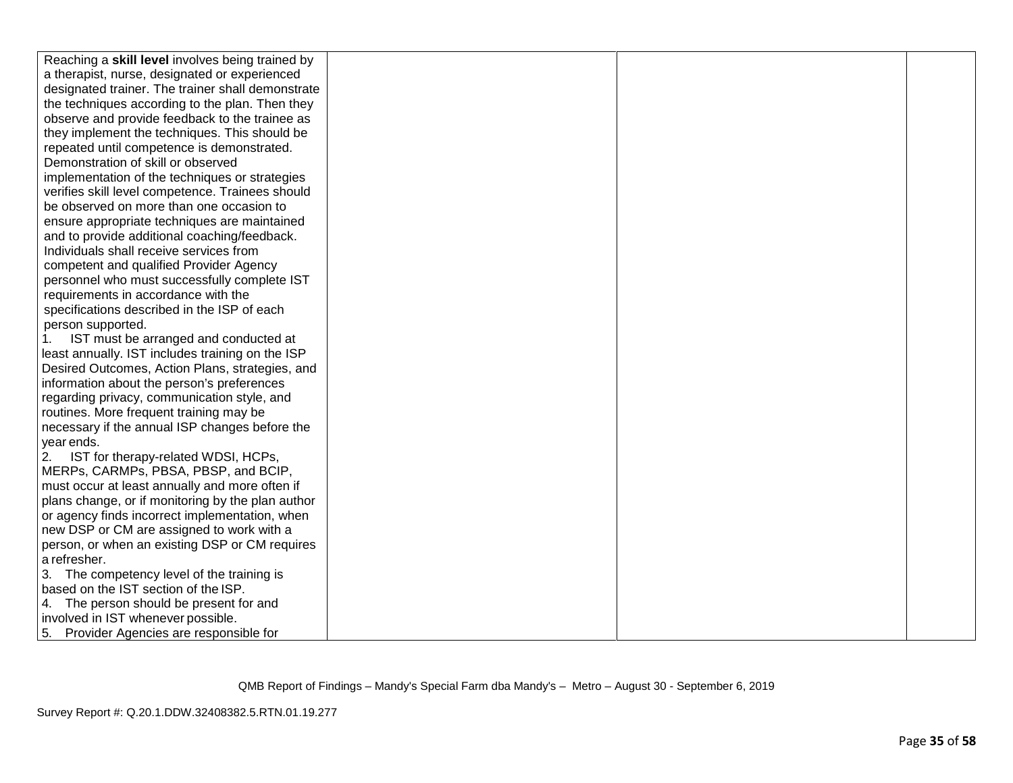| Reaching a skill level involves being trained by  |  |  |
|---------------------------------------------------|--|--|
| a therapist, nurse, designated or experienced     |  |  |
| designated trainer. The trainer shall demonstrate |  |  |
| the techniques according to the plan. Then they   |  |  |
| observe and provide feedback to the trainee as    |  |  |
| they implement the techniques. This should be     |  |  |
| repeated until competence is demonstrated.        |  |  |
| Demonstration of skill or observed                |  |  |
| implementation of the techniques or strategies    |  |  |
| verifies skill level competence. Trainees should  |  |  |
| be observed on more than one occasion to          |  |  |
| ensure appropriate techniques are maintained      |  |  |
| and to provide additional coaching/feedback.      |  |  |
| Individuals shall receive services from           |  |  |
| competent and qualified Provider Agency           |  |  |
| personnel who must successfully complete IST      |  |  |
| requirements in accordance with the               |  |  |
| specifications described in the ISP of each       |  |  |
| person supported.                                 |  |  |
| IST must be arranged and conducted at             |  |  |
| least annually. IST includes training on the ISP  |  |  |
| Desired Outcomes, Action Plans, strategies, and   |  |  |
| information about the person's preferences        |  |  |
| regarding privacy, communication style, and       |  |  |
| routines. More frequent training may be           |  |  |
| necessary if the annual ISP changes before the    |  |  |
| year ends.                                        |  |  |
| IST for therapy-related WDSI, HCPs,<br>2.         |  |  |
| MERPs, CARMPs, PBSA, PBSP, and BCIP,              |  |  |
| must occur at least annually and more often if    |  |  |
| plans change, or if monitoring by the plan author |  |  |
| or agency finds incorrect implementation, when    |  |  |
| new DSP or CM are assigned to work with a         |  |  |
| person, or when an existing DSP or CM requires    |  |  |
| a refresher.                                      |  |  |
| 3. The competency level of the training is        |  |  |
| based on the IST section of the ISP.              |  |  |
| 4. The person should be present for and           |  |  |
| involved in IST whenever possible.                |  |  |
| 5. Provider Agencies are responsible for          |  |  |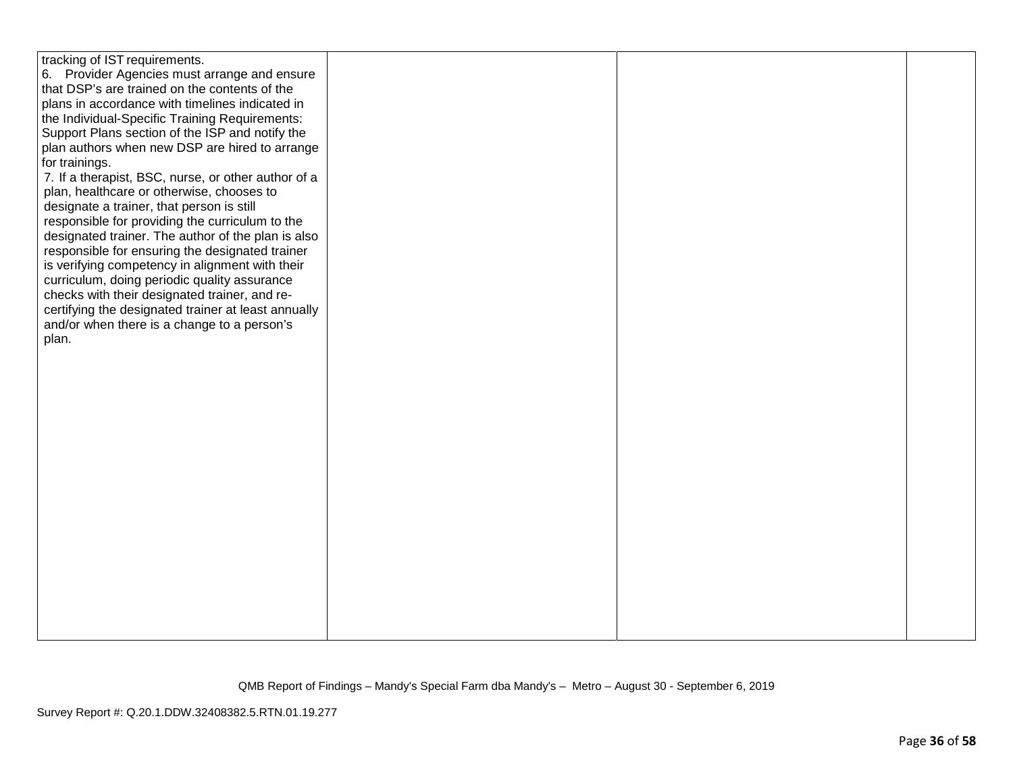| tracking of IST requirements.                       |  |  |
|-----------------------------------------------------|--|--|
| 6. Provider Agencies must arrange and ensure        |  |  |
| that DSP's are trained on the contents of the       |  |  |
| plans in accordance with timelines indicated in     |  |  |
|                                                     |  |  |
| the Individual-Specific Training Requirements:      |  |  |
| Support Plans section of the ISP and notify the     |  |  |
| plan authors when new DSP are hired to arrange      |  |  |
| for trainings.                                      |  |  |
| 7. If a therapist, BSC, nurse, or other author of a |  |  |
| plan, healthcare or otherwise, chooses to           |  |  |
| designate a trainer, that person is still           |  |  |
|                                                     |  |  |
| responsible for providing the curriculum to the     |  |  |
| designated trainer. The author of the plan is also  |  |  |
| responsible for ensuring the designated trainer     |  |  |
| is verifying competency in alignment with their     |  |  |
| curriculum, doing periodic quality assurance        |  |  |
| checks with their designated trainer, and re-       |  |  |
| certifying the designated trainer at least annually |  |  |
| and/or when there is a change to a person's         |  |  |
|                                                     |  |  |
| plan.                                               |  |  |
|                                                     |  |  |
|                                                     |  |  |
|                                                     |  |  |
|                                                     |  |  |
|                                                     |  |  |
|                                                     |  |  |
|                                                     |  |  |
|                                                     |  |  |
|                                                     |  |  |
|                                                     |  |  |
|                                                     |  |  |
|                                                     |  |  |
|                                                     |  |  |
|                                                     |  |  |
|                                                     |  |  |
|                                                     |  |  |
|                                                     |  |  |
|                                                     |  |  |
|                                                     |  |  |
|                                                     |  |  |
|                                                     |  |  |
|                                                     |  |  |
|                                                     |  |  |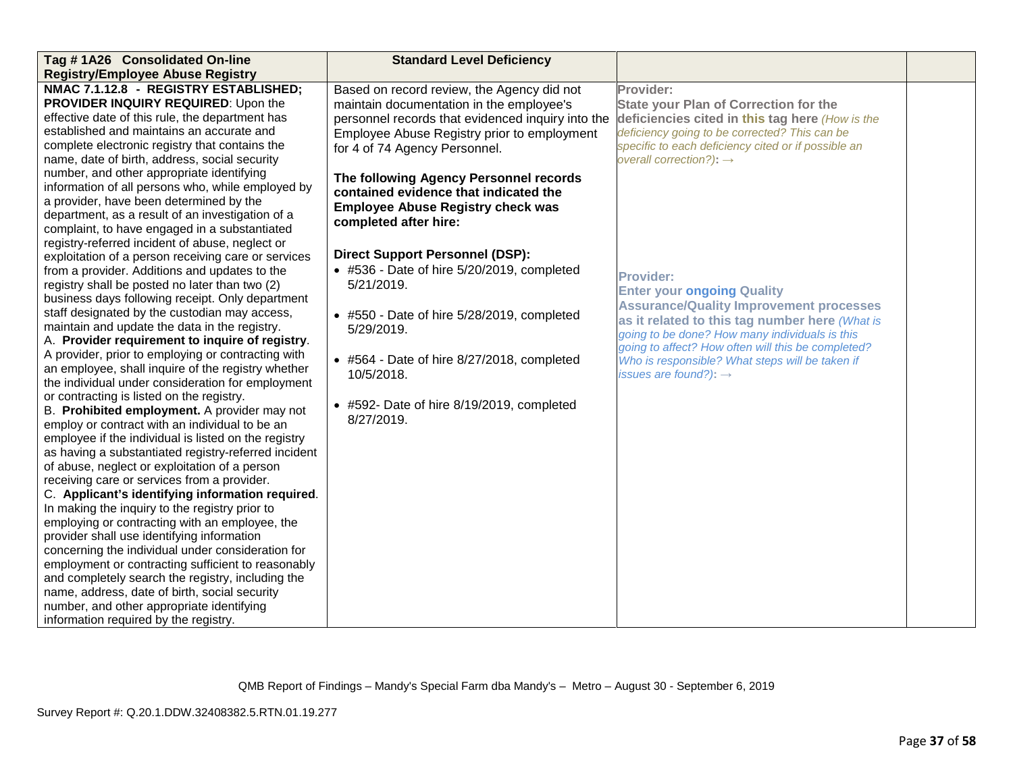| Tag #1A26 Consolidated On-line                                                                                                                                                                                                                                                                                                                                                                                                                                                                                                                                                                                                                                                                                                                                                                                                                                                                                                                                                                                                                                                                                                                                                                                                                                                                       | <b>Standard Level Deficiency</b>                                                                                                                                                |                                                                                                                                                                                                                                                                                                                                       |  |
|------------------------------------------------------------------------------------------------------------------------------------------------------------------------------------------------------------------------------------------------------------------------------------------------------------------------------------------------------------------------------------------------------------------------------------------------------------------------------------------------------------------------------------------------------------------------------------------------------------------------------------------------------------------------------------------------------------------------------------------------------------------------------------------------------------------------------------------------------------------------------------------------------------------------------------------------------------------------------------------------------------------------------------------------------------------------------------------------------------------------------------------------------------------------------------------------------------------------------------------------------------------------------------------------------|---------------------------------------------------------------------------------------------------------------------------------------------------------------------------------|---------------------------------------------------------------------------------------------------------------------------------------------------------------------------------------------------------------------------------------------------------------------------------------------------------------------------------------|--|
| <b>Registry/Employee Abuse Registry</b>                                                                                                                                                                                                                                                                                                                                                                                                                                                                                                                                                                                                                                                                                                                                                                                                                                                                                                                                                                                                                                                                                                                                                                                                                                                              |                                                                                                                                                                                 |                                                                                                                                                                                                                                                                                                                                       |  |
| NMAC 7.1.12.8 - REGISTRY ESTABLISHED;                                                                                                                                                                                                                                                                                                                                                                                                                                                                                                                                                                                                                                                                                                                                                                                                                                                                                                                                                                                                                                                                                                                                                                                                                                                                | Based on record review, the Agency did not                                                                                                                                      | Provider:                                                                                                                                                                                                                                                                                                                             |  |
| <b>PROVIDER INQUIRY REQUIRED:</b> Upon the                                                                                                                                                                                                                                                                                                                                                                                                                                                                                                                                                                                                                                                                                                                                                                                                                                                                                                                                                                                                                                                                                                                                                                                                                                                           | maintain documentation in the employee's                                                                                                                                        | <b>State your Plan of Correction for the</b>                                                                                                                                                                                                                                                                                          |  |
| effective date of this rule, the department has                                                                                                                                                                                                                                                                                                                                                                                                                                                                                                                                                                                                                                                                                                                                                                                                                                                                                                                                                                                                                                                                                                                                                                                                                                                      | personnel records that evidenced inquiry into the                                                                                                                               | deficiencies cited in this tag here (How is the                                                                                                                                                                                                                                                                                       |  |
| established and maintains an accurate and                                                                                                                                                                                                                                                                                                                                                                                                                                                                                                                                                                                                                                                                                                                                                                                                                                                                                                                                                                                                                                                                                                                                                                                                                                                            | Employee Abuse Registry prior to employment                                                                                                                                     | deficiency going to be corrected? This can be                                                                                                                                                                                                                                                                                         |  |
| complete electronic registry that contains the                                                                                                                                                                                                                                                                                                                                                                                                                                                                                                                                                                                                                                                                                                                                                                                                                                                                                                                                                                                                                                                                                                                                                                                                                                                       | for 4 of 74 Agency Personnel.                                                                                                                                                   | specific to each deficiency cited or if possible an                                                                                                                                                                                                                                                                                   |  |
| name, date of birth, address, social security                                                                                                                                                                                                                                                                                                                                                                                                                                                                                                                                                                                                                                                                                                                                                                                                                                                                                                                                                                                                                                                                                                                                                                                                                                                        |                                                                                                                                                                                 | overall correction?): $\rightarrow$                                                                                                                                                                                                                                                                                                   |  |
| number, and other appropriate identifying                                                                                                                                                                                                                                                                                                                                                                                                                                                                                                                                                                                                                                                                                                                                                                                                                                                                                                                                                                                                                                                                                                                                                                                                                                                            | The following Agency Personnel records                                                                                                                                          |                                                                                                                                                                                                                                                                                                                                       |  |
| information of all persons who, while employed by                                                                                                                                                                                                                                                                                                                                                                                                                                                                                                                                                                                                                                                                                                                                                                                                                                                                                                                                                                                                                                                                                                                                                                                                                                                    | contained evidence that indicated the                                                                                                                                           |                                                                                                                                                                                                                                                                                                                                       |  |
| a provider, have been determined by the                                                                                                                                                                                                                                                                                                                                                                                                                                                                                                                                                                                                                                                                                                                                                                                                                                                                                                                                                                                                                                                                                                                                                                                                                                                              | <b>Employee Abuse Registry check was</b>                                                                                                                                        |                                                                                                                                                                                                                                                                                                                                       |  |
| department, as a result of an investigation of a                                                                                                                                                                                                                                                                                                                                                                                                                                                                                                                                                                                                                                                                                                                                                                                                                                                                                                                                                                                                                                                                                                                                                                                                                                                     | completed after hire:                                                                                                                                                           |                                                                                                                                                                                                                                                                                                                                       |  |
| complaint, to have engaged in a substantiated                                                                                                                                                                                                                                                                                                                                                                                                                                                                                                                                                                                                                                                                                                                                                                                                                                                                                                                                                                                                                                                                                                                                                                                                                                                        |                                                                                                                                                                                 |                                                                                                                                                                                                                                                                                                                                       |  |
| registry-referred incident of abuse, neglect or                                                                                                                                                                                                                                                                                                                                                                                                                                                                                                                                                                                                                                                                                                                                                                                                                                                                                                                                                                                                                                                                                                                                                                                                                                                      |                                                                                                                                                                                 |                                                                                                                                                                                                                                                                                                                                       |  |
| exploitation of a person receiving care or services                                                                                                                                                                                                                                                                                                                                                                                                                                                                                                                                                                                                                                                                                                                                                                                                                                                                                                                                                                                                                                                                                                                                                                                                                                                  | <b>Direct Support Personnel (DSP):</b>                                                                                                                                          |                                                                                                                                                                                                                                                                                                                                       |  |
| from a provider. Additions and updates to the                                                                                                                                                                                                                                                                                                                                                                                                                                                                                                                                                                                                                                                                                                                                                                                                                                                                                                                                                                                                                                                                                                                                                                                                                                                        | • #536 - Date of hire 5/20/2019, completed                                                                                                                                      | <b>Provider:</b>                                                                                                                                                                                                                                                                                                                      |  |
|                                                                                                                                                                                                                                                                                                                                                                                                                                                                                                                                                                                                                                                                                                                                                                                                                                                                                                                                                                                                                                                                                                                                                                                                                                                                                                      |                                                                                                                                                                                 |                                                                                                                                                                                                                                                                                                                                       |  |
|                                                                                                                                                                                                                                                                                                                                                                                                                                                                                                                                                                                                                                                                                                                                                                                                                                                                                                                                                                                                                                                                                                                                                                                                                                                                                                      |                                                                                                                                                                                 |                                                                                                                                                                                                                                                                                                                                       |  |
|                                                                                                                                                                                                                                                                                                                                                                                                                                                                                                                                                                                                                                                                                                                                                                                                                                                                                                                                                                                                                                                                                                                                                                                                                                                                                                      |                                                                                                                                                                                 |                                                                                                                                                                                                                                                                                                                                       |  |
|                                                                                                                                                                                                                                                                                                                                                                                                                                                                                                                                                                                                                                                                                                                                                                                                                                                                                                                                                                                                                                                                                                                                                                                                                                                                                                      | 5/29/2019.                                                                                                                                                                      |                                                                                                                                                                                                                                                                                                                                       |  |
|                                                                                                                                                                                                                                                                                                                                                                                                                                                                                                                                                                                                                                                                                                                                                                                                                                                                                                                                                                                                                                                                                                                                                                                                                                                                                                      |                                                                                                                                                                                 |                                                                                                                                                                                                                                                                                                                                       |  |
|                                                                                                                                                                                                                                                                                                                                                                                                                                                                                                                                                                                                                                                                                                                                                                                                                                                                                                                                                                                                                                                                                                                                                                                                                                                                                                      |                                                                                                                                                                                 |                                                                                                                                                                                                                                                                                                                                       |  |
|                                                                                                                                                                                                                                                                                                                                                                                                                                                                                                                                                                                                                                                                                                                                                                                                                                                                                                                                                                                                                                                                                                                                                                                                                                                                                                      |                                                                                                                                                                                 |                                                                                                                                                                                                                                                                                                                                       |  |
|                                                                                                                                                                                                                                                                                                                                                                                                                                                                                                                                                                                                                                                                                                                                                                                                                                                                                                                                                                                                                                                                                                                                                                                                                                                                                                      |                                                                                                                                                                                 |                                                                                                                                                                                                                                                                                                                                       |  |
|                                                                                                                                                                                                                                                                                                                                                                                                                                                                                                                                                                                                                                                                                                                                                                                                                                                                                                                                                                                                                                                                                                                                                                                                                                                                                                      |                                                                                                                                                                                 |                                                                                                                                                                                                                                                                                                                                       |  |
|                                                                                                                                                                                                                                                                                                                                                                                                                                                                                                                                                                                                                                                                                                                                                                                                                                                                                                                                                                                                                                                                                                                                                                                                                                                                                                      |                                                                                                                                                                                 |                                                                                                                                                                                                                                                                                                                                       |  |
|                                                                                                                                                                                                                                                                                                                                                                                                                                                                                                                                                                                                                                                                                                                                                                                                                                                                                                                                                                                                                                                                                                                                                                                                                                                                                                      |                                                                                                                                                                                 |                                                                                                                                                                                                                                                                                                                                       |  |
|                                                                                                                                                                                                                                                                                                                                                                                                                                                                                                                                                                                                                                                                                                                                                                                                                                                                                                                                                                                                                                                                                                                                                                                                                                                                                                      |                                                                                                                                                                                 |                                                                                                                                                                                                                                                                                                                                       |  |
|                                                                                                                                                                                                                                                                                                                                                                                                                                                                                                                                                                                                                                                                                                                                                                                                                                                                                                                                                                                                                                                                                                                                                                                                                                                                                                      |                                                                                                                                                                                 |                                                                                                                                                                                                                                                                                                                                       |  |
|                                                                                                                                                                                                                                                                                                                                                                                                                                                                                                                                                                                                                                                                                                                                                                                                                                                                                                                                                                                                                                                                                                                                                                                                                                                                                                      |                                                                                                                                                                                 |                                                                                                                                                                                                                                                                                                                                       |  |
|                                                                                                                                                                                                                                                                                                                                                                                                                                                                                                                                                                                                                                                                                                                                                                                                                                                                                                                                                                                                                                                                                                                                                                                                                                                                                                      |                                                                                                                                                                                 |                                                                                                                                                                                                                                                                                                                                       |  |
|                                                                                                                                                                                                                                                                                                                                                                                                                                                                                                                                                                                                                                                                                                                                                                                                                                                                                                                                                                                                                                                                                                                                                                                                                                                                                                      |                                                                                                                                                                                 |                                                                                                                                                                                                                                                                                                                                       |  |
|                                                                                                                                                                                                                                                                                                                                                                                                                                                                                                                                                                                                                                                                                                                                                                                                                                                                                                                                                                                                                                                                                                                                                                                                                                                                                                      |                                                                                                                                                                                 |                                                                                                                                                                                                                                                                                                                                       |  |
|                                                                                                                                                                                                                                                                                                                                                                                                                                                                                                                                                                                                                                                                                                                                                                                                                                                                                                                                                                                                                                                                                                                                                                                                                                                                                                      |                                                                                                                                                                                 |                                                                                                                                                                                                                                                                                                                                       |  |
|                                                                                                                                                                                                                                                                                                                                                                                                                                                                                                                                                                                                                                                                                                                                                                                                                                                                                                                                                                                                                                                                                                                                                                                                                                                                                                      |                                                                                                                                                                                 |                                                                                                                                                                                                                                                                                                                                       |  |
|                                                                                                                                                                                                                                                                                                                                                                                                                                                                                                                                                                                                                                                                                                                                                                                                                                                                                                                                                                                                                                                                                                                                                                                                                                                                                                      |                                                                                                                                                                                 |                                                                                                                                                                                                                                                                                                                                       |  |
|                                                                                                                                                                                                                                                                                                                                                                                                                                                                                                                                                                                                                                                                                                                                                                                                                                                                                                                                                                                                                                                                                                                                                                                                                                                                                                      |                                                                                                                                                                                 |                                                                                                                                                                                                                                                                                                                                       |  |
|                                                                                                                                                                                                                                                                                                                                                                                                                                                                                                                                                                                                                                                                                                                                                                                                                                                                                                                                                                                                                                                                                                                                                                                                                                                                                                      |                                                                                                                                                                                 |                                                                                                                                                                                                                                                                                                                                       |  |
|                                                                                                                                                                                                                                                                                                                                                                                                                                                                                                                                                                                                                                                                                                                                                                                                                                                                                                                                                                                                                                                                                                                                                                                                                                                                                                      |                                                                                                                                                                                 |                                                                                                                                                                                                                                                                                                                                       |  |
|                                                                                                                                                                                                                                                                                                                                                                                                                                                                                                                                                                                                                                                                                                                                                                                                                                                                                                                                                                                                                                                                                                                                                                                                                                                                                                      |                                                                                                                                                                                 |                                                                                                                                                                                                                                                                                                                                       |  |
| registry shall be posted no later than two (2)<br>business days following receipt. Only department<br>staff designated by the custodian may access,<br>maintain and update the data in the registry.<br>A. Provider requirement to inquire of registry.<br>A provider, prior to employing or contracting with<br>an employee, shall inquire of the registry whether<br>the individual under consideration for employment<br>or contracting is listed on the registry.<br>B. Prohibited employment. A provider may not<br>employ or contract with an individual to be an<br>employee if the individual is listed on the registry<br>as having a substantiated registry-referred incident<br>of abuse, neglect or exploitation of a person<br>receiving care or services from a provider.<br>C. Applicant's identifying information required.<br>In making the inquiry to the registry prior to<br>employing or contracting with an employee, the<br>provider shall use identifying information<br>concerning the individual under consideration for<br>employment or contracting sufficient to reasonably<br>and completely search the registry, including the<br>name, address, date of birth, social security<br>number, and other appropriate identifying<br>information required by the registry. | 5/21/2019.<br>• #550 - Date of hire 5/28/2019, completed<br>• #564 - Date of hire 8/27/2018, completed<br>10/5/2018.<br>• #592- Date of hire 8/19/2019, completed<br>8/27/2019. | <b>Enter your ongoing Quality</b><br><b>Assurance/Quality Improvement processes</b><br>as it related to this tag number here (What is<br>going to be done? How many individuals is this<br>going to affect? How often will this be completed?<br>Who is responsible? What steps will be taken if<br>issues are found?): $\rightarrow$ |  |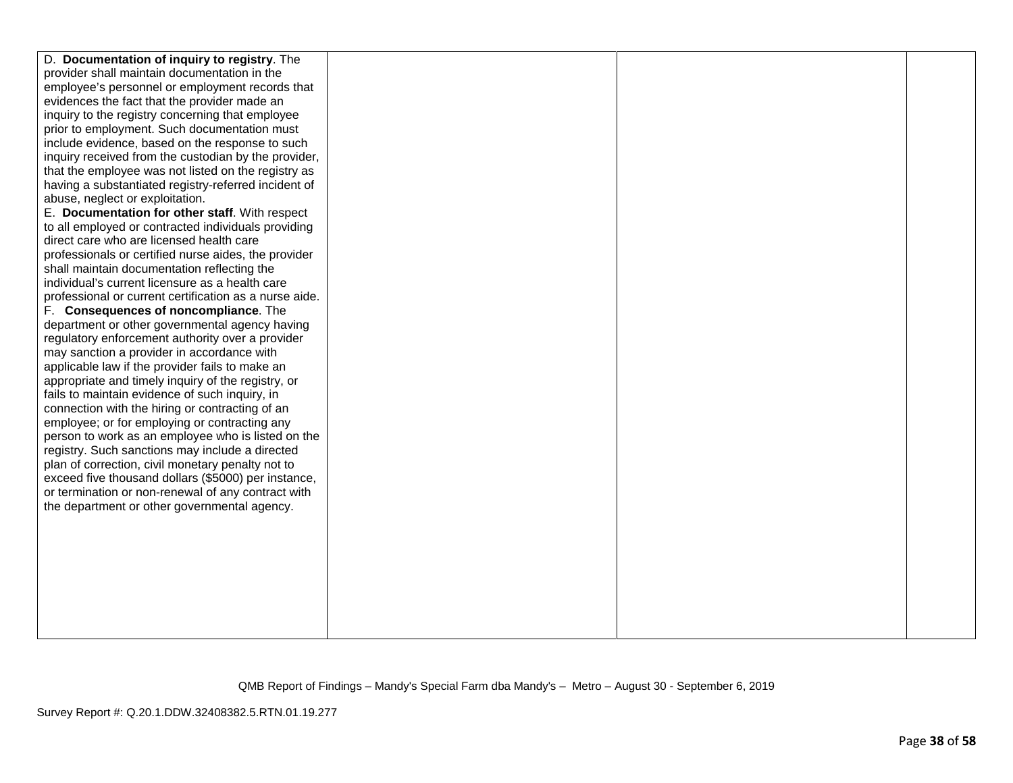| D. Documentation of inquiry to registry. The           |  |  |
|--------------------------------------------------------|--|--|
| provider shall maintain documentation in the           |  |  |
| employee's personnel or employment records that        |  |  |
| evidences the fact that the provider made an           |  |  |
| inquiry to the registry concerning that employee       |  |  |
| prior to employment. Such documentation must           |  |  |
| include evidence, based on the response to such        |  |  |
| inquiry received from the custodian by the provider,   |  |  |
| that the employee was not listed on the registry as    |  |  |
| having a substantiated registry-referred incident of   |  |  |
| abuse, neglect or exploitation.                        |  |  |
| E. Documentation for other staff. With respect         |  |  |
| to all employed or contracted individuals providing    |  |  |
| direct care who are licensed health care               |  |  |
| professionals or certified nurse aides, the provider   |  |  |
| shall maintain documentation reflecting the            |  |  |
| individual's current licensure as a health care        |  |  |
| professional or current certification as a nurse aide. |  |  |
| F. Consequences of noncompliance. The                  |  |  |
| department or other governmental agency having         |  |  |
| regulatory enforcement authority over a provider       |  |  |
| may sanction a provider in accordance with             |  |  |
| applicable law if the provider fails to make an        |  |  |
| appropriate and timely inquiry of the registry, or     |  |  |
| fails to maintain evidence of such inquiry, in         |  |  |
| connection with the hiring or contracting of an        |  |  |
| employee; or for employing or contracting any          |  |  |
| person to work as an employee who is listed on the     |  |  |
| registry. Such sanctions may include a directed        |  |  |
| plan of correction, civil monetary penalty not to      |  |  |
| exceed five thousand dollars (\$5000) per instance,    |  |  |
| or termination or non-renewal of any contract with     |  |  |
| the department or other governmental agency.           |  |  |
|                                                        |  |  |
|                                                        |  |  |
|                                                        |  |  |
|                                                        |  |  |
|                                                        |  |  |
|                                                        |  |  |
|                                                        |  |  |
|                                                        |  |  |
|                                                        |  |  |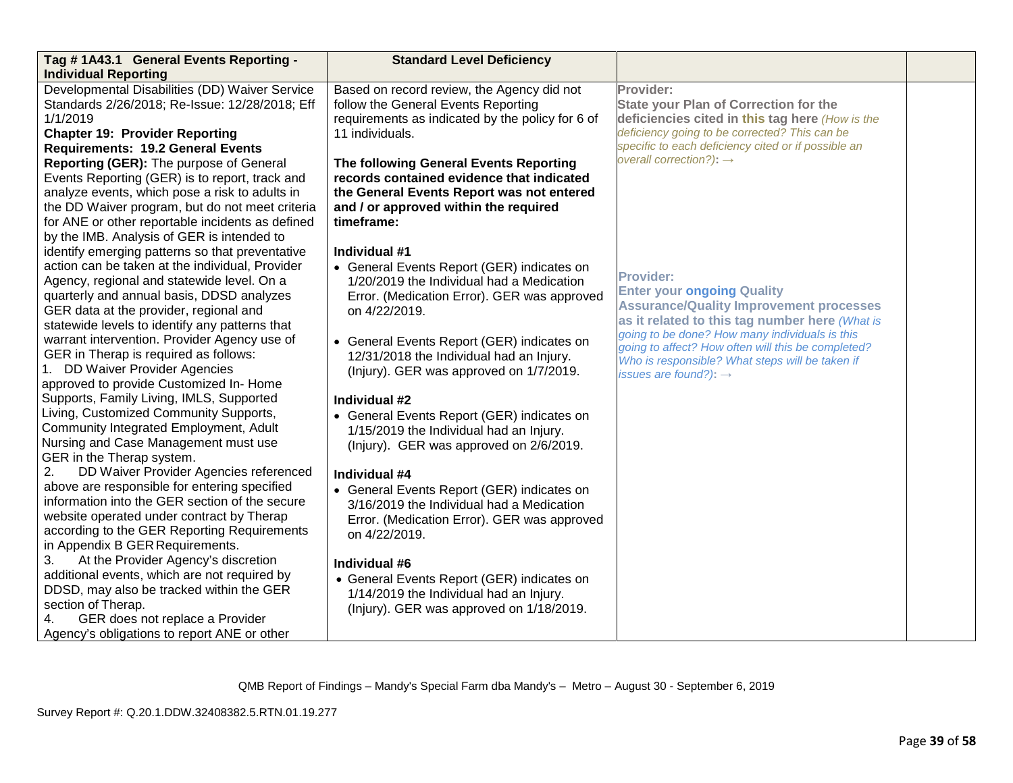| Tag #1A43.1 General Events Reporting -           | <b>Standard Level Deficiency</b>                 |                                                                                            |  |
|--------------------------------------------------|--------------------------------------------------|--------------------------------------------------------------------------------------------|--|
| <b>Individual Reporting</b>                      |                                                  |                                                                                            |  |
| Developmental Disabilities (DD) Waiver Service   | Based on record review, the Agency did not       | Provider:                                                                                  |  |
| Standards 2/26/2018; Re-Issue: 12/28/2018; Eff   | follow the General Events Reporting              | <b>State your Plan of Correction for the</b>                                               |  |
| 1/1/2019                                         | requirements as indicated by the policy for 6 of | deficiencies cited in this tag here (How is the                                            |  |
| <b>Chapter 19: Provider Reporting</b>            | 11 individuals.                                  | deficiency going to be corrected? This can be                                              |  |
| <b>Requirements: 19.2 General Events</b>         |                                                  | specific to each deficiency cited or if possible an<br>overall correction?): $\rightarrow$ |  |
| Reporting (GER): The purpose of General          | The following General Events Reporting           |                                                                                            |  |
| Events Reporting (GER) is to report, track and   | records contained evidence that indicated        |                                                                                            |  |
| analyze events, which pose a risk to adults in   | the General Events Report was not entered        |                                                                                            |  |
| the DD Waiver program, but do not meet criteria  | and / or approved within the required            |                                                                                            |  |
| for ANE or other reportable incidents as defined | timeframe:                                       |                                                                                            |  |
| by the IMB. Analysis of GER is intended to       |                                                  |                                                                                            |  |
| identify emerging patterns so that preventative  | Individual #1                                    |                                                                                            |  |
| action can be taken at the individual, Provider  | • General Events Report (GER) indicates on       | <b>Provider:</b>                                                                           |  |
| Agency, regional and statewide level. On a       | 1/20/2019 the Individual had a Medication        | <b>Enter your ongoing Quality</b>                                                          |  |
| quarterly and annual basis, DDSD analyzes        | Error. (Medication Error). GER was approved      | <b>Assurance/Quality Improvement processes</b>                                             |  |
| GER data at the provider, regional and           | on 4/22/2019.                                    | as it related to this tag number here (What is                                             |  |
| statewide levels to identify any patterns that   |                                                  | going to be done? How many individuals is this                                             |  |
| warrant intervention. Provider Agency use of     | • General Events Report (GER) indicates on       | going to affect? How often will this be completed?                                         |  |
| GER in Therap is required as follows:            | 12/31/2018 the Individual had an Injury.         | Who is responsible? What steps will be taken if                                            |  |
| 1. DD Waiver Provider Agencies                   | (Injury). GER was approved on 1/7/2019.          | issues are found?): $\rightarrow$                                                          |  |
| approved to provide Customized In-Home           |                                                  |                                                                                            |  |
| Supports, Family Living, IMLS, Supported         | Individual #2                                    |                                                                                            |  |
| Living, Customized Community Supports,           | • General Events Report (GER) indicates on       |                                                                                            |  |
| Community Integrated Employment, Adult           | 1/15/2019 the Individual had an Injury.          |                                                                                            |  |
| Nursing and Case Management must use             | (Injury). GER was approved on 2/6/2019.          |                                                                                            |  |
| GER in the Therap system.                        |                                                  |                                                                                            |  |
| DD Waiver Provider Agencies referenced<br>2.     | Individual #4                                    |                                                                                            |  |
| above are responsible for entering specified     | • General Events Report (GER) indicates on       |                                                                                            |  |
| information into the GER section of the secure   | 3/16/2019 the Individual had a Medication        |                                                                                            |  |
| website operated under contract by Therap        | Error. (Medication Error). GER was approved      |                                                                                            |  |
| according to the GER Reporting Requirements      | on 4/22/2019.                                    |                                                                                            |  |
| in Appendix B GER Requirements.                  |                                                  |                                                                                            |  |
| At the Provider Agency's discretion<br>3.        | Individual #6                                    |                                                                                            |  |
| additional events, which are not required by     | • General Events Report (GER) indicates on       |                                                                                            |  |
| DDSD, may also be tracked within the GER         | 1/14/2019 the Individual had an Injury.          |                                                                                            |  |
| section of Therap.                               | (Injury). GER was approved on 1/18/2019.         |                                                                                            |  |
| GER does not replace a Provider<br>4.            |                                                  |                                                                                            |  |
| Agency's obligations to report ANE or other      |                                                  |                                                                                            |  |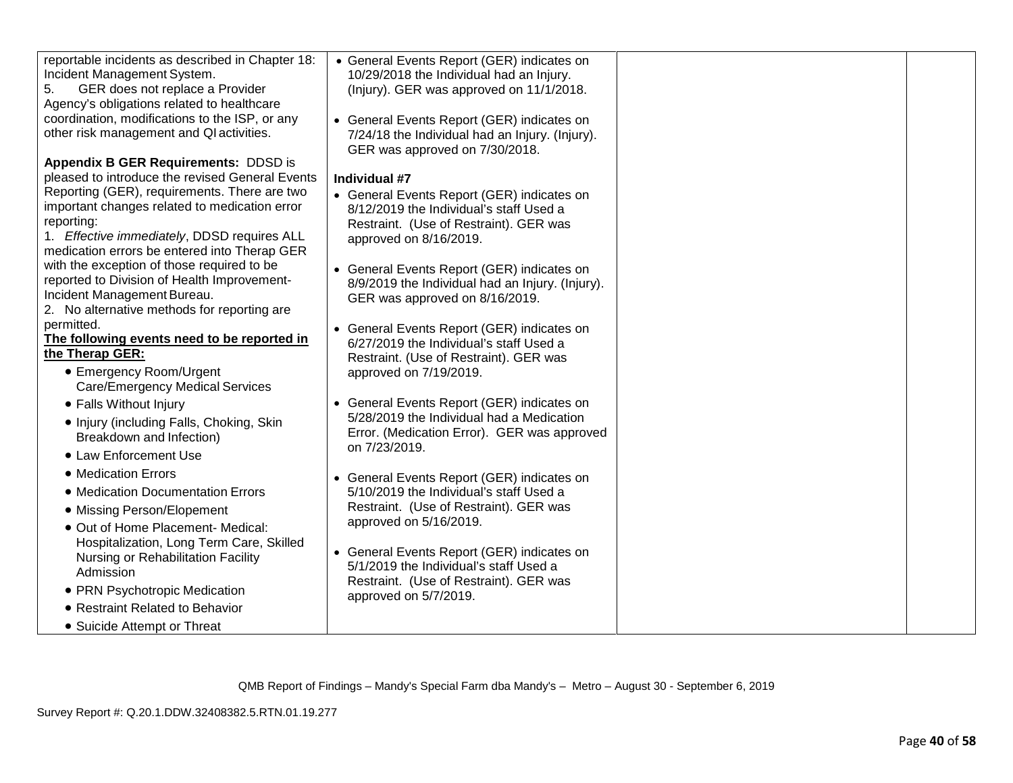| reportable incidents as described in Chapter 18:<br>Incident Management System. | • General Events Report (GER) indicates on                                           |  |
|---------------------------------------------------------------------------------|--------------------------------------------------------------------------------------|--|
| GER does not replace a Provider<br>5.                                           | 10/29/2018 the Individual had an Injury.<br>(Injury). GER was approved on 11/1/2018. |  |
| Agency's obligations related to healthcare                                      |                                                                                      |  |
| coordination, modifications to the ISP, or any                                  | • General Events Report (GER) indicates on                                           |  |
| other risk management and QI activities.                                        | 7/24/18 the Individual had an Injury. (Injury).                                      |  |
|                                                                                 | GER was approved on 7/30/2018.                                                       |  |
| Appendix B GER Requirements: DDSD is                                            |                                                                                      |  |
| pleased to introduce the revised General Events                                 | Individual #7                                                                        |  |
| Reporting (GER), requirements. There are two                                    | • General Events Report (GER) indicates on                                           |  |
| important changes related to medication error                                   | 8/12/2019 the Individual's staff Used a                                              |  |
| reporting:<br>1. Effective immediately, DDSD requires ALL                       | Restraint. (Use of Restraint). GER was                                               |  |
| medication errors be entered into Therap GER                                    | approved on 8/16/2019.                                                               |  |
| with the exception of those required to be                                      | • General Events Report (GER) indicates on                                           |  |
| reported to Division of Health Improvement-                                     | 8/9/2019 the Individual had an Injury. (Injury).                                     |  |
| Incident Management Bureau.                                                     | GER was approved on 8/16/2019.                                                       |  |
| 2. No alternative methods for reporting are                                     |                                                                                      |  |
| permitted.                                                                      | • General Events Report (GER) indicates on                                           |  |
| The following events need to be reported in                                     | 6/27/2019 the Individual's staff Used a                                              |  |
| the Therap GER:                                                                 | Restraint. (Use of Restraint). GER was                                               |  |
| • Emergency Room/Urgent                                                         | approved on 7/19/2019.                                                               |  |
| <b>Care/Emergency Medical Services</b>                                          |                                                                                      |  |
| • Falls Without Injury                                                          | • General Events Report (GER) indicates on                                           |  |
| • Injury (including Falls, Choking, Skin                                        | 5/28/2019 the Individual had a Medication                                            |  |
| Breakdown and Infection)                                                        | Error. (Medication Error). GER was approved<br>on 7/23/2019.                         |  |
| • Law Enforcement Use                                                           |                                                                                      |  |
| • Medication Errors                                                             | • General Events Report (GER) indicates on                                           |  |
| • Medication Documentation Errors                                               | 5/10/2019 the Individual's staff Used a                                              |  |
| • Missing Person/Elopement                                                      | Restraint. (Use of Restraint). GER was                                               |  |
| • Out of Home Placement- Medical:                                               | approved on 5/16/2019.                                                               |  |
| Hospitalization, Long Term Care, Skilled                                        |                                                                                      |  |
| Nursing or Rehabilitation Facility                                              | • General Events Report (GER) indicates on                                           |  |
| Admission                                                                       | 5/1/2019 the Individual's staff Used a                                               |  |
| • PRN Psychotropic Medication                                                   | Restraint. (Use of Restraint). GER was<br>approved on 5/7/2019.                      |  |
| • Restraint Related to Behavior                                                 |                                                                                      |  |
| • Suicide Attempt or Threat                                                     |                                                                                      |  |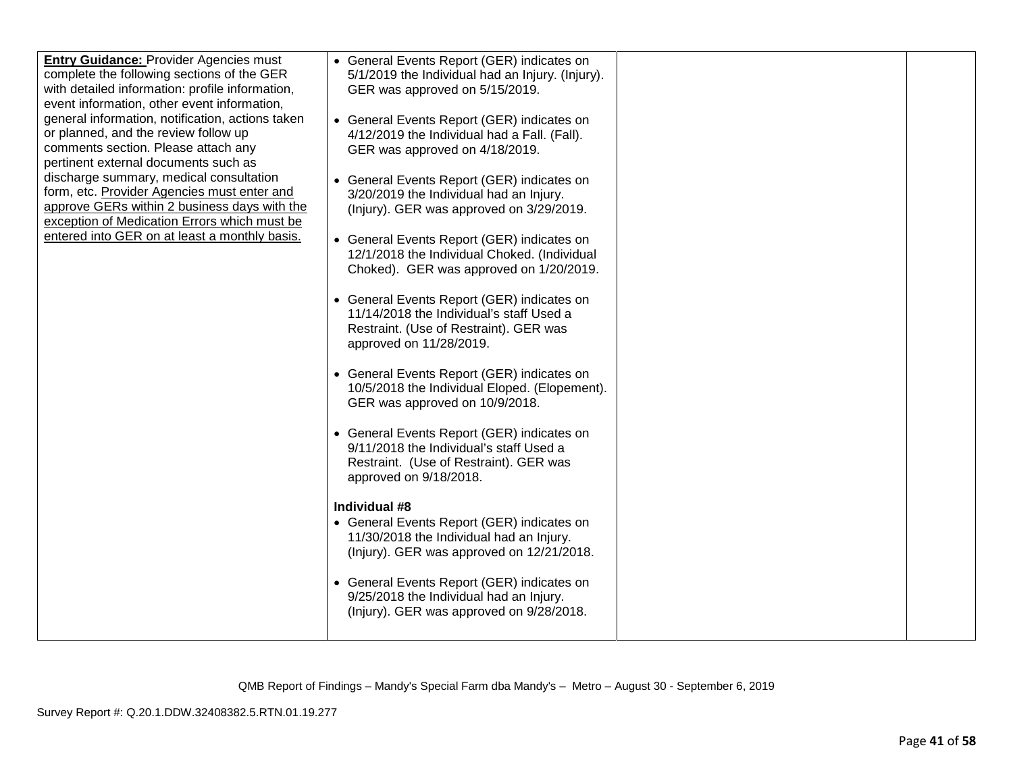| <b>Entry Guidance: Provider Agencies must</b><br>complete the following sections of the GER<br>with detailed information: profile information,<br>event information, other event information,<br>general information, notification, actions taken<br>or planned, and the review follow up<br>comments section. Please attach any<br>pertinent external documents such as<br>discharge summary, medical consultation<br>form, etc. Provider Agencies must enter and<br>approve GERs within 2 business days with the<br>exception of Medication Errors which must be<br>entered into GER on at least a monthly basis. | • General Events Report (GER) indicates on<br>5/1/2019 the Individual had an Injury. (Injury).<br>GER was approved on 5/15/2019.<br>• General Events Report (GER) indicates on<br>4/12/2019 the Individual had a Fall. (Fall).<br>GER was approved on 4/18/2019.<br>• General Events Report (GER) indicates on<br>3/20/2019 the Individual had an Injury.<br>(Injury). GER was approved on 3/29/2019.<br>• General Events Report (GER) indicates on<br>12/1/2018 the Individual Choked. (Individual<br>Choked). GER was approved on 1/20/2019.<br>• General Events Report (GER) indicates on<br>11/14/2018 the Individual's staff Used a<br>Restraint. (Use of Restraint). GER was<br>approved on 11/28/2019.<br>• General Events Report (GER) indicates on<br>10/5/2018 the Individual Eloped. (Elopement).<br>GER was approved on 10/9/2018.<br>• General Events Report (GER) indicates on<br>9/11/2018 the Individual's staff Used a<br>Restraint. (Use of Restraint). GER was<br>approved on 9/18/2018.<br>Individual #8<br>• General Events Report (GER) indicates on<br>11/30/2018 the Individual had an Injury.<br>(Injury). GER was approved on 12/21/2018. |  |
|---------------------------------------------------------------------------------------------------------------------------------------------------------------------------------------------------------------------------------------------------------------------------------------------------------------------------------------------------------------------------------------------------------------------------------------------------------------------------------------------------------------------------------------------------------------------------------------------------------------------|---------------------------------------------------------------------------------------------------------------------------------------------------------------------------------------------------------------------------------------------------------------------------------------------------------------------------------------------------------------------------------------------------------------------------------------------------------------------------------------------------------------------------------------------------------------------------------------------------------------------------------------------------------------------------------------------------------------------------------------------------------------------------------------------------------------------------------------------------------------------------------------------------------------------------------------------------------------------------------------------------------------------------------------------------------------------------------------------------------------------------------------------------------------------|--|
|                                                                                                                                                                                                                                                                                                                                                                                                                                                                                                                                                                                                                     | • General Events Report (GER) indicates on<br>9/25/2018 the Individual had an Injury.<br>(Injury). GER was approved on 9/28/2018.                                                                                                                                                                                                                                                                                                                                                                                                                                                                                                                                                                                                                                                                                                                                                                                                                                                                                                                                                                                                                                   |  |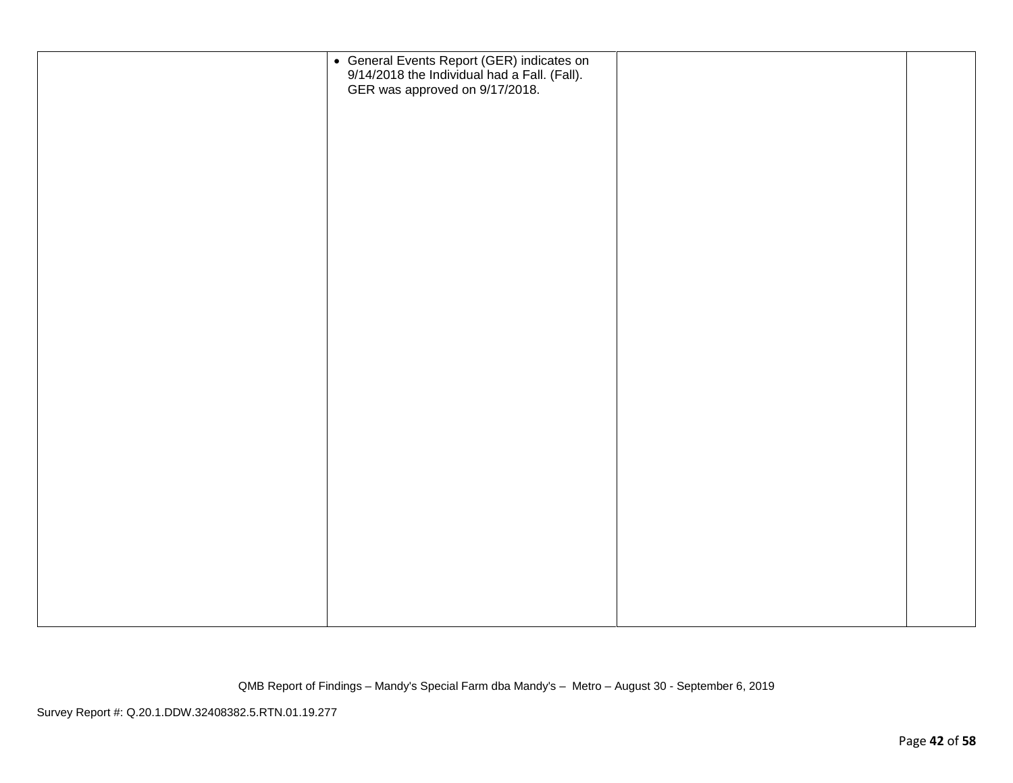| • General Events Report (GER) indicates on 9/14/2018 the Individual had a Fall. (Fall).<br>GER was approved on 9/17/2018. |  |
|---------------------------------------------------------------------------------------------------------------------------|--|
|                                                                                                                           |  |
|                                                                                                                           |  |
|                                                                                                                           |  |
|                                                                                                                           |  |
|                                                                                                                           |  |
|                                                                                                                           |  |
|                                                                                                                           |  |
|                                                                                                                           |  |
|                                                                                                                           |  |
|                                                                                                                           |  |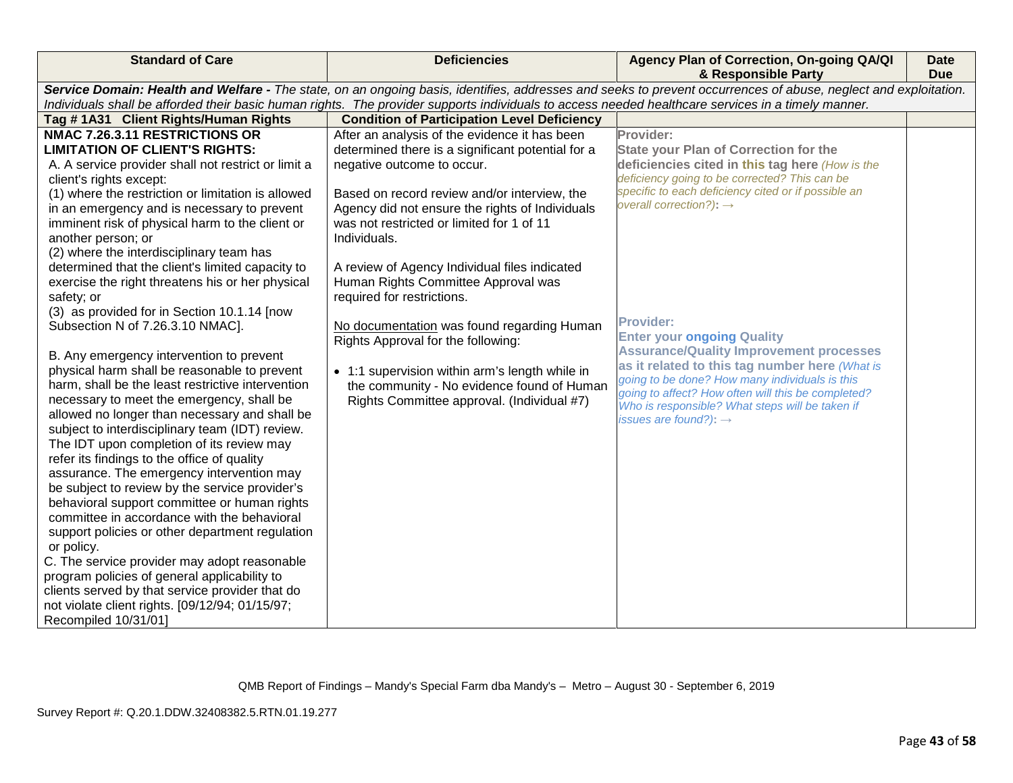| <b>Standard of Care</b>                             | <b>Deficiencies</b>                                                                                                                                | Agency Plan of Correction, On-going QA/QI<br>& Responsible Party                                                                                                | <b>Date</b><br><b>Due</b> |
|-----------------------------------------------------|----------------------------------------------------------------------------------------------------------------------------------------------------|-----------------------------------------------------------------------------------------------------------------------------------------------------------------|---------------------------|
|                                                     |                                                                                                                                                    | Service Domain: Health and Welfare - The state, on an ongoing basis, identifies, addresses and seeks to prevent occurrences of abuse, neglect and exploitation. |                           |
|                                                     | Individuals shall be afforded their basic human rights. The provider supports individuals to access needed healthcare services in a timely manner. |                                                                                                                                                                 |                           |
| Tag #1A31 Client Rights/Human Rights                | <b>Condition of Participation Level Deficiency</b>                                                                                                 |                                                                                                                                                                 |                           |
| NMAC 7.26.3.11 RESTRICTIONS OR                      | After an analysis of the evidence it has been                                                                                                      | Provider:                                                                                                                                                       |                           |
| <b>LIMITATION OF CLIENT'S RIGHTS:</b>               | determined there is a significant potential for a                                                                                                  | <b>State your Plan of Correction for the</b>                                                                                                                    |                           |
| A. A service provider shall not restrict or limit a | negative outcome to occur.                                                                                                                         | deficiencies cited in this tag here (How is the                                                                                                                 |                           |
| client's rights except:                             |                                                                                                                                                    | deficiency going to be corrected? This can be                                                                                                                   |                           |
| (1) where the restriction or limitation is allowed  | Based on record review and/or interview, the                                                                                                       | specific to each deficiency cited or if possible an<br>overall correction?): $\rightarrow$                                                                      |                           |
| in an emergency and is necessary to prevent         | Agency did not ensure the rights of Individuals                                                                                                    |                                                                                                                                                                 |                           |
| imminent risk of physical harm to the client or     | was not restricted or limited for 1 of 11                                                                                                          |                                                                                                                                                                 |                           |
| another person; or                                  | Individuals.                                                                                                                                       |                                                                                                                                                                 |                           |
| (2) where the interdisciplinary team has            |                                                                                                                                                    |                                                                                                                                                                 |                           |
| determined that the client's limited capacity to    | A review of Agency Individual files indicated                                                                                                      |                                                                                                                                                                 |                           |
| exercise the right threatens his or her physical    | Human Rights Committee Approval was                                                                                                                |                                                                                                                                                                 |                           |
| safety; or                                          | required for restrictions.                                                                                                                         |                                                                                                                                                                 |                           |
| (3) as provided for in Section 10.1.14 [now         |                                                                                                                                                    | <b>Provider:</b>                                                                                                                                                |                           |
| Subsection N of 7.26.3.10 NMAC].                    | No documentation was found regarding Human<br>Rights Approval for the following:                                                                   | <b>Enter your ongoing Quality</b>                                                                                                                               |                           |
| B. Any emergency intervention to prevent            |                                                                                                                                                    | <b>Assurance/Quality Improvement processes</b>                                                                                                                  |                           |
| physical harm shall be reasonable to prevent        | • 1:1 supervision within arm's length while in                                                                                                     | as it related to this tag number here (What is                                                                                                                  |                           |
| harm, shall be the least restrictive intervention   | the community - No evidence found of Human                                                                                                         | going to be done? How many individuals is this                                                                                                                  |                           |
| necessary to meet the emergency, shall be           | Rights Committee approval. (Individual #7)                                                                                                         | going to affect? How often will this be completed?                                                                                                              |                           |
| allowed no longer than necessary and shall be       |                                                                                                                                                    | Who is responsible? What steps will be taken if                                                                                                                 |                           |
| subject to interdisciplinary team (IDT) review.     |                                                                                                                                                    | issues are found?): $\rightarrow$                                                                                                                               |                           |
| The IDT upon completion of its review may           |                                                                                                                                                    |                                                                                                                                                                 |                           |
| refer its findings to the office of quality         |                                                                                                                                                    |                                                                                                                                                                 |                           |
| assurance. The emergency intervention may           |                                                                                                                                                    |                                                                                                                                                                 |                           |
| be subject to review by the service provider's      |                                                                                                                                                    |                                                                                                                                                                 |                           |
| behavioral support committee or human rights        |                                                                                                                                                    |                                                                                                                                                                 |                           |
| committee in accordance with the behavioral         |                                                                                                                                                    |                                                                                                                                                                 |                           |
| support policies or other department regulation     |                                                                                                                                                    |                                                                                                                                                                 |                           |
| or policy.                                          |                                                                                                                                                    |                                                                                                                                                                 |                           |
| C. The service provider may adopt reasonable        |                                                                                                                                                    |                                                                                                                                                                 |                           |
| program policies of general applicability to        |                                                                                                                                                    |                                                                                                                                                                 |                           |
| clients served by that service provider that do     |                                                                                                                                                    |                                                                                                                                                                 |                           |
| not violate client rights. [09/12/94; 01/15/97;     |                                                                                                                                                    |                                                                                                                                                                 |                           |
| Recompiled 10/31/01]                                |                                                                                                                                                    |                                                                                                                                                                 |                           |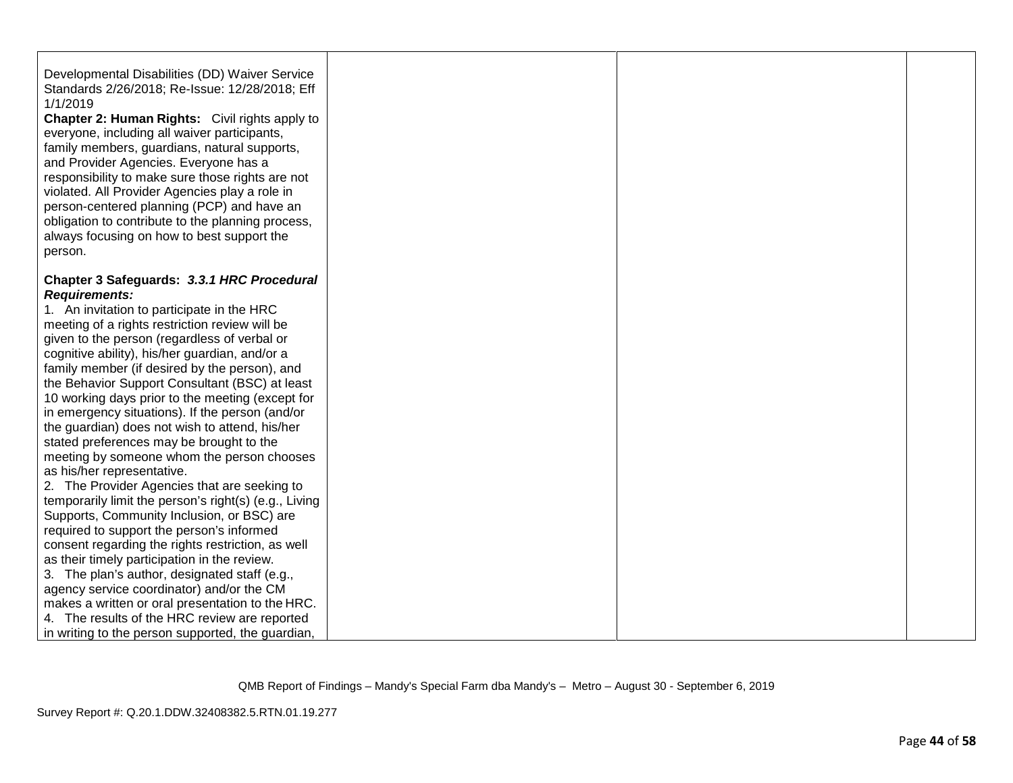| Developmental Disabilities (DD) Waiver Service<br>Standards 2/26/2018; Re-Issue: 12/28/2018; Eff<br>1/1/2019<br><b>Chapter 2: Human Rights:</b> Civil rights apply to<br>everyone, including all waiver participants,<br>family members, guardians, natural supports,<br>and Provider Agencies. Everyone has a<br>responsibility to make sure those rights are not<br>violated. All Provider Agencies play a role in<br>person-centered planning (PCP) and have an<br>obligation to contribute to the planning process,<br>always focusing on how to best support the<br>person.                                                                                                                                                                                                                                                                                                                                  |  |  |
|-------------------------------------------------------------------------------------------------------------------------------------------------------------------------------------------------------------------------------------------------------------------------------------------------------------------------------------------------------------------------------------------------------------------------------------------------------------------------------------------------------------------------------------------------------------------------------------------------------------------------------------------------------------------------------------------------------------------------------------------------------------------------------------------------------------------------------------------------------------------------------------------------------------------|--|--|
| Chapter 3 Safeguards: 3.3.1 HRC Procedural<br><b>Requirements:</b><br>1. An invitation to participate in the HRC<br>meeting of a rights restriction review will be<br>given to the person (regardless of verbal or<br>cognitive ability), his/her guardian, and/or a<br>family member (if desired by the person), and<br>the Behavior Support Consultant (BSC) at least<br>10 working days prior to the meeting (except for<br>in emergency situations). If the person (and/or<br>the guardian) does not wish to attend, his/her<br>stated preferences may be brought to the<br>meeting by someone whom the person chooses<br>as his/her representative.<br>2. The Provider Agencies that are seeking to<br>temporarily limit the person's right(s) (e.g., Living<br>Supports, Community Inclusion, or BSC) are<br>required to support the person's informed<br>consent regarding the rights restriction, as well |  |  |
| as their timely participation in the review.<br>3. The plan's author, designated staff (e.g.,<br>agency service coordinator) and/or the CM<br>makes a written or oral presentation to the HRC.<br>4. The results of the HRC review are reported<br>in writing to the person supported, the guardian,                                                                                                                                                                                                                                                                                                                                                                                                                                                                                                                                                                                                              |  |  |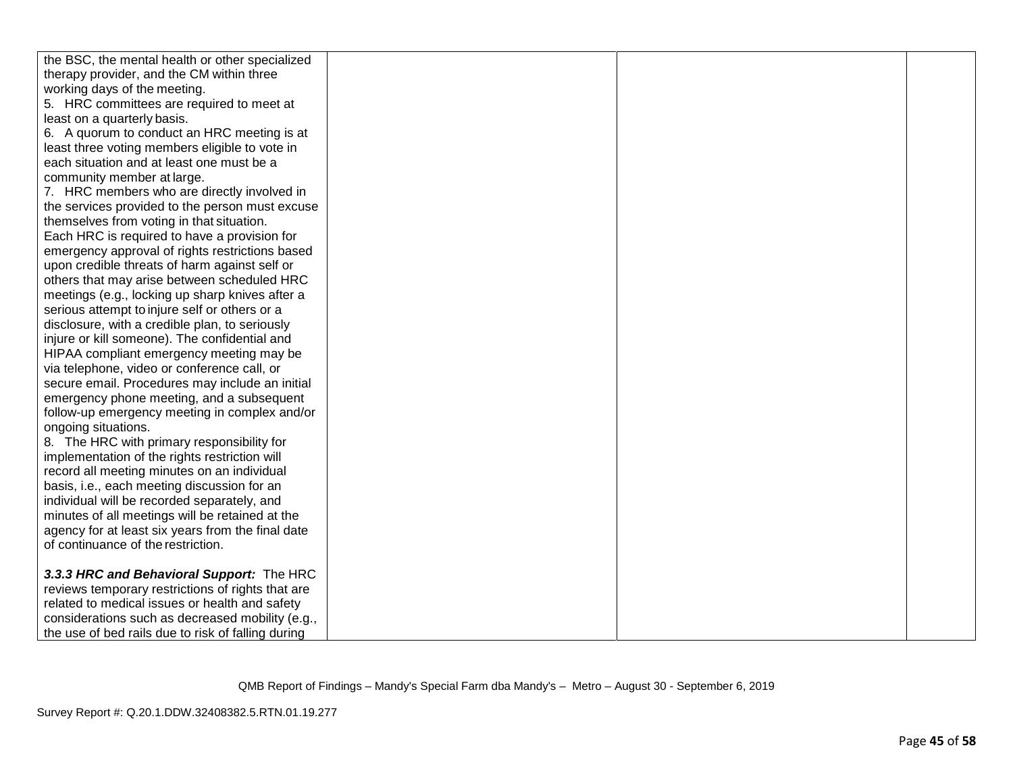| the BSC, the mental health or other specialized    |  |  |
|----------------------------------------------------|--|--|
| therapy provider, and the CM within three          |  |  |
| working days of the meeting.                       |  |  |
| 5. HRC committees are required to meet at          |  |  |
| least on a quarterly basis.                        |  |  |
| 6. A quorum to conduct an HRC meeting is at        |  |  |
| least three voting members eligible to vote in     |  |  |
| each situation and at least one must be a          |  |  |
| community member at large.                         |  |  |
| 7. HRC members who are directly involved in        |  |  |
| the services provided to the person must excuse    |  |  |
| themselves from voting in that situation.          |  |  |
| Each HRC is required to have a provision for       |  |  |
| emergency approval of rights restrictions based    |  |  |
| upon credible threats of harm against self or      |  |  |
| others that may arise between scheduled HRC        |  |  |
| meetings (e.g., locking up sharp knives after a    |  |  |
| serious attempt to injure self or others or a      |  |  |
| disclosure, with a credible plan, to seriously     |  |  |
| injure or kill someone). The confidential and      |  |  |
| HIPAA compliant emergency meeting may be           |  |  |
| via telephone, video or conference call, or        |  |  |
| secure email. Procedures may include an initial    |  |  |
| emergency phone meeting, and a subsequent          |  |  |
| follow-up emergency meeting in complex and/or      |  |  |
| ongoing situations.                                |  |  |
| 8. The HRC with primary responsibility for         |  |  |
| implementation of the rights restriction will      |  |  |
| record all meeting minutes on an individual        |  |  |
| basis, i.e., each meeting discussion for an        |  |  |
| individual will be recorded separately, and        |  |  |
| minutes of all meetings will be retained at the    |  |  |
| agency for at least six years from the final date  |  |  |
| of continuance of the restriction.                 |  |  |
|                                                    |  |  |
| 3.3.3 HRC and Behavioral Support: The HRC          |  |  |
| reviews temporary restrictions of rights that are  |  |  |
| related to medical issues or health and safety     |  |  |
| considerations such as decreased mobility (e.g.,   |  |  |
| the use of bed rails due to risk of falling during |  |  |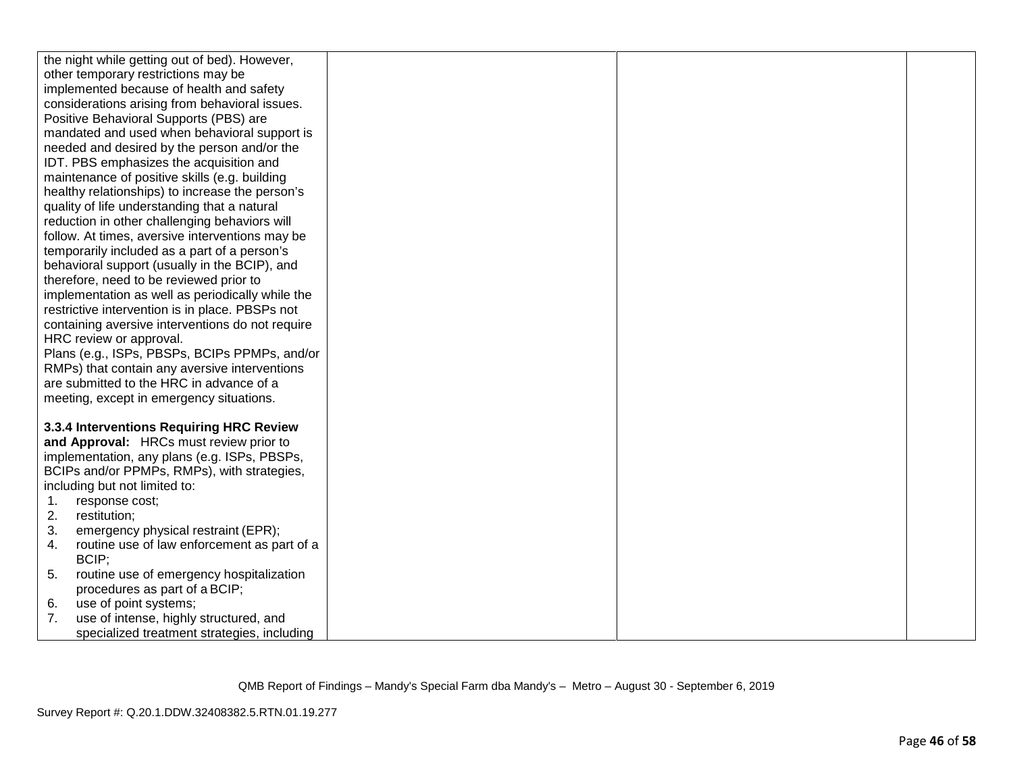| the night while getting out of bed). However,     |  |  |
|---------------------------------------------------|--|--|
| other temporary restrictions may be               |  |  |
| implemented because of health and safety          |  |  |
| considerations arising from behavioral issues.    |  |  |
| Positive Behavioral Supports (PBS) are            |  |  |
| mandated and used when behavioral support is      |  |  |
| needed and desired by the person and/or the       |  |  |
| IDT. PBS emphasizes the acquisition and           |  |  |
| maintenance of positive skills (e.g. building     |  |  |
| healthy relationships) to increase the person's   |  |  |
| quality of life understanding that a natural      |  |  |
| reduction in other challenging behaviors will     |  |  |
| follow. At times, aversive interventions may be   |  |  |
| temporarily included as a part of a person's      |  |  |
| behavioral support (usually in the BCIP), and     |  |  |
| therefore, need to be reviewed prior to           |  |  |
| implementation as well as periodically while the  |  |  |
| restrictive intervention is in place. PBSPs not   |  |  |
| containing aversive interventions do not require  |  |  |
| HRC review or approval.                           |  |  |
| Plans (e.g., ISPs, PBSPs, BCIPs PPMPs, and/or     |  |  |
| RMPs) that contain any aversive interventions     |  |  |
| are submitted to the HRC in advance of a          |  |  |
| meeting, except in emergency situations.          |  |  |
|                                                   |  |  |
| 3.3.4 Interventions Requiring HRC Review          |  |  |
| and Approval: HRCs must review prior to           |  |  |
| implementation, any plans (e.g. ISPs, PBSPs,      |  |  |
| BCIPs and/or PPMPs, RMPs), with strategies,       |  |  |
| including but not limited to:                     |  |  |
| response cost;<br>1.                              |  |  |
| 2.<br>restitution;                                |  |  |
| emergency physical restraint (EPR);<br>3.         |  |  |
| routine use of law enforcement as part of a<br>4. |  |  |
| BCIP:                                             |  |  |
| 5.<br>routine use of emergency hospitalization    |  |  |
| procedures as part of a BCIP;                     |  |  |
| use of point systems;<br>6.                       |  |  |
| 7.<br>use of intense, highly structured, and      |  |  |
| specialized treatment strategies, including       |  |  |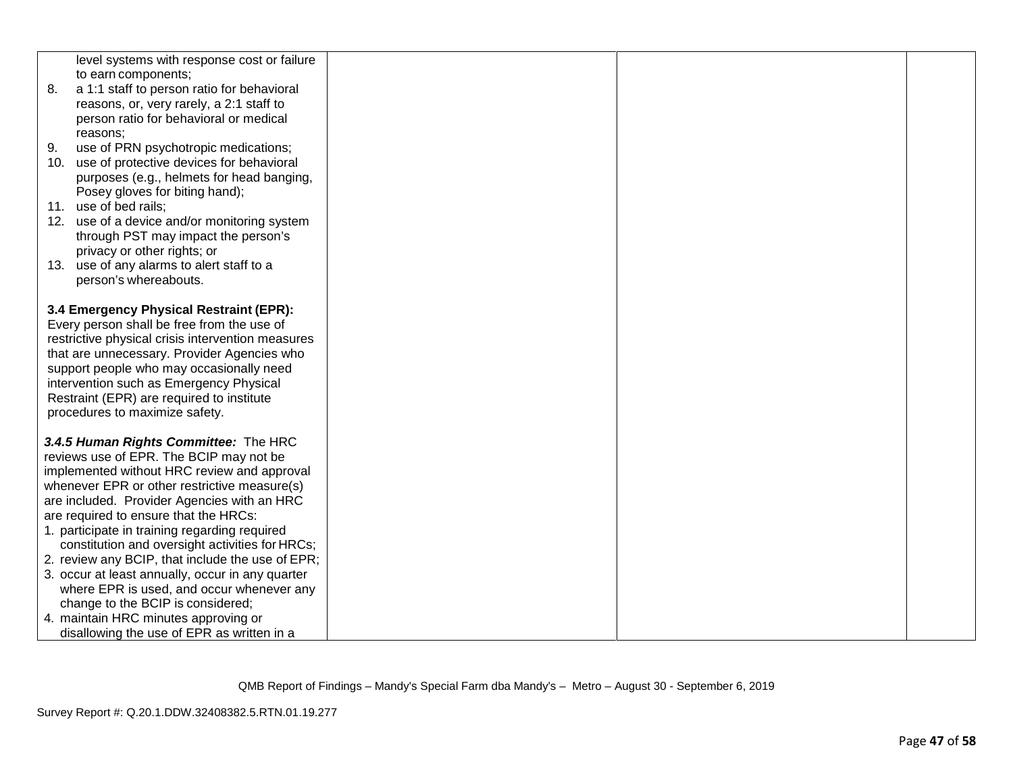|     | level systems with response cost or failure<br>to earn components;       |  |  |
|-----|--------------------------------------------------------------------------|--|--|
| 8.  | a 1:1 staff to person ratio for behavioral                               |  |  |
|     | reasons, or, very rarely, a 2:1 staff to                                 |  |  |
|     | person ratio for behavioral or medical                                   |  |  |
|     | reasons:                                                                 |  |  |
| 9.  | use of PRN psychotropic medications;                                     |  |  |
| 10. | use of protective devices for behavioral                                 |  |  |
|     | purposes (e.g., helmets for head banging,                                |  |  |
|     | Posey gloves for biting hand);                                           |  |  |
|     | 11. use of bed rails;                                                    |  |  |
|     | 12. use of a device and/or monitoring system                             |  |  |
|     | through PST may impact the person's                                      |  |  |
|     | privacy or other rights; or<br>13. use of any alarms to alert staff to a |  |  |
|     | person's whereabouts.                                                    |  |  |
|     |                                                                          |  |  |
|     | 3.4 Emergency Physical Restraint (EPR):                                  |  |  |
|     | Every person shall be free from the use of                               |  |  |
|     | restrictive physical crisis intervention measures                        |  |  |
|     | that are unnecessary. Provider Agencies who                              |  |  |
|     | support people who may occasionally need                                 |  |  |
|     | intervention such as Emergency Physical                                  |  |  |
|     | Restraint (EPR) are required to institute                                |  |  |
|     | procedures to maximize safety.                                           |  |  |
|     | 3.4.5 Human Rights Committee: The HRC                                    |  |  |
|     | reviews use of EPR. The BCIP may not be                                  |  |  |
|     | implemented without HRC review and approval                              |  |  |
|     | whenever EPR or other restrictive measure(s)                             |  |  |
|     | are included. Provider Agencies with an HRC                              |  |  |
|     | are required to ensure that the HRCs:                                    |  |  |
|     | 1. participate in training regarding required                            |  |  |
|     | constitution and oversight activities for HRCs;                          |  |  |
|     | 2. review any BCIP, that include the use of EPR;                         |  |  |
|     | 3. occur at least annually, occur in any quarter                         |  |  |
|     | where EPR is used, and occur whenever any                                |  |  |
|     | change to the BCIP is considered;                                        |  |  |
|     | 4. maintain HRC minutes approving or                                     |  |  |
|     | disallowing the use of EPR as written in a                               |  |  |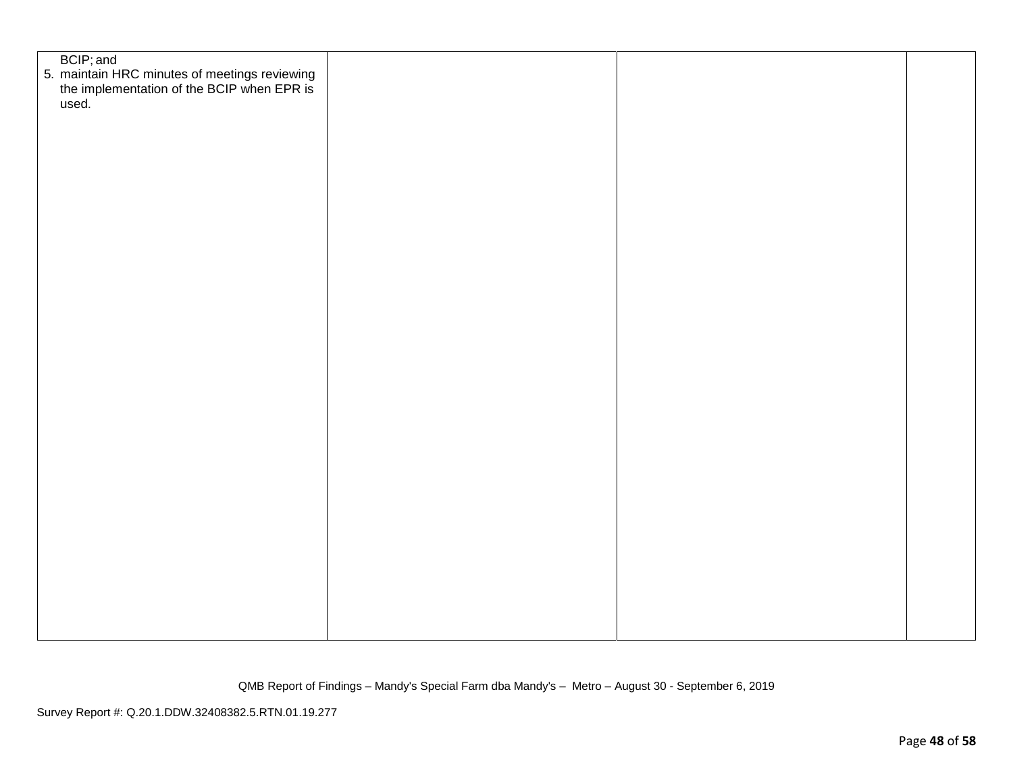| BCIP; and<br>5. maintain HRC minutes of meetings reviewing<br>the implementation of the BCIP when EPR is<br>used. |  |  |
|-------------------------------------------------------------------------------------------------------------------|--|--|
|                                                                                                                   |  |  |
|                                                                                                                   |  |  |
|                                                                                                                   |  |  |
|                                                                                                                   |  |  |
|                                                                                                                   |  |  |
|                                                                                                                   |  |  |
|                                                                                                                   |  |  |
|                                                                                                                   |  |  |
|                                                                                                                   |  |  |
|                                                                                                                   |  |  |
|                                                                                                                   |  |  |
|                                                                                                                   |  |  |
|                                                                                                                   |  |  |
|                                                                                                                   |  |  |
|                                                                                                                   |  |  |
|                                                                                                                   |  |  |
|                                                                                                                   |  |  |
|                                                                                                                   |  |  |
|                                                                                                                   |  |  |
|                                                                                                                   |  |  |
|                                                                                                                   |  |  |
|                                                                                                                   |  |  |
|                                                                                                                   |  |  |
|                                                                                                                   |  |  |
|                                                                                                                   |  |  |
|                                                                                                                   |  |  |
|                                                                                                                   |  |  |
|                                                                                                                   |  |  |
|                                                                                                                   |  |  |
|                                                                                                                   |  |  |
|                                                                                                                   |  |  |
|                                                                                                                   |  |  |
|                                                                                                                   |  |  |
|                                                                                                                   |  |  |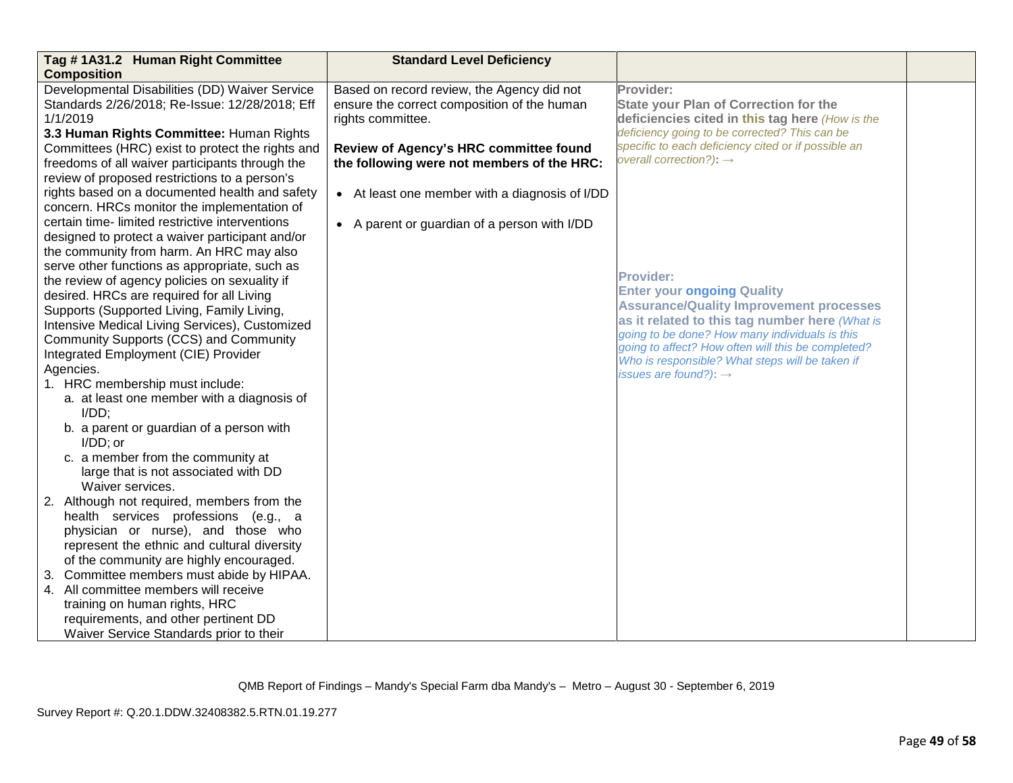| Tag #1A31.2 Human Right Committee                                                                                                                                                                                                                                                                                                                                                                                                                                                                                                                                                                                                                                                                                                       | <b>Standard Level Deficiency</b>                                                                                                                                                                                                                                                                         |                                                                                                                                                                                                                                                                                                                                                                        |  |
|-----------------------------------------------------------------------------------------------------------------------------------------------------------------------------------------------------------------------------------------------------------------------------------------------------------------------------------------------------------------------------------------------------------------------------------------------------------------------------------------------------------------------------------------------------------------------------------------------------------------------------------------------------------------------------------------------------------------------------------------|----------------------------------------------------------------------------------------------------------------------------------------------------------------------------------------------------------------------------------------------------------------------------------------------------------|------------------------------------------------------------------------------------------------------------------------------------------------------------------------------------------------------------------------------------------------------------------------------------------------------------------------------------------------------------------------|--|
| <b>Composition</b><br>Developmental Disabilities (DD) Waiver Service<br>Standards 2/26/2018; Re-Issue: 12/28/2018; Eff<br>1/1/2019<br>3.3 Human Rights Committee: Human Rights<br>Committees (HRC) exist to protect the rights and<br>freedoms of all waiver participants through the<br>review of proposed restrictions to a person's<br>rights based on a documented health and safety<br>concern. HRCs monitor the implementation of<br>certain time-limited restrictive interventions<br>designed to protect a waiver participant and/or<br>the community from harm. An HRC may also<br>serve other functions as appropriate, such as<br>the review of agency policies on sexuality if<br>desired. HRCs are required for all Living | Based on record review, the Agency did not<br>ensure the correct composition of the human<br>rights committee.<br>Review of Agency's HRC committee found<br>the following were not members of the HRC:<br>• At least one member with a diagnosis of I/DD<br>• A parent or guardian of a person with I/DD | Provider:<br><b>State your Plan of Correction for the</b><br>deficiencies cited in this tag here (How is the<br>deficiency going to be corrected? This can be<br>specific to each deficiency cited or if possible an<br>overall correction?): $\rightarrow$<br><b>Provider:</b><br><b>Enter your ongoing Quality</b><br><b>Assurance/Quality Improvement processes</b> |  |
| Supports (Supported Living, Family Living,<br>Intensive Medical Living Services), Customized<br>Community Supports (CCS) and Community                                                                                                                                                                                                                                                                                                                                                                                                                                                                                                                                                                                                  |                                                                                                                                                                                                                                                                                                          | as it related to this tag number here (What is<br>going to be done? How many individuals is this<br>going to affect? How often will this be completed?                                                                                                                                                                                                                 |  |
| Integrated Employment (CIE) Provider<br>Agencies.                                                                                                                                                                                                                                                                                                                                                                                                                                                                                                                                                                                                                                                                                       |                                                                                                                                                                                                                                                                                                          | Who is responsible? What steps will be taken if                                                                                                                                                                                                                                                                                                                        |  |
| 1. HRC membership must include:                                                                                                                                                                                                                                                                                                                                                                                                                                                                                                                                                                                                                                                                                                         |                                                                                                                                                                                                                                                                                                          | issues are found?): $\rightarrow$                                                                                                                                                                                                                                                                                                                                      |  |
| a. at least one member with a diagnosis of<br>$I/DD$ ;                                                                                                                                                                                                                                                                                                                                                                                                                                                                                                                                                                                                                                                                                  |                                                                                                                                                                                                                                                                                                          |                                                                                                                                                                                                                                                                                                                                                                        |  |
| b. a parent or guardian of a person with<br>$I/DD$ ; or                                                                                                                                                                                                                                                                                                                                                                                                                                                                                                                                                                                                                                                                                 |                                                                                                                                                                                                                                                                                                          |                                                                                                                                                                                                                                                                                                                                                                        |  |
| c. a member from the community at<br>large that is not associated with DD<br>Waiver services.                                                                                                                                                                                                                                                                                                                                                                                                                                                                                                                                                                                                                                           |                                                                                                                                                                                                                                                                                                          |                                                                                                                                                                                                                                                                                                                                                                        |  |
| 2. Although not required, members from the                                                                                                                                                                                                                                                                                                                                                                                                                                                                                                                                                                                                                                                                                              |                                                                                                                                                                                                                                                                                                          |                                                                                                                                                                                                                                                                                                                                                                        |  |
| health services professions (e.g., a                                                                                                                                                                                                                                                                                                                                                                                                                                                                                                                                                                                                                                                                                                    |                                                                                                                                                                                                                                                                                                          |                                                                                                                                                                                                                                                                                                                                                                        |  |
| physician or nurse), and those who                                                                                                                                                                                                                                                                                                                                                                                                                                                                                                                                                                                                                                                                                                      |                                                                                                                                                                                                                                                                                                          |                                                                                                                                                                                                                                                                                                                                                                        |  |
| represent the ethnic and cultural diversity<br>of the community are highly encouraged.                                                                                                                                                                                                                                                                                                                                                                                                                                                                                                                                                                                                                                                  |                                                                                                                                                                                                                                                                                                          |                                                                                                                                                                                                                                                                                                                                                                        |  |
| Committee members must abide by HIPAA.                                                                                                                                                                                                                                                                                                                                                                                                                                                                                                                                                                                                                                                                                                  |                                                                                                                                                                                                                                                                                                          |                                                                                                                                                                                                                                                                                                                                                                        |  |
| 4. All committee members will receive                                                                                                                                                                                                                                                                                                                                                                                                                                                                                                                                                                                                                                                                                                   |                                                                                                                                                                                                                                                                                                          |                                                                                                                                                                                                                                                                                                                                                                        |  |
| training on human rights, HRC                                                                                                                                                                                                                                                                                                                                                                                                                                                                                                                                                                                                                                                                                                           |                                                                                                                                                                                                                                                                                                          |                                                                                                                                                                                                                                                                                                                                                                        |  |
| requirements, and other pertinent DD                                                                                                                                                                                                                                                                                                                                                                                                                                                                                                                                                                                                                                                                                                    |                                                                                                                                                                                                                                                                                                          |                                                                                                                                                                                                                                                                                                                                                                        |  |
| Waiver Service Standards prior to their                                                                                                                                                                                                                                                                                                                                                                                                                                                                                                                                                                                                                                                                                                 |                                                                                                                                                                                                                                                                                                          |                                                                                                                                                                                                                                                                                                                                                                        |  |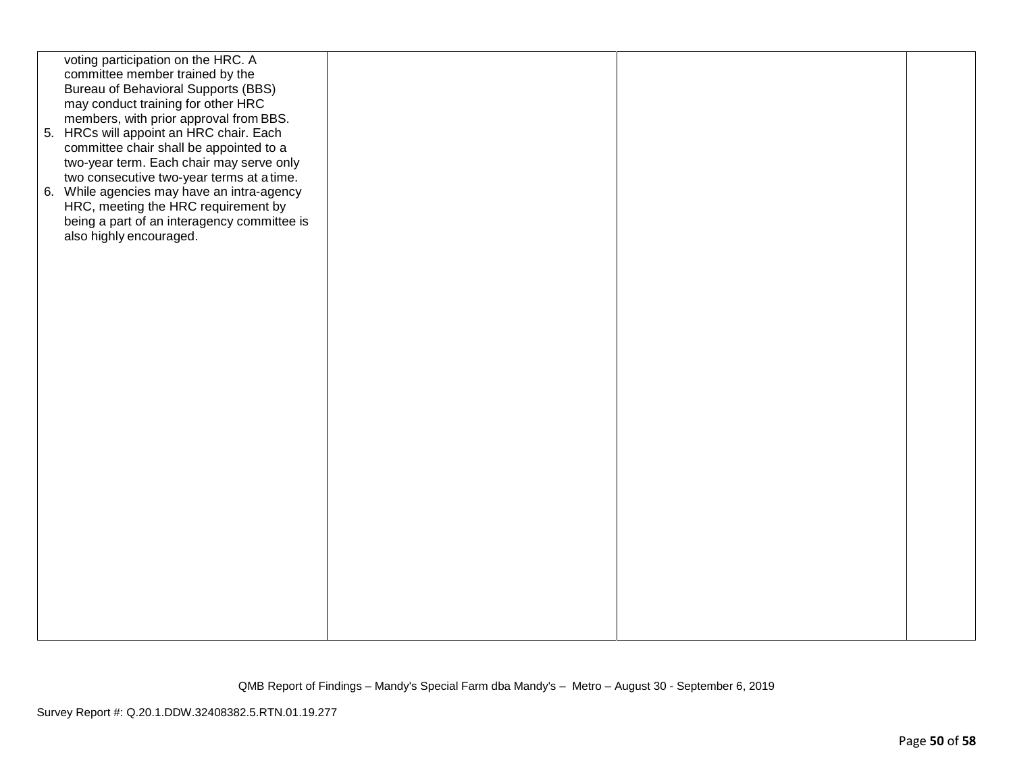| voting participation on the HRC. A                                                |  |  |
|-----------------------------------------------------------------------------------|--|--|
| committee member trained by the                                                   |  |  |
| Bureau of Behavioral Supports (BBS)                                               |  |  |
| may conduct training for other HRC                                                |  |  |
| members, with prior approval from BBS.<br>5. HRCs will appoint an HRC chair. Each |  |  |
| committee chair shall be appointed to a                                           |  |  |
| two-year term. Each chair may serve only                                          |  |  |
| two consecutive two-year terms at a time.                                         |  |  |
| 6. While agencies may have an intra-agency                                        |  |  |
| HRC, meeting the HRC requirement by                                               |  |  |
| being a part of an interagency committee is                                       |  |  |
| also highly encouraged.                                                           |  |  |
|                                                                                   |  |  |
|                                                                                   |  |  |
|                                                                                   |  |  |
|                                                                                   |  |  |
|                                                                                   |  |  |
|                                                                                   |  |  |
|                                                                                   |  |  |
|                                                                                   |  |  |
|                                                                                   |  |  |
|                                                                                   |  |  |
|                                                                                   |  |  |
|                                                                                   |  |  |
|                                                                                   |  |  |
|                                                                                   |  |  |
|                                                                                   |  |  |
|                                                                                   |  |  |
|                                                                                   |  |  |
|                                                                                   |  |  |
|                                                                                   |  |  |
|                                                                                   |  |  |
|                                                                                   |  |  |
|                                                                                   |  |  |
|                                                                                   |  |  |
|                                                                                   |  |  |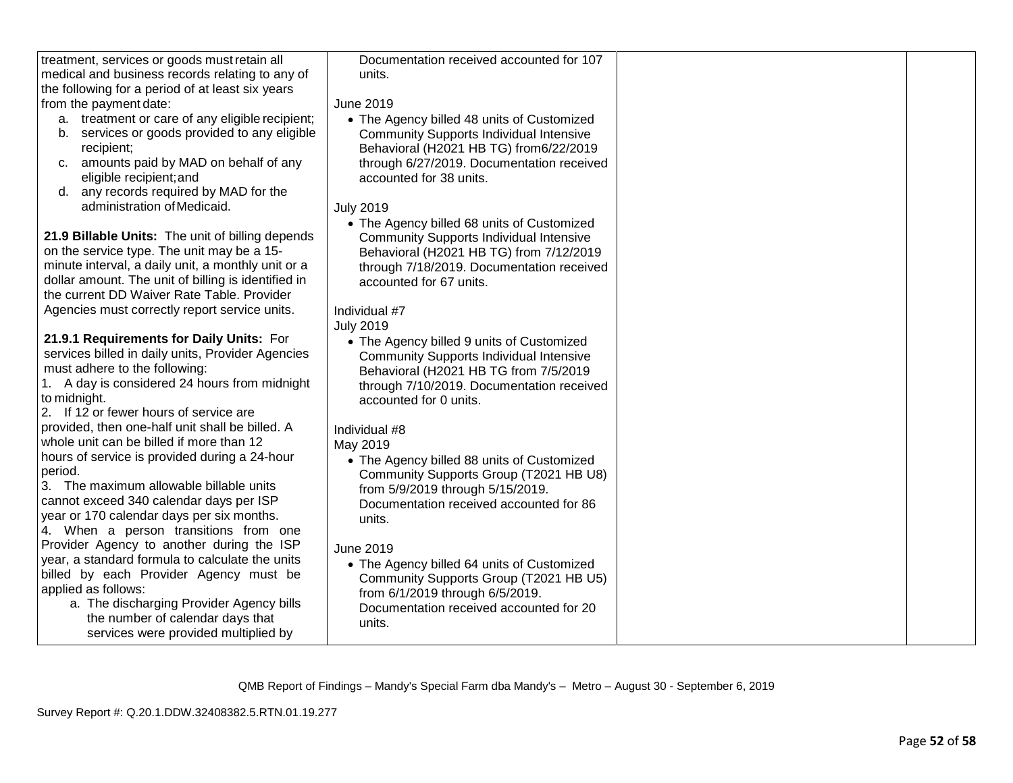| treatment, services or goods must retain all                                                  | Documentation received accounted for 107                                             |  |
|-----------------------------------------------------------------------------------------------|--------------------------------------------------------------------------------------|--|
| medical and business records relating to any of                                               | units.                                                                               |  |
| the following for a period of at least six years                                              |                                                                                      |  |
| from the payment date:                                                                        | <b>June 2019</b>                                                                     |  |
| a. treatment or care of any eligible recipient;                                               | • The Agency billed 48 units of Customized                                           |  |
| services or goods provided to any eligible<br>b.                                              | <b>Community Supports Individual Intensive</b>                                       |  |
| recipient;                                                                                    | Behavioral (H2021 HB TG) from6/22/2019                                               |  |
| amounts paid by MAD on behalf of any<br>C.                                                    | through 6/27/2019. Documentation received                                            |  |
| eligible recipient; and                                                                       | accounted for 38 units.                                                              |  |
| any records required by MAD for the<br>d.                                                     |                                                                                      |  |
| administration of Medicaid.                                                                   | <b>July 2019</b>                                                                     |  |
|                                                                                               | • The Agency billed 68 units of Customized                                           |  |
| 21.9 Billable Units: The unit of billing depends                                              | <b>Community Supports Individual Intensive</b>                                       |  |
| on the service type. The unit may be a 15-                                                    | Behavioral (H2021 HB TG) from 7/12/2019                                              |  |
| minute interval, a daily unit, a monthly unit or a                                            | through 7/18/2019. Documentation received                                            |  |
| dollar amount. The unit of billing is identified in                                           | accounted for 67 units.                                                              |  |
| the current DD Waiver Rate Table. Provider                                                    |                                                                                      |  |
| Agencies must correctly report service units.                                                 | Individual #7                                                                        |  |
|                                                                                               | <b>July 2019</b>                                                                     |  |
| 21.9.1 Requirements for Daily Units: For<br>services billed in daily units, Provider Agencies | • The Agency billed 9 units of Customized                                            |  |
| must adhere to the following:                                                                 | <b>Community Supports Individual Intensive</b>                                       |  |
| 1. A day is considered 24 hours from midnight                                                 | Behavioral (H2021 HB TG from 7/5/2019                                                |  |
| to midnight.                                                                                  | through 7/10/2019. Documentation received                                            |  |
| 2. If 12 or fewer hours of service are                                                        | accounted for 0 units.                                                               |  |
| provided, then one-half unit shall be billed. A                                               | Individual #8                                                                        |  |
| whole unit can be billed if more than 12                                                      | May 2019                                                                             |  |
| hours of service is provided during a 24-hour                                                 |                                                                                      |  |
| period.                                                                                       | • The Agency billed 88 units of Customized<br>Community Supports Group (T2021 HB U8) |  |
| 3. The maximum allowable billable units                                                       | from 5/9/2019 through 5/15/2019.                                                     |  |
| cannot exceed 340 calendar days per ISP                                                       | Documentation received accounted for 86                                              |  |
| year or 170 calendar days per six months.                                                     | units.                                                                               |  |
| 4. When a person transitions from one                                                         |                                                                                      |  |
| Provider Agency to another during the ISP                                                     | <b>June 2019</b>                                                                     |  |
| year, a standard formula to calculate the units                                               | • The Agency billed 64 units of Customized                                           |  |
| billed by each Provider Agency must be                                                        | Community Supports Group (T2021 HB U5)                                               |  |
| applied as follows:                                                                           | from 6/1/2019 through 6/5/2019.                                                      |  |
| a. The discharging Provider Agency bills                                                      | Documentation received accounted for 20                                              |  |
| the number of calendar days that                                                              | units.                                                                               |  |
| services were provided multiplied by                                                          |                                                                                      |  |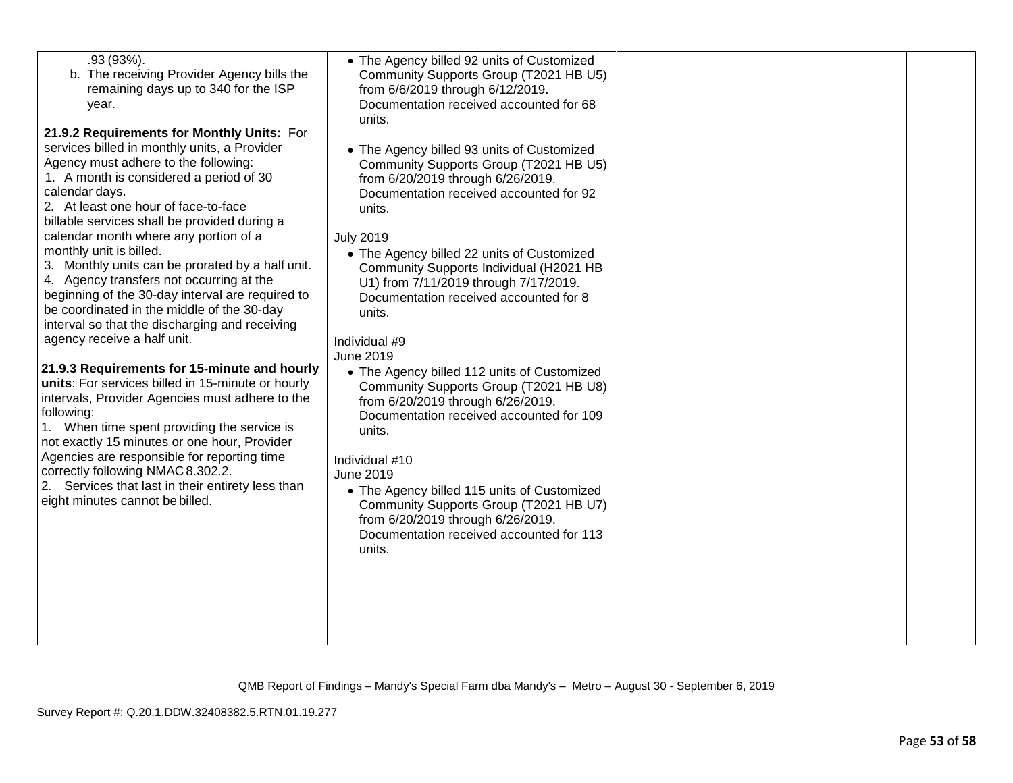| b. The receiving Provider Agency bills the<br>remaining days up to 340 for the ISP<br>year.<br>21.9.2 Requirements for Monthly Units: For<br>services billed in monthly units, a Provider<br>Agency must adhere to the following:<br>1. A month is considered a period of 30<br>calendar days.<br>2. At least one hour of face-to-face<br>billable services shall be provided during a<br>calendar month where any portion of a<br>monthly unit is billed.<br>3. Monthly units can be prorated by a half unit.<br>4. Agency transfers not occurring at the<br>beginning of the 30-day interval are required to<br>be coordinated in the middle of the 30-day<br>interval so that the discharging and receiving<br>agency receive a half unit.<br>21.9.3 Requirements for 15-minute and hourly<br>units: For services billed in 15-minute or hourly<br>intervals, Provider Agencies must adhere to the<br>following:<br>1. When time spent providing the service is<br>not exactly 15 minutes or one hour, Provider<br>Agencies are responsible for reporting time<br>correctly following NMAC 8.302.2.<br>2. Services that last in their entirety less than<br>eight minutes cannot be billed. | Community Supports Group (T2021 HB U5)<br>from 6/6/2019 through 6/12/2019.<br>Documentation received accounted for 68<br>units.<br>• The Agency billed 93 units of Customized<br>Community Supports Group (T2021 HB U5)<br>from 6/20/2019 through 6/26/2019.<br>Documentation received accounted for 92<br>units.<br><b>July 2019</b><br>• The Agency billed 22 units of Customized<br>Community Supports Individual (H2021 HB<br>U1) from 7/11/2019 through 7/17/2019.<br>Documentation received accounted for 8<br>units.<br>Individual #9<br>June 2019<br>• The Agency billed 112 units of Customized<br>Community Supports Group (T2021 HB U8)<br>from 6/20/2019 through 6/26/2019.<br>Documentation received accounted for 109<br>units.<br>Individual #10<br><b>June 2019</b><br>• The Agency billed 115 units of Customized<br>Community Supports Group (T2021 HB U7)<br>from 6/20/2019 through 6/26/2019.<br>Documentation received accounted for 113<br>units. |  |  |
|------------------------------------------------------------------------------------------------------------------------------------------------------------------------------------------------------------------------------------------------------------------------------------------------------------------------------------------------------------------------------------------------------------------------------------------------------------------------------------------------------------------------------------------------------------------------------------------------------------------------------------------------------------------------------------------------------------------------------------------------------------------------------------------------------------------------------------------------------------------------------------------------------------------------------------------------------------------------------------------------------------------------------------------------------------------------------------------------------------------------------------------------------------------------------------------------|-------------------------------------------------------------------------------------------------------------------------------------------------------------------------------------------------------------------------------------------------------------------------------------------------------------------------------------------------------------------------------------------------------------------------------------------------------------------------------------------------------------------------------------------------------------------------------------------------------------------------------------------------------------------------------------------------------------------------------------------------------------------------------------------------------------------------------------------------------------------------------------------------------------------------------------------------------------------------|--|--|
|------------------------------------------------------------------------------------------------------------------------------------------------------------------------------------------------------------------------------------------------------------------------------------------------------------------------------------------------------------------------------------------------------------------------------------------------------------------------------------------------------------------------------------------------------------------------------------------------------------------------------------------------------------------------------------------------------------------------------------------------------------------------------------------------------------------------------------------------------------------------------------------------------------------------------------------------------------------------------------------------------------------------------------------------------------------------------------------------------------------------------------------------------------------------------------------------|-------------------------------------------------------------------------------------------------------------------------------------------------------------------------------------------------------------------------------------------------------------------------------------------------------------------------------------------------------------------------------------------------------------------------------------------------------------------------------------------------------------------------------------------------------------------------------------------------------------------------------------------------------------------------------------------------------------------------------------------------------------------------------------------------------------------------------------------------------------------------------------------------------------------------------------------------------------------------|--|--|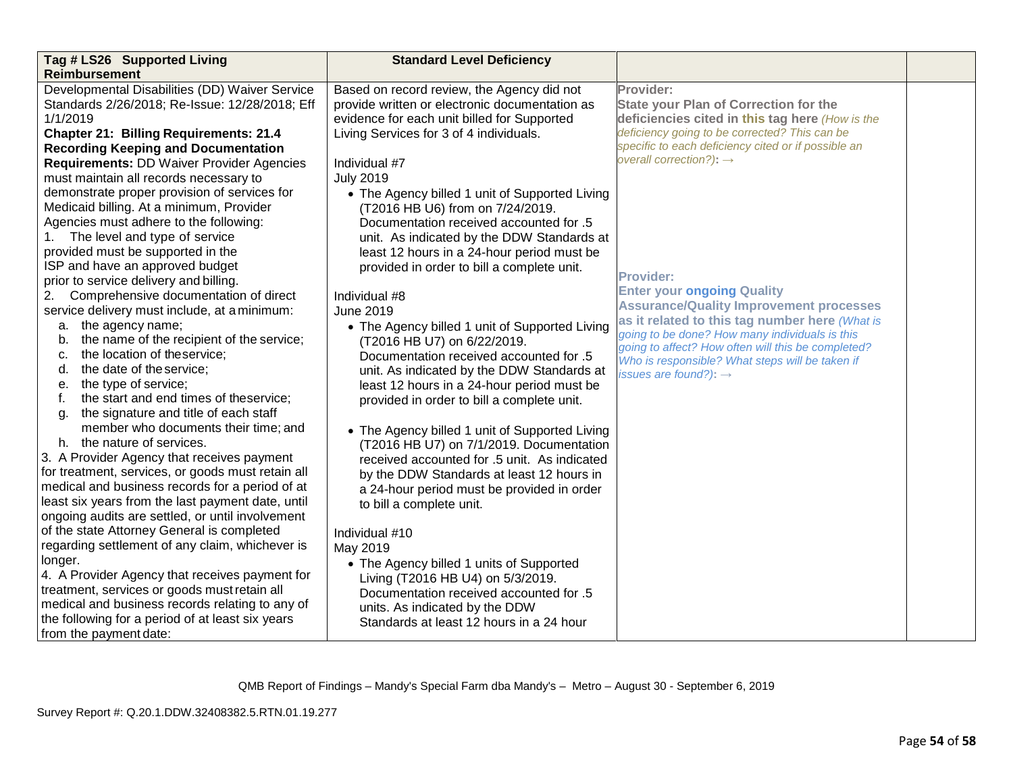| Tag # LS26 Supported Living                       | <b>Standard Level Deficiency</b>               |                                                                                                      |  |
|---------------------------------------------------|------------------------------------------------|------------------------------------------------------------------------------------------------------|--|
| <b>Reimbursement</b>                              |                                                |                                                                                                      |  |
| Developmental Disabilities (DD) Waiver Service    | Based on record review, the Agency did not     | Provider:                                                                                            |  |
| Standards 2/26/2018; Re-Issue: 12/28/2018; Eff    | provide written or electronic documentation as | <b>State your Plan of Correction for the</b>                                                         |  |
| 1/1/2019                                          | evidence for each unit billed for Supported    | deficiencies cited in this tag here (How is the                                                      |  |
| <b>Chapter 21: Billing Requirements: 21.4</b>     | Living Services for 3 of 4 individuals.        | deficiency going to be corrected? This can be                                                        |  |
| <b>Recording Keeping and Documentation</b>        |                                                | specific to each deficiency cited or if possible an                                                  |  |
| <b>Requirements: DD Waiver Provider Agencies</b>  | Individual #7                                  | overall correction?): $\rightarrow$                                                                  |  |
| must maintain all records necessary to            | <b>July 2019</b>                               |                                                                                                      |  |
| demonstrate proper provision of services for      | • The Agency billed 1 unit of Supported Living |                                                                                                      |  |
| Medicaid billing. At a minimum, Provider          | (T2016 HB U6) from on 7/24/2019.               |                                                                                                      |  |
| Agencies must adhere to the following:            | Documentation received accounted for .5        |                                                                                                      |  |
| 1. The level and type of service                  | unit. As indicated by the DDW Standards at     |                                                                                                      |  |
| provided must be supported in the                 | least 12 hours in a 24-hour period must be     |                                                                                                      |  |
| ISP and have an approved budget                   | provided in order to bill a complete unit.     |                                                                                                      |  |
| prior to service delivery and billing.            |                                                | <b>Provider:</b>                                                                                     |  |
| Comprehensive documentation of direct<br>2.       | Individual #8                                  | <b>Enter your ongoing Quality</b>                                                                    |  |
| service delivery must include, at a minimum:      | <b>June 2019</b>                               | <b>Assurance/Quality Improvement processes</b>                                                       |  |
| a. the agency name;                               | • The Agency billed 1 unit of Supported Living | as it related to this tag number here (What is                                                       |  |
| the name of the recipient of the service;<br>b.   | (T2016 HB U7) on 6/22/2019.                    | going to be done? How many individuals is this<br>going to affect? How often will this be completed? |  |
| the location of theservice;<br>c.                 | Documentation received accounted for .5        | Who is responsible? What steps will be taken if                                                      |  |
| the date of the service;<br>d.                    | unit. As indicated by the DDW Standards at     | issues are found?): $\rightarrow$                                                                    |  |
| the type of service;<br>е.                        | least 12 hours in a 24-hour period must be     |                                                                                                      |  |
| the start and end times of theservice;<br>f.      | provided in order to bill a complete unit.     |                                                                                                      |  |
| the signature and title of each staff<br>g.       |                                                |                                                                                                      |  |
| member who documents their time; and              | • The Agency billed 1 unit of Supported Living |                                                                                                      |  |
| h. the nature of services.                        | (T2016 HB U7) on 7/1/2019. Documentation       |                                                                                                      |  |
| 3. A Provider Agency that receives payment        | received accounted for .5 unit. As indicated   |                                                                                                      |  |
| for treatment, services, or goods must retain all | by the DDW Standards at least 12 hours in      |                                                                                                      |  |
| medical and business records for a period of at   | a 24-hour period must be provided in order     |                                                                                                      |  |
| least six years from the last payment date, until | to bill a complete unit.                       |                                                                                                      |  |
| ongoing audits are settled, or until involvement  |                                                |                                                                                                      |  |
| of the state Attorney General is completed        | Individual #10                                 |                                                                                                      |  |
| regarding settlement of any claim, whichever is   | May 2019                                       |                                                                                                      |  |
| longer.                                           | • The Agency billed 1 units of Supported       |                                                                                                      |  |
| 4. A Provider Agency that receives payment for    | Living (T2016 HB U4) on 5/3/2019.              |                                                                                                      |  |
| treatment, services or goods must retain all      | Documentation received accounted for .5        |                                                                                                      |  |
| medical and business records relating to any of   | units. As indicated by the DDW                 |                                                                                                      |  |
| the following for a period of at least six years  | Standards at least 12 hours in a 24 hour       |                                                                                                      |  |
| from the payment date:                            |                                                |                                                                                                      |  |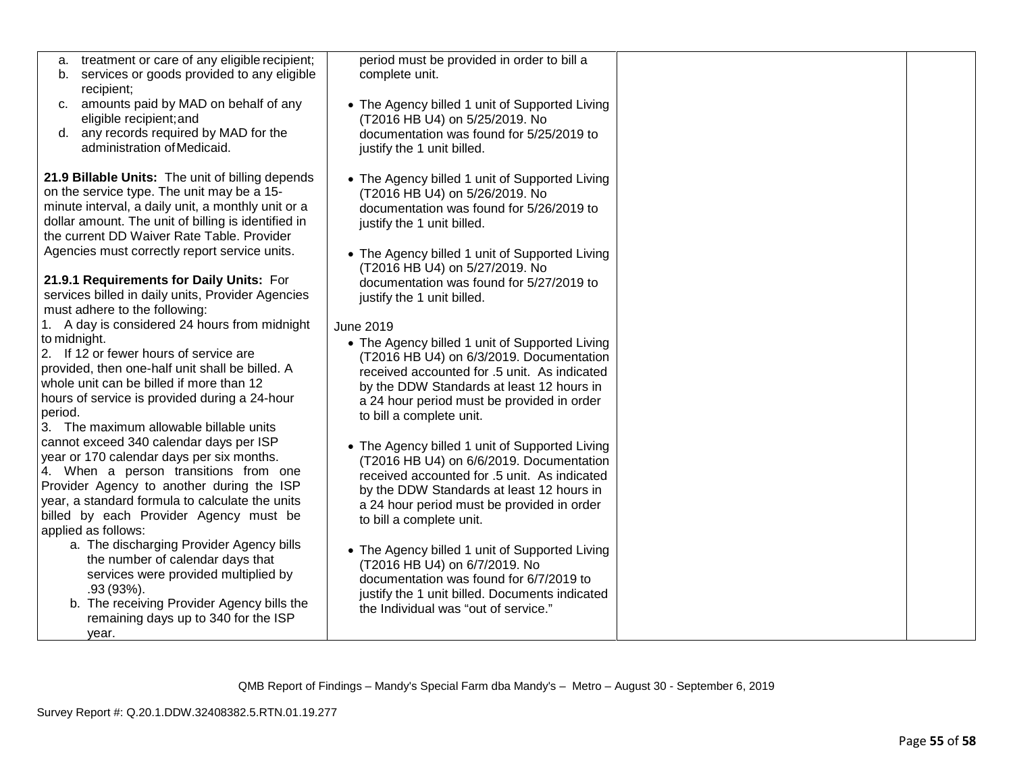| treatment or care of any eligible recipient;<br>а.<br>services or goods provided to any eligible<br>complete unit.<br>b.<br>recipient;<br>amounts paid by MAD on behalf of any<br>• The Agency billed 1 unit of Supported Living<br>C <sub>1</sub><br>eligible recipient; and<br>(T2016 HB U4) on 5/25/2019. No<br>d. any records required by MAD for the<br>documentation was found for 5/25/2019 to<br>administration of Medicaid.<br>justify the 1 unit billed.<br>21.9 Billable Units: The unit of billing depends<br>• The Agency billed 1 unit of Supported Living<br>on the service type. The unit may be a 15-<br>(T2016 HB U4) on 5/26/2019. No<br>minute interval, a daily unit, a monthly unit or a<br>documentation was found for 5/26/2019 to<br>dollar amount. The unit of billing is identified in<br>justify the 1 unit billed.<br>the current DD Waiver Rate Table. Provider<br>Agencies must correctly report service units.<br>• The Agency billed 1 unit of Supported Living<br>(T2016 HB U4) on 5/27/2019. No<br>21.9.1 Requirements for Daily Units: For<br>documentation was found for 5/27/2019 to<br>services billed in daily units, Provider Agencies<br>justify the 1 unit billed.<br>must adhere to the following:<br>1. A day is considered 24 hours from midnight<br><b>June 2019</b><br>to midnight.<br>• The Agency billed 1 unit of Supported Living<br>2. If 12 or fewer hours of service are<br>(T2016 HB U4) on 6/3/2019. Documentation<br>provided, then one-half unit shall be billed. A<br>received accounted for .5 unit. As indicated<br>whole unit can be billed if more than 12<br>by the DDW Standards at least 12 hours in<br>hours of service is provided during a 24-hour<br>a 24 hour period must be provided in order<br>period.<br>to bill a complete unit.<br>3. The maximum allowable billable units<br>cannot exceed 340 calendar days per ISP<br>• The Agency billed 1 unit of Supported Living<br>year or 170 calendar days per six months.<br>(T2016 HB U4) on 6/6/2019. Documentation<br>4. When a person transitions from one<br>received accounted for .5 unit. As indicated<br>Provider Agency to another during the ISP<br>by the DDW Standards at least 12 hours in<br>year, a standard formula to calculate the units<br>a 24 hour period must be provided in order<br>billed by each Provider Agency must be<br>to bill a complete unit.<br>applied as follows:<br>a. The discharging Provider Agency bills<br>• The Agency billed 1 unit of Supported Living<br>the number of calendar days that<br>(T2016 HB U4) on 6/7/2019. No<br>services were provided multiplied by<br>documentation was found for 6/7/2019 to<br>.93 (93%).<br>justify the 1 unit billed. Documents indicated<br>b. The receiving Provider Agency bills the<br>the Individual was "out of service."<br>remaining days up to 340 for the ISP<br>year. |                                            |  |
|----------------------------------------------------------------------------------------------------------------------------------------------------------------------------------------------------------------------------------------------------------------------------------------------------------------------------------------------------------------------------------------------------------------------------------------------------------------------------------------------------------------------------------------------------------------------------------------------------------------------------------------------------------------------------------------------------------------------------------------------------------------------------------------------------------------------------------------------------------------------------------------------------------------------------------------------------------------------------------------------------------------------------------------------------------------------------------------------------------------------------------------------------------------------------------------------------------------------------------------------------------------------------------------------------------------------------------------------------------------------------------------------------------------------------------------------------------------------------------------------------------------------------------------------------------------------------------------------------------------------------------------------------------------------------------------------------------------------------------------------------------------------------------------------------------------------------------------------------------------------------------------------------------------------------------------------------------------------------------------------------------------------------------------------------------------------------------------------------------------------------------------------------------------------------------------------------------------------------------------------------------------------------------------------------------------------------------------------------------------------------------------------------------------------------------------------------------------------------------------------------------------------------------------------------------------------------------------------------------------------------------------------------------------------------------------------------------------------------------------------------------------------------------------------------------------------------------------------------------------------------------------------|--------------------------------------------|--|
|                                                                                                                                                                                                                                                                                                                                                                                                                                                                                                                                                                                                                                                                                                                                                                                                                                                                                                                                                                                                                                                                                                                                                                                                                                                                                                                                                                                                                                                                                                                                                                                                                                                                                                                                                                                                                                                                                                                                                                                                                                                                                                                                                                                                                                                                                                                                                                                                                                                                                                                                                                                                                                                                                                                                                                                                                                                                                              | period must be provided in order to bill a |  |
|                                                                                                                                                                                                                                                                                                                                                                                                                                                                                                                                                                                                                                                                                                                                                                                                                                                                                                                                                                                                                                                                                                                                                                                                                                                                                                                                                                                                                                                                                                                                                                                                                                                                                                                                                                                                                                                                                                                                                                                                                                                                                                                                                                                                                                                                                                                                                                                                                                                                                                                                                                                                                                                                                                                                                                                                                                                                                              |                                            |  |
|                                                                                                                                                                                                                                                                                                                                                                                                                                                                                                                                                                                                                                                                                                                                                                                                                                                                                                                                                                                                                                                                                                                                                                                                                                                                                                                                                                                                                                                                                                                                                                                                                                                                                                                                                                                                                                                                                                                                                                                                                                                                                                                                                                                                                                                                                                                                                                                                                                                                                                                                                                                                                                                                                                                                                                                                                                                                                              |                                            |  |
|                                                                                                                                                                                                                                                                                                                                                                                                                                                                                                                                                                                                                                                                                                                                                                                                                                                                                                                                                                                                                                                                                                                                                                                                                                                                                                                                                                                                                                                                                                                                                                                                                                                                                                                                                                                                                                                                                                                                                                                                                                                                                                                                                                                                                                                                                                                                                                                                                                                                                                                                                                                                                                                                                                                                                                                                                                                                                              |                                            |  |
|                                                                                                                                                                                                                                                                                                                                                                                                                                                                                                                                                                                                                                                                                                                                                                                                                                                                                                                                                                                                                                                                                                                                                                                                                                                                                                                                                                                                                                                                                                                                                                                                                                                                                                                                                                                                                                                                                                                                                                                                                                                                                                                                                                                                                                                                                                                                                                                                                                                                                                                                                                                                                                                                                                                                                                                                                                                                                              |                                            |  |
|                                                                                                                                                                                                                                                                                                                                                                                                                                                                                                                                                                                                                                                                                                                                                                                                                                                                                                                                                                                                                                                                                                                                                                                                                                                                                                                                                                                                                                                                                                                                                                                                                                                                                                                                                                                                                                                                                                                                                                                                                                                                                                                                                                                                                                                                                                                                                                                                                                                                                                                                                                                                                                                                                                                                                                                                                                                                                              |                                            |  |
|                                                                                                                                                                                                                                                                                                                                                                                                                                                                                                                                                                                                                                                                                                                                                                                                                                                                                                                                                                                                                                                                                                                                                                                                                                                                                                                                                                                                                                                                                                                                                                                                                                                                                                                                                                                                                                                                                                                                                                                                                                                                                                                                                                                                                                                                                                                                                                                                                                                                                                                                                                                                                                                                                                                                                                                                                                                                                              |                                            |  |
|                                                                                                                                                                                                                                                                                                                                                                                                                                                                                                                                                                                                                                                                                                                                                                                                                                                                                                                                                                                                                                                                                                                                                                                                                                                                                                                                                                                                                                                                                                                                                                                                                                                                                                                                                                                                                                                                                                                                                                                                                                                                                                                                                                                                                                                                                                                                                                                                                                                                                                                                                                                                                                                                                                                                                                                                                                                                                              |                                            |  |
|                                                                                                                                                                                                                                                                                                                                                                                                                                                                                                                                                                                                                                                                                                                                                                                                                                                                                                                                                                                                                                                                                                                                                                                                                                                                                                                                                                                                                                                                                                                                                                                                                                                                                                                                                                                                                                                                                                                                                                                                                                                                                                                                                                                                                                                                                                                                                                                                                                                                                                                                                                                                                                                                                                                                                                                                                                                                                              |                                            |  |
|                                                                                                                                                                                                                                                                                                                                                                                                                                                                                                                                                                                                                                                                                                                                                                                                                                                                                                                                                                                                                                                                                                                                                                                                                                                                                                                                                                                                                                                                                                                                                                                                                                                                                                                                                                                                                                                                                                                                                                                                                                                                                                                                                                                                                                                                                                                                                                                                                                                                                                                                                                                                                                                                                                                                                                                                                                                                                              |                                            |  |
|                                                                                                                                                                                                                                                                                                                                                                                                                                                                                                                                                                                                                                                                                                                                                                                                                                                                                                                                                                                                                                                                                                                                                                                                                                                                                                                                                                                                                                                                                                                                                                                                                                                                                                                                                                                                                                                                                                                                                                                                                                                                                                                                                                                                                                                                                                                                                                                                                                                                                                                                                                                                                                                                                                                                                                                                                                                                                              |                                            |  |
|                                                                                                                                                                                                                                                                                                                                                                                                                                                                                                                                                                                                                                                                                                                                                                                                                                                                                                                                                                                                                                                                                                                                                                                                                                                                                                                                                                                                                                                                                                                                                                                                                                                                                                                                                                                                                                                                                                                                                                                                                                                                                                                                                                                                                                                                                                                                                                                                                                                                                                                                                                                                                                                                                                                                                                                                                                                                                              |                                            |  |
|                                                                                                                                                                                                                                                                                                                                                                                                                                                                                                                                                                                                                                                                                                                                                                                                                                                                                                                                                                                                                                                                                                                                                                                                                                                                                                                                                                                                                                                                                                                                                                                                                                                                                                                                                                                                                                                                                                                                                                                                                                                                                                                                                                                                                                                                                                                                                                                                                                                                                                                                                                                                                                                                                                                                                                                                                                                                                              |                                            |  |
|                                                                                                                                                                                                                                                                                                                                                                                                                                                                                                                                                                                                                                                                                                                                                                                                                                                                                                                                                                                                                                                                                                                                                                                                                                                                                                                                                                                                                                                                                                                                                                                                                                                                                                                                                                                                                                                                                                                                                                                                                                                                                                                                                                                                                                                                                                                                                                                                                                                                                                                                                                                                                                                                                                                                                                                                                                                                                              |                                            |  |
|                                                                                                                                                                                                                                                                                                                                                                                                                                                                                                                                                                                                                                                                                                                                                                                                                                                                                                                                                                                                                                                                                                                                                                                                                                                                                                                                                                                                                                                                                                                                                                                                                                                                                                                                                                                                                                                                                                                                                                                                                                                                                                                                                                                                                                                                                                                                                                                                                                                                                                                                                                                                                                                                                                                                                                                                                                                                                              |                                            |  |
|                                                                                                                                                                                                                                                                                                                                                                                                                                                                                                                                                                                                                                                                                                                                                                                                                                                                                                                                                                                                                                                                                                                                                                                                                                                                                                                                                                                                                                                                                                                                                                                                                                                                                                                                                                                                                                                                                                                                                                                                                                                                                                                                                                                                                                                                                                                                                                                                                                                                                                                                                                                                                                                                                                                                                                                                                                                                                              |                                            |  |
|                                                                                                                                                                                                                                                                                                                                                                                                                                                                                                                                                                                                                                                                                                                                                                                                                                                                                                                                                                                                                                                                                                                                                                                                                                                                                                                                                                                                                                                                                                                                                                                                                                                                                                                                                                                                                                                                                                                                                                                                                                                                                                                                                                                                                                                                                                                                                                                                                                                                                                                                                                                                                                                                                                                                                                                                                                                                                              |                                            |  |
|                                                                                                                                                                                                                                                                                                                                                                                                                                                                                                                                                                                                                                                                                                                                                                                                                                                                                                                                                                                                                                                                                                                                                                                                                                                                                                                                                                                                                                                                                                                                                                                                                                                                                                                                                                                                                                                                                                                                                                                                                                                                                                                                                                                                                                                                                                                                                                                                                                                                                                                                                                                                                                                                                                                                                                                                                                                                                              |                                            |  |
|                                                                                                                                                                                                                                                                                                                                                                                                                                                                                                                                                                                                                                                                                                                                                                                                                                                                                                                                                                                                                                                                                                                                                                                                                                                                                                                                                                                                                                                                                                                                                                                                                                                                                                                                                                                                                                                                                                                                                                                                                                                                                                                                                                                                                                                                                                                                                                                                                                                                                                                                                                                                                                                                                                                                                                                                                                                                                              |                                            |  |
|                                                                                                                                                                                                                                                                                                                                                                                                                                                                                                                                                                                                                                                                                                                                                                                                                                                                                                                                                                                                                                                                                                                                                                                                                                                                                                                                                                                                                                                                                                                                                                                                                                                                                                                                                                                                                                                                                                                                                                                                                                                                                                                                                                                                                                                                                                                                                                                                                                                                                                                                                                                                                                                                                                                                                                                                                                                                                              |                                            |  |
|                                                                                                                                                                                                                                                                                                                                                                                                                                                                                                                                                                                                                                                                                                                                                                                                                                                                                                                                                                                                                                                                                                                                                                                                                                                                                                                                                                                                                                                                                                                                                                                                                                                                                                                                                                                                                                                                                                                                                                                                                                                                                                                                                                                                                                                                                                                                                                                                                                                                                                                                                                                                                                                                                                                                                                                                                                                                                              |                                            |  |
|                                                                                                                                                                                                                                                                                                                                                                                                                                                                                                                                                                                                                                                                                                                                                                                                                                                                                                                                                                                                                                                                                                                                                                                                                                                                                                                                                                                                                                                                                                                                                                                                                                                                                                                                                                                                                                                                                                                                                                                                                                                                                                                                                                                                                                                                                                                                                                                                                                                                                                                                                                                                                                                                                                                                                                                                                                                                                              |                                            |  |
|                                                                                                                                                                                                                                                                                                                                                                                                                                                                                                                                                                                                                                                                                                                                                                                                                                                                                                                                                                                                                                                                                                                                                                                                                                                                                                                                                                                                                                                                                                                                                                                                                                                                                                                                                                                                                                                                                                                                                                                                                                                                                                                                                                                                                                                                                                                                                                                                                                                                                                                                                                                                                                                                                                                                                                                                                                                                                              |                                            |  |
|                                                                                                                                                                                                                                                                                                                                                                                                                                                                                                                                                                                                                                                                                                                                                                                                                                                                                                                                                                                                                                                                                                                                                                                                                                                                                                                                                                                                                                                                                                                                                                                                                                                                                                                                                                                                                                                                                                                                                                                                                                                                                                                                                                                                                                                                                                                                                                                                                                                                                                                                                                                                                                                                                                                                                                                                                                                                                              |                                            |  |
|                                                                                                                                                                                                                                                                                                                                                                                                                                                                                                                                                                                                                                                                                                                                                                                                                                                                                                                                                                                                                                                                                                                                                                                                                                                                                                                                                                                                                                                                                                                                                                                                                                                                                                                                                                                                                                                                                                                                                                                                                                                                                                                                                                                                                                                                                                                                                                                                                                                                                                                                                                                                                                                                                                                                                                                                                                                                                              |                                            |  |
|                                                                                                                                                                                                                                                                                                                                                                                                                                                                                                                                                                                                                                                                                                                                                                                                                                                                                                                                                                                                                                                                                                                                                                                                                                                                                                                                                                                                                                                                                                                                                                                                                                                                                                                                                                                                                                                                                                                                                                                                                                                                                                                                                                                                                                                                                                                                                                                                                                                                                                                                                                                                                                                                                                                                                                                                                                                                                              |                                            |  |
|                                                                                                                                                                                                                                                                                                                                                                                                                                                                                                                                                                                                                                                                                                                                                                                                                                                                                                                                                                                                                                                                                                                                                                                                                                                                                                                                                                                                                                                                                                                                                                                                                                                                                                                                                                                                                                                                                                                                                                                                                                                                                                                                                                                                                                                                                                                                                                                                                                                                                                                                                                                                                                                                                                                                                                                                                                                                                              |                                            |  |
|                                                                                                                                                                                                                                                                                                                                                                                                                                                                                                                                                                                                                                                                                                                                                                                                                                                                                                                                                                                                                                                                                                                                                                                                                                                                                                                                                                                                                                                                                                                                                                                                                                                                                                                                                                                                                                                                                                                                                                                                                                                                                                                                                                                                                                                                                                                                                                                                                                                                                                                                                                                                                                                                                                                                                                                                                                                                                              |                                            |  |
|                                                                                                                                                                                                                                                                                                                                                                                                                                                                                                                                                                                                                                                                                                                                                                                                                                                                                                                                                                                                                                                                                                                                                                                                                                                                                                                                                                                                                                                                                                                                                                                                                                                                                                                                                                                                                                                                                                                                                                                                                                                                                                                                                                                                                                                                                                                                                                                                                                                                                                                                                                                                                                                                                                                                                                                                                                                                                              |                                            |  |
|                                                                                                                                                                                                                                                                                                                                                                                                                                                                                                                                                                                                                                                                                                                                                                                                                                                                                                                                                                                                                                                                                                                                                                                                                                                                                                                                                                                                                                                                                                                                                                                                                                                                                                                                                                                                                                                                                                                                                                                                                                                                                                                                                                                                                                                                                                                                                                                                                                                                                                                                                                                                                                                                                                                                                                                                                                                                                              |                                            |  |
|                                                                                                                                                                                                                                                                                                                                                                                                                                                                                                                                                                                                                                                                                                                                                                                                                                                                                                                                                                                                                                                                                                                                                                                                                                                                                                                                                                                                                                                                                                                                                                                                                                                                                                                                                                                                                                                                                                                                                                                                                                                                                                                                                                                                                                                                                                                                                                                                                                                                                                                                                                                                                                                                                                                                                                                                                                                                                              |                                            |  |
|                                                                                                                                                                                                                                                                                                                                                                                                                                                                                                                                                                                                                                                                                                                                                                                                                                                                                                                                                                                                                                                                                                                                                                                                                                                                                                                                                                                                                                                                                                                                                                                                                                                                                                                                                                                                                                                                                                                                                                                                                                                                                                                                                                                                                                                                                                                                                                                                                                                                                                                                                                                                                                                                                                                                                                                                                                                                                              |                                            |  |
|                                                                                                                                                                                                                                                                                                                                                                                                                                                                                                                                                                                                                                                                                                                                                                                                                                                                                                                                                                                                                                                                                                                                                                                                                                                                                                                                                                                                                                                                                                                                                                                                                                                                                                                                                                                                                                                                                                                                                                                                                                                                                                                                                                                                                                                                                                                                                                                                                                                                                                                                                                                                                                                                                                                                                                                                                                                                                              |                                            |  |
|                                                                                                                                                                                                                                                                                                                                                                                                                                                                                                                                                                                                                                                                                                                                                                                                                                                                                                                                                                                                                                                                                                                                                                                                                                                                                                                                                                                                                                                                                                                                                                                                                                                                                                                                                                                                                                                                                                                                                                                                                                                                                                                                                                                                                                                                                                                                                                                                                                                                                                                                                                                                                                                                                                                                                                                                                                                                                              |                                            |  |
|                                                                                                                                                                                                                                                                                                                                                                                                                                                                                                                                                                                                                                                                                                                                                                                                                                                                                                                                                                                                                                                                                                                                                                                                                                                                                                                                                                                                                                                                                                                                                                                                                                                                                                                                                                                                                                                                                                                                                                                                                                                                                                                                                                                                                                                                                                                                                                                                                                                                                                                                                                                                                                                                                                                                                                                                                                                                                              |                                            |  |
|                                                                                                                                                                                                                                                                                                                                                                                                                                                                                                                                                                                                                                                                                                                                                                                                                                                                                                                                                                                                                                                                                                                                                                                                                                                                                                                                                                                                                                                                                                                                                                                                                                                                                                                                                                                                                                                                                                                                                                                                                                                                                                                                                                                                                                                                                                                                                                                                                                                                                                                                                                                                                                                                                                                                                                                                                                                                                              |                                            |  |
|                                                                                                                                                                                                                                                                                                                                                                                                                                                                                                                                                                                                                                                                                                                                                                                                                                                                                                                                                                                                                                                                                                                                                                                                                                                                                                                                                                                                                                                                                                                                                                                                                                                                                                                                                                                                                                                                                                                                                                                                                                                                                                                                                                                                                                                                                                                                                                                                                                                                                                                                                                                                                                                                                                                                                                                                                                                                                              |                                            |  |
|                                                                                                                                                                                                                                                                                                                                                                                                                                                                                                                                                                                                                                                                                                                                                                                                                                                                                                                                                                                                                                                                                                                                                                                                                                                                                                                                                                                                                                                                                                                                                                                                                                                                                                                                                                                                                                                                                                                                                                                                                                                                                                                                                                                                                                                                                                                                                                                                                                                                                                                                                                                                                                                                                                                                                                                                                                                                                              |                                            |  |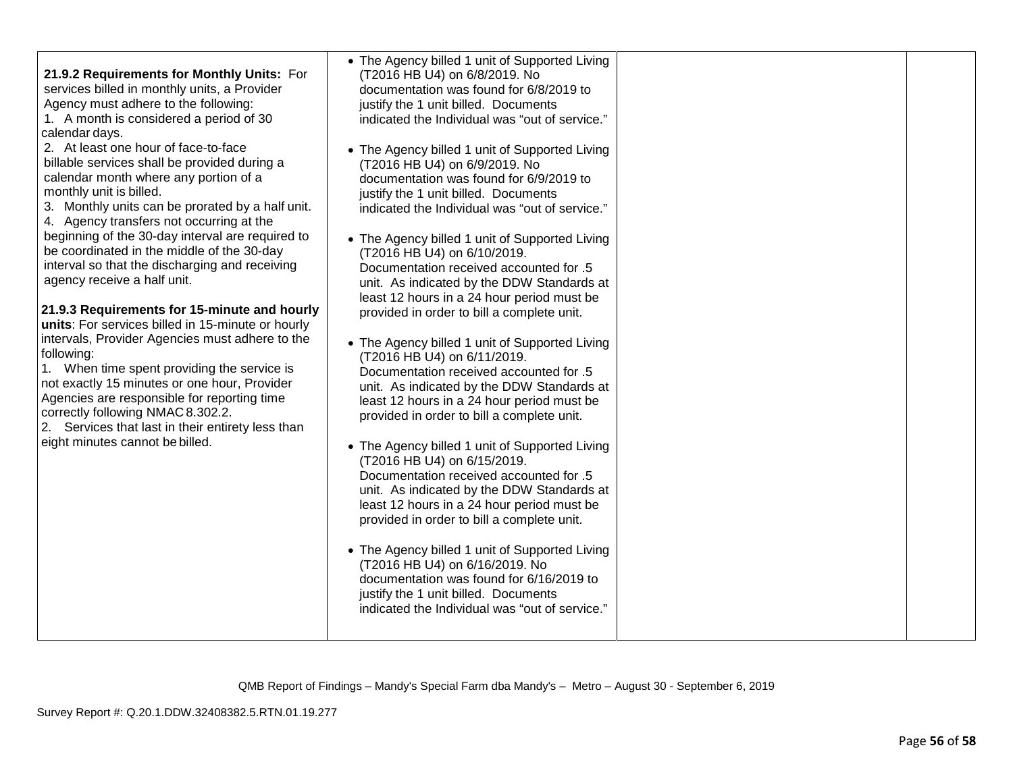| 21.9.2 Requirements for Monthly Units: For<br>services billed in monthly units, a Provider<br>Agency must adhere to the following:<br>1. A month is considered a period of 30<br>calendar days.<br>2. At least one hour of face-to-face<br>billable services shall be provided during a<br>calendar month where any portion of a<br>monthly unit is billed.<br>3. Monthly units can be prorated by a half unit.<br>4. Agency transfers not occurring at the<br>beginning of the 30-day interval are required to<br>be coordinated in the middle of the 30-day<br>interval so that the discharging and receiving<br>agency receive a half unit.<br>21.9.3 Requirements for 15-minute and hourly<br>units: For services billed in 15-minute or hourly<br>intervals, Provider Agencies must adhere to the<br>following:<br>1. When time spent providing the service is<br>not exactly 15 minutes or one hour, Provider<br>Agencies are responsible for reporting time<br>correctly following NMAC 8.302.2.<br>2. Services that last in their entirety less than<br>eight minutes cannot be billed. | • The Agency billed 1 unit of Supported Living<br>(T2016 HB U4) on 6/8/2019. No<br>documentation was found for 6/8/2019 to<br>justify the 1 unit billed. Documents<br>indicated the Individual was "out of service."<br>• The Agency billed 1 unit of Supported Living<br>(T2016 HB U4) on 6/9/2019. No<br>documentation was found for 6/9/2019 to<br>justify the 1 unit billed. Documents<br>indicated the Individual was "out of service."<br>• The Agency billed 1 unit of Supported Living<br>(T2016 HB U4) on 6/10/2019.<br>Documentation received accounted for .5<br>unit. As indicated by the DDW Standards at<br>least 12 hours in a 24 hour period must be<br>provided in order to bill a complete unit.<br>• The Agency billed 1 unit of Supported Living<br>(T2016 HB U4) on 6/11/2019.<br>Documentation received accounted for .5<br>unit. As indicated by the DDW Standards at<br>least 12 hours in a 24 hour period must be<br>provided in order to bill a complete unit.<br>• The Agency billed 1 unit of Supported Living<br>(T2016 HB U4) on 6/15/2019.<br>Documentation received accounted for .5<br>unit. As indicated by the DDW Standards at<br>least 12 hours in a 24 hour period must be<br>provided in order to bill a complete unit.<br>• The Agency billed 1 unit of Supported Living<br>(T2016 HB U4) on 6/16/2019. No<br>documentation was found for 6/16/2019 to<br>justify the 1 unit billed. Documents<br>indicated the Individual was "out of service." |  |  |
|-------------------------------------------------------------------------------------------------------------------------------------------------------------------------------------------------------------------------------------------------------------------------------------------------------------------------------------------------------------------------------------------------------------------------------------------------------------------------------------------------------------------------------------------------------------------------------------------------------------------------------------------------------------------------------------------------------------------------------------------------------------------------------------------------------------------------------------------------------------------------------------------------------------------------------------------------------------------------------------------------------------------------------------------------------------------------------------------------|------------------------------------------------------------------------------------------------------------------------------------------------------------------------------------------------------------------------------------------------------------------------------------------------------------------------------------------------------------------------------------------------------------------------------------------------------------------------------------------------------------------------------------------------------------------------------------------------------------------------------------------------------------------------------------------------------------------------------------------------------------------------------------------------------------------------------------------------------------------------------------------------------------------------------------------------------------------------------------------------------------------------------------------------------------------------------------------------------------------------------------------------------------------------------------------------------------------------------------------------------------------------------------------------------------------------------------------------------------------------------------------------------------------------------------------------------------------------------------------|--|--|
|-------------------------------------------------------------------------------------------------------------------------------------------------------------------------------------------------------------------------------------------------------------------------------------------------------------------------------------------------------------------------------------------------------------------------------------------------------------------------------------------------------------------------------------------------------------------------------------------------------------------------------------------------------------------------------------------------------------------------------------------------------------------------------------------------------------------------------------------------------------------------------------------------------------------------------------------------------------------------------------------------------------------------------------------------------------------------------------------------|------------------------------------------------------------------------------------------------------------------------------------------------------------------------------------------------------------------------------------------------------------------------------------------------------------------------------------------------------------------------------------------------------------------------------------------------------------------------------------------------------------------------------------------------------------------------------------------------------------------------------------------------------------------------------------------------------------------------------------------------------------------------------------------------------------------------------------------------------------------------------------------------------------------------------------------------------------------------------------------------------------------------------------------------------------------------------------------------------------------------------------------------------------------------------------------------------------------------------------------------------------------------------------------------------------------------------------------------------------------------------------------------------------------------------------------------------------------------------------------|--|--|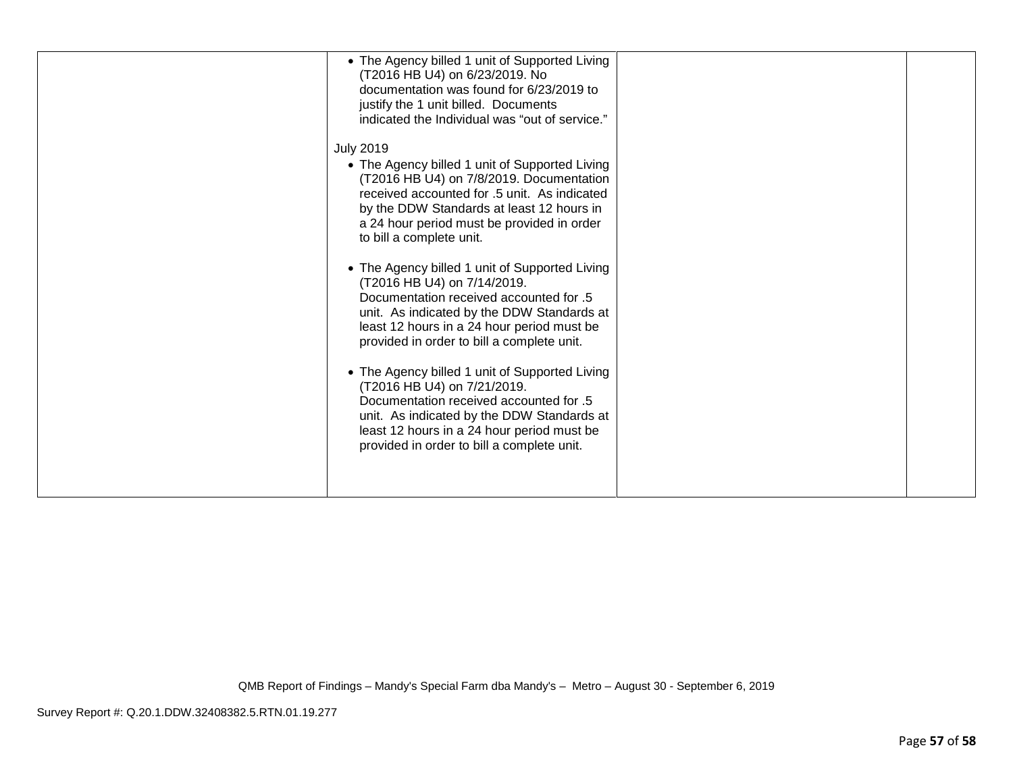| • The Agency billed 1 unit of Supported Living<br>(T2016 HB U4) on 6/23/2019. No<br>documentation was found for 6/23/2019 to<br>justify the 1 unit billed. Documents<br>indicated the Individual was "out of service."                                                                |  |
|---------------------------------------------------------------------------------------------------------------------------------------------------------------------------------------------------------------------------------------------------------------------------------------|--|
| <b>July 2019</b><br>• The Agency billed 1 unit of Supported Living<br>(T2016 HB U4) on 7/8/2019. Documentation<br>received accounted for .5 unit. As indicated<br>by the DDW Standards at least 12 hours in<br>a 24 hour period must be provided in order<br>to bill a complete unit. |  |
| • The Agency billed 1 unit of Supported Living<br>(T2016 HB U4) on 7/14/2019.<br>Documentation received accounted for .5<br>unit. As indicated by the DDW Standards at<br>least 12 hours in a 24 hour period must be<br>provided in order to bill a complete unit.                    |  |
| • The Agency billed 1 unit of Supported Living<br>(T2016 HB U4) on 7/21/2019.<br>Documentation received accounted for .5<br>unit. As indicated by the DDW Standards at<br>least 12 hours in a 24 hour period must be<br>provided in order to bill a complete unit.                    |  |
|                                                                                                                                                                                                                                                                                       |  |